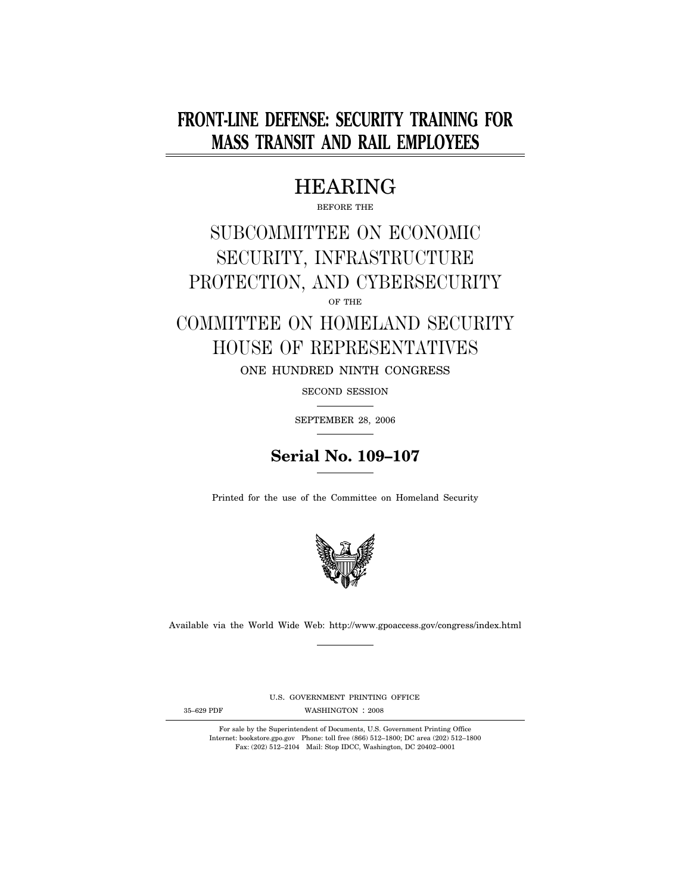# **FRONT-LINE DEFENSE: SECURITY TRAINING FOR MASS TRANSIT AND RAIL EMPLOYEES**

# HEARING

BEFORE THE

# SUBCOMMITTEE ON ECONOMIC SECURITY, INFRASTRUCTURE PROTECTION, AND CYBERSECURITY

OF THE

# COMMITTEE ON HOMELAND SECURITY HOUSE OF REPRESENTATIVES

ONE HUNDRED NINTH CONGRESS

SECOND SESSION

SEPTEMBER 28, 2006



Printed for the use of the Committee on Homeland Security



Available via the World Wide Web: http://www.gpoaccess.gov/congress/index.html

U.S. GOVERNMENT PRINTING OFFICE

35-629 PDF WASHINGTON : 2008

For sale by the Superintendent of Documents, U.S. Government Printing Office Internet: bookstore.gpo.gov Phone: toll free (866) 512–1800; DC area (202) 512–1800 Fax: (202) 512–2104 Mail: Stop IDCC, Washington, DC 20402–0001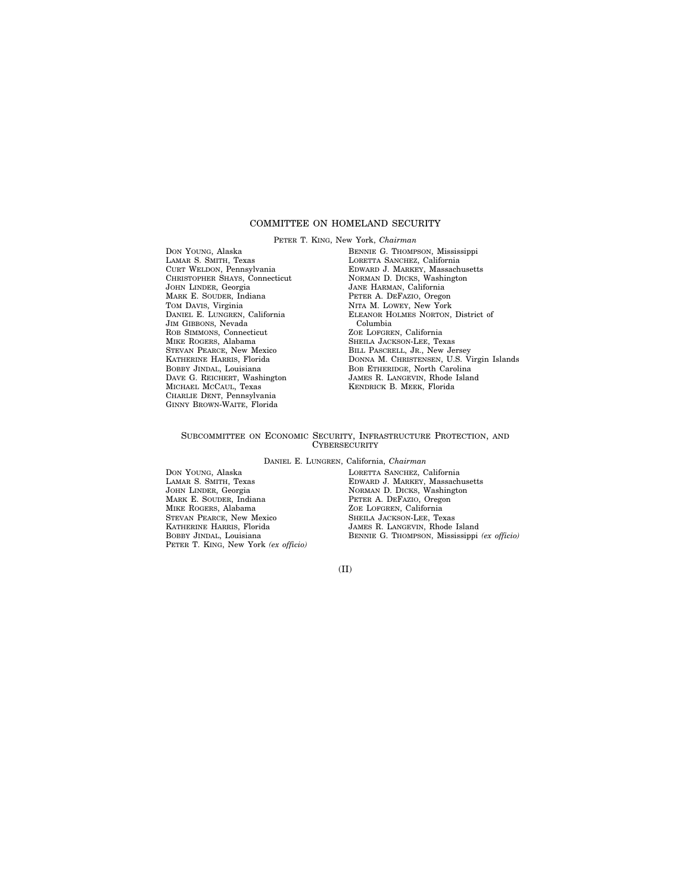### COMMITTEE ON HOMELAND SECURITY

PETER T. KING, New York, *Chairman* 

DON YOUNG, Alaska LAMAR S. SMITH, Texas CURT WELDON, Pennsylvania CHRISTOPHER SHAYS, Connecticut JOHN LINDER, Georgia MARK E. SOUDER, Indiana TOM DAVIS, Virginia DANIEL E. LUNGREN, California JIM GIBBONS, Nevada ROB SIMMONS, Connecticut MIKE ROGERS, Alabama STEVAN PEARCE, New Mexico KATHERINE HARRIS, Florida BOBBY JINDAL, Louisiana DAVE G. REICHERT, Washington MICHAEL MCCAUL, Texas CHARLIE DENT, Pennsylvania GINNY BROWN-WAITE, Florida

BENNIE G. THOMPSON, Mississippi LORETTA SANCHEZ, California EDWARD J. MARKEY, Massachusetts NORMAN D. DICKS, Washington JANE HARMAN, California PETER A. DEFAZIO, Oregon NITA M. LOWEY, New York ELEANOR HOLMES NORTON, District of Columbia ZOE LOFGREN, California SHEILA JACKSON-LEE, Texas BILL PASCRELL, JR., New Jersey DONNA M. CHRISTENSEN, U.S. Virgin Islands BOB ETHERIDGE, North Carolina JAMES R. LANGEVIN, Rhode Island KENDRICK B. MEEK, Florida

### SUBCOMMITTEE ON ECONOMIC SECURITY, INFRASTRUCTURE PROTECTION, AND **CYBERSECURITY**

DANIEL E. LUNGREN, California, *Chairman* 

DON YOUNG, Alaska LAMAR S. SMITH, Texas JOHN LINDER, Georgia MARK E. SOUDER, Indiana MIKE ROGERS, Alabama STEVAN PEARCE, New Mexico KATHERINE HARRIS, Florida BOBBY JINDAL, Louisiana PETER T. KING, New York *(ex officio)*  LORETTA SANCHEZ, California EDWARD J. MARKEY, Massachusetts NORMAN D. DICKS, Washington PETER A. DEFAZIO, Oregon ZOE LOFGREN, California SHEILA JACKSON-LEE, Texas JAMES R. LANGEVIN, Rhode Island BENNIE G. THOMPSON, Mississippi *(ex officio)*

(II)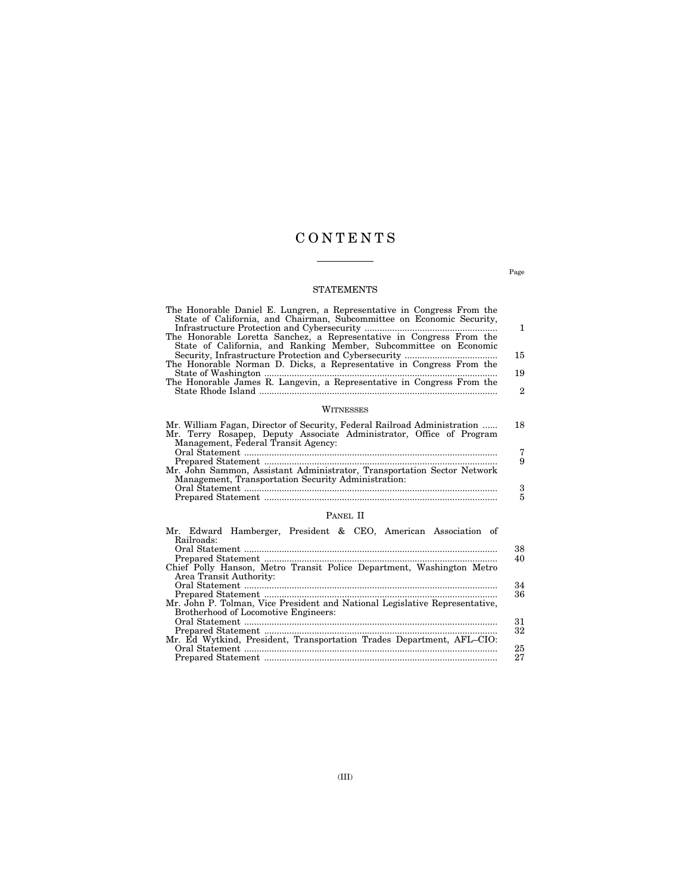## C O N T E N T S

### STATEMENTS

| The Honorable Daniel E. Lungren, a Representative in Congress From the<br>State of California, and Chairman, Subcommittee on Economic Security,                                         |              |
|-----------------------------------------------------------------------------------------------------------------------------------------------------------------------------------------|--------------|
|                                                                                                                                                                                         | 1            |
| The Honorable Loretta Sanchez, a Representative in Congress From the<br>State of California, and Ranking Member, Subcommittee on Economic                                               |              |
|                                                                                                                                                                                         | 15           |
| The Honorable Norman D. Dicks, a Representative in Congress From the                                                                                                                    |              |
|                                                                                                                                                                                         | 19           |
| The Honorable James R. Langevin, a Representative in Congress From the                                                                                                                  |              |
|                                                                                                                                                                                         | $\mathbf{2}$ |
| WITNESSES                                                                                                                                                                               |              |
| Mr. William Fagan, Director of Security, Federal Railroad Administration<br>Mr. Terry Rosapep, Deputy Associate Administrator, Office of Program<br>Management, Federal Transit Agency: | 18           |
|                                                                                                                                                                                         | 7            |
|                                                                                                                                                                                         | 9            |
| Mr. John Sammon, Assistant Administrator, Transportation Sector Network                                                                                                                 |              |
| Management, Transportation Security Administration:                                                                                                                                     |              |
|                                                                                                                                                                                         | 3            |
|                                                                                                                                                                                         | 5            |

### PANEL II

|            | Mr. Edward Hamberger, President & CEO, American Association of              |  |  |    |
|------------|-----------------------------------------------------------------------------|--|--|----|
| Railroads: |                                                                             |  |  |    |
|            |                                                                             |  |  | 38 |
|            |                                                                             |  |  | 40 |
|            | Chief Polly Hanson, Metro Transit Police Department, Washington Metro       |  |  |    |
|            | Area Transit Authority:                                                     |  |  |    |
|            |                                                                             |  |  | 34 |
|            |                                                                             |  |  | 36 |
|            | Mr. John P. Tolman, Vice President and National Legislative Representative, |  |  |    |
|            | Brotherhood of Locomotive Engineers:                                        |  |  |    |
|            |                                                                             |  |  | 31 |
|            |                                                                             |  |  | 32 |
|            | Mr. Ed Wytkind, President, Transportation Trades Department, AFL-CIO:       |  |  |    |
|            |                                                                             |  |  | 25 |
|            |                                                                             |  |  | 27 |

Page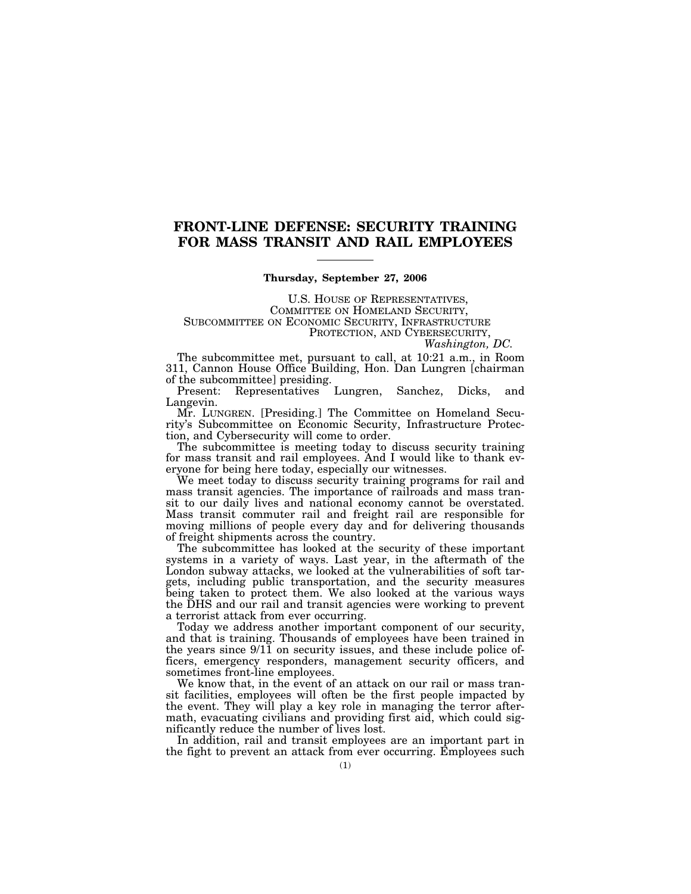## **FRONT-LINE DEFENSE: SECURITY TRAINING FOR MASS TRANSIT AND RAIL EMPLOYEES**

### **Thursday, September 27, 2006**

U.S. HOUSE OF REPRESENTATIVES,<br>COMMITTEE ON HOMELAND SECURITY,<br>SUBCOMMITTEE ON ECONOMIC SECURITY, INFRASTRUCTURE PROTECTION, AND CYBERSECURITY, *Washington, DC.* 

The subcommittee met, pursuant to call, at 10:21 a.m., in Room 311, Cannon House Office Building, Hon. Dan Lungren [chairman of the subcommittee] presiding.<br>Present: Representatives

Lungren, Sanchez, Dicks, and Langevin.

Mr. LUNGREN. [Presiding.] The Committee on Homeland Security's Subcommittee on Economic Security, Infrastructure Protection, and Cybersecurity will come to order.

The subcommittee is meeting today to discuss security training for mass transit and rail employees. And I would like to thank everyone for being here today, especially our witnesses.

We meet today to discuss security training programs for rail and mass transit agencies. The importance of railroads and mass transit to our daily lives and national economy cannot be overstated. Mass transit commuter rail and freight rail are responsible for moving millions of people every day and for delivering thousands of freight shipments across the country.

The subcommittee has looked at the security of these important systems in a variety of ways. Last year, in the aftermath of the London subway attacks, we looked at the vulnerabilities of soft targets, including public transportation, and the security measures being taken to protect them. We also looked at the various ways the DHS and our rail and transit agencies were working to prevent a terrorist attack from ever occurring.

Today we address another important component of our security, and that is training. Thousands of employees have been trained in the years since 9/11 on security issues, and these include police officers, emergency responders, management security officers, and sometimes front-line employees.

We know that, in the event of an attack on our rail or mass transit facilities, employees will often be the first people impacted by the event. They will play a key role in managing the terror aftermath, evacuating civilians and providing first aid, which could significantly reduce the number of lives lost.

In addition, rail and transit employees are an important part in the fight to prevent an attack from ever occurring. Employees such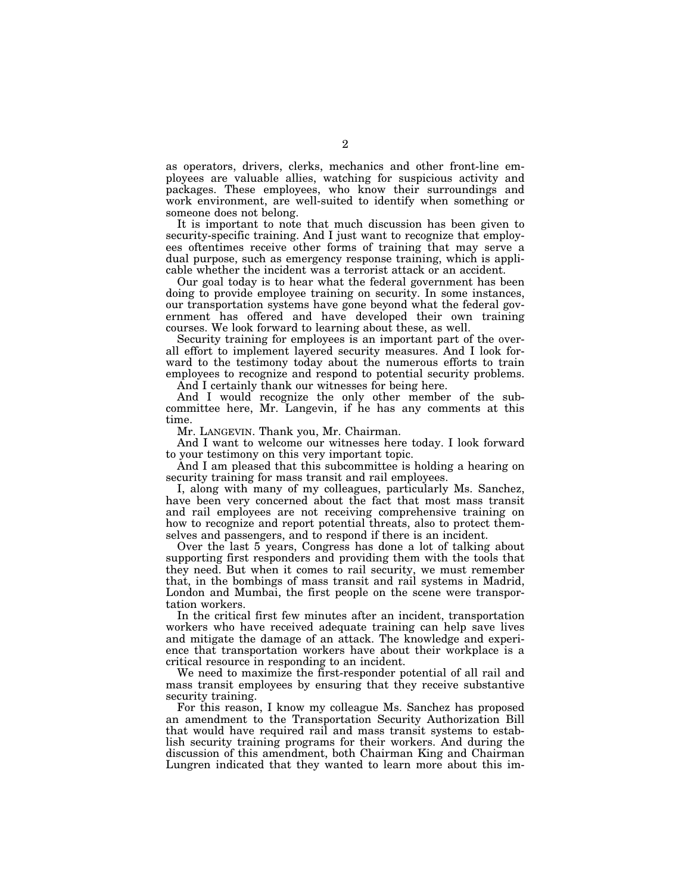as operators, drivers, clerks, mechanics and other front-line employees are valuable allies, watching for suspicious activity and packages. These employees, who know their surroundings and work environment, are well-suited to identify when something or someone does not belong.

It is important to note that much discussion has been given to security-specific training. And I just want to recognize that employees oftentimes receive other forms of training that may serve a dual purpose, such as emergency response training, which is applicable whether the incident was a terrorist attack or an accident.

Our goal today is to hear what the federal government has been doing to provide employee training on security. In some instances, our transportation systems have gone beyond what the federal government has offered and have developed their own training courses. We look forward to learning about these, as well.

Security training for employees is an important part of the overall effort to implement layered security measures. And I look forward to the testimony today about the numerous efforts to train employees to recognize and respond to potential security problems.

And I certainly thank our witnesses for being here.

And I would recognize the only other member of the subcommittee here, Mr. Langevin, if he has any comments at this time.

Mr. LANGEVIN. Thank you, Mr. Chairman.

And I want to welcome our witnesses here today. I look forward to your testimony on this very important topic.

And I am pleased that this subcommittee is holding a hearing on security training for mass transit and rail employees.

I, along with many of my colleagues, particularly Ms. Sanchez, have been very concerned about the fact that most mass transit and rail employees are not receiving comprehensive training on how to recognize and report potential threats, also to protect themselves and passengers, and to respond if there is an incident.

Over the last 5 years, Congress has done a lot of talking about supporting first responders and providing them with the tools that they need. But when it comes to rail security, we must remember that, in the bombings of mass transit and rail systems in Madrid, London and Mumbai, the first people on the scene were transportation workers.

In the critical first few minutes after an incident, transportation workers who have received adequate training can help save lives and mitigate the damage of an attack. The knowledge and experience that transportation workers have about their workplace is a critical resource in responding to an incident.

We need to maximize the first-responder potential of all rail and mass transit employees by ensuring that they receive substantive security training.

For this reason, I know my colleague Ms. Sanchez has proposed an amendment to the Transportation Security Authorization Bill that would have required rail and mass transit systems to establish security training programs for their workers. And during the discussion of this amendment, both Chairman King and Chairman Lungren indicated that they wanted to learn more about this im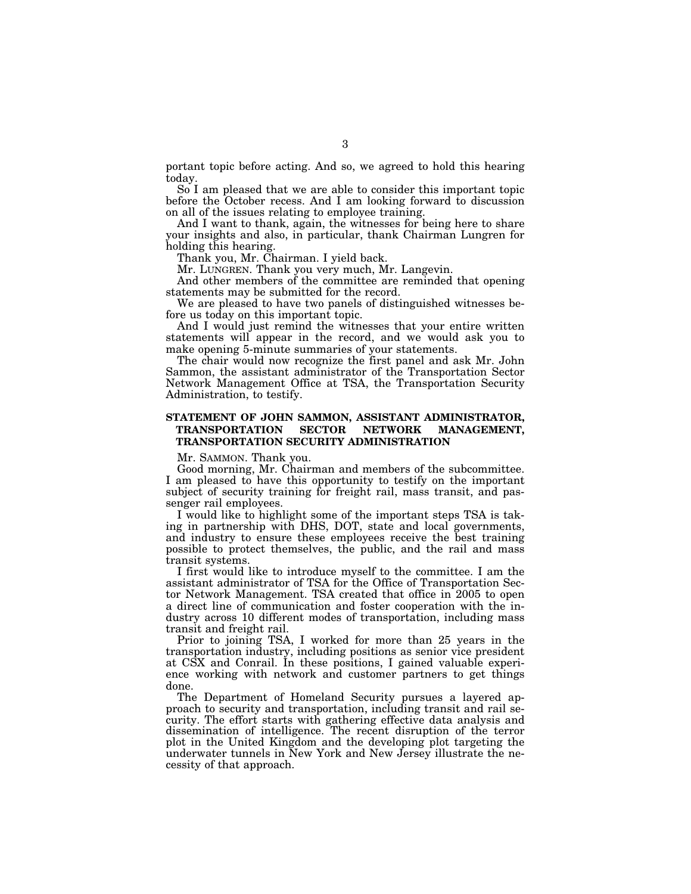portant topic before acting. And so, we agreed to hold this hearing today.

So I am pleased that we are able to consider this important topic before the October recess. And I am looking forward to discussion on all of the issues relating to employee training.

And I want to thank, again, the witnesses for being here to share your insights and also, in particular, thank Chairman Lungren for holding this hearing.

Thank you, Mr. Chairman. I yield back.

Mr. LUNGREN. Thank you very much, Mr. Langevin.

And other members of the committee are reminded that opening statements may be submitted for the record.

We are pleased to have two panels of distinguished witnesses before us today on this important topic.

And I would just remind the witnesses that your entire written statements will appear in the record, and we would ask you to make opening 5-minute summaries of your statements.

The chair would now recognize the first panel and ask Mr. John Sammon, the assistant administrator of the Transportation Sector Network Management Office at TSA, the Transportation Security Administration, to testify.

### **STATEMENT OF JOHN SAMMON, ASSISTANT ADMINISTRATOR, TRANSPORTATION SECTOR NETWORK MANAGEMENT, TRANSPORTATION SECURITY ADMINISTRATION**

Mr. SAMMON. Thank you.

Good morning, Mr. Chairman and members of the subcommittee. I am pleased to have this opportunity to testify on the important subject of security training for freight rail, mass transit, and passenger rail employees.

I would like to highlight some of the important steps TSA is taking in partnership with DHS, DOT, state and local governments, and industry to ensure these employees receive the best training possible to protect themselves, the public, and the rail and mass transit systems.

I first would like to introduce myself to the committee. I am the assistant administrator of TSA for the Office of Transportation Sector Network Management. TSA created that office in 2005 to open a direct line of communication and foster cooperation with the industry across 10 different modes of transportation, including mass transit and freight rail.

Prior to joining TSA, I worked for more than 25 years in the transportation industry, including positions as senior vice president at CSX and Conrail. In these positions, I gained valuable experience working with network and customer partners to get things done.

The Department of Homeland Security pursues a layered approach to security and transportation, including transit and rail security. The effort starts with gathering effective data analysis and dissemination of intelligence. The recent disruption of the terror plot in the United Kingdom and the developing plot targeting the underwater tunnels in New York and New Jersey illustrate the necessity of that approach.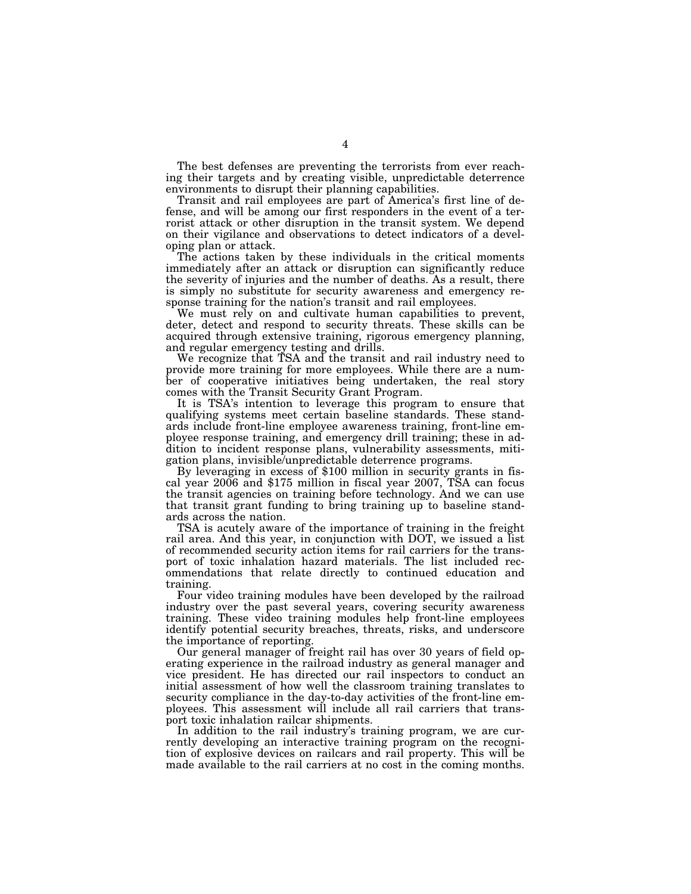The best defenses are preventing the terrorists from ever reaching their targets and by creating visible, unpredictable deterrence environments to disrupt their planning capabilities.

Transit and rail employees are part of America's first line of defense, and will be among our first responders in the event of a terrorist attack or other disruption in the transit system. We depend on their vigilance and observations to detect indicators of a developing plan or attack.

The actions taken by these individuals in the critical moments immediately after an attack or disruption can significantly reduce the severity of injuries and the number of deaths. As a result, there is simply no substitute for security awareness and emergency response training for the nation's transit and rail employees.

We must rely on and cultivate human capabilities to prevent, deter, detect and respond to security threats. These skills can be acquired through extensive training, rigorous emergency planning, and regular emergency testing and drills.

We recognize that TSA and the transit and rail industry need to provide more training for more employees. While there are a number of cooperative initiatives being undertaken, the real story comes with the Transit Security Grant Program.

It is TSA's intention to leverage this program to ensure that qualifying systems meet certain baseline standards. These standards include front-line employee awareness training, front-line employee response training, and emergency drill training; these in addition to incident response plans, vulnerability assessments, mitigation plans, invisible/unpredictable deterrence programs.

By leveraging in excess of \$100 million in security grants in fis- cal year 2006 and \$175 million in fiscal year 2007, TSA can focus the transit agencies on training before technology. And we can use that transit grant funding to bring training up to baseline standards across the nation.

TSA is acutely aware of the importance of training in the freight rail area. And this year, in conjunction with DOT, we issued a list of recommended security action items for rail carriers for the transport of toxic inhalation hazard materials. The list included recommendations that relate directly to continued education and training.

Four video training modules have been developed by the railroad industry over the past several years, covering security awareness training. These video training modules help front-line employees identify potential security breaches, threats, risks, and underscore the importance of reporting.

Our general manager of freight rail has over 30 years of field operating experience in the railroad industry as general manager and vice president. He has directed our rail inspectors to conduct an initial assessment of how well the classroom training translates to security compliance in the day-to-day activities of the front-line employees. This assessment will include all rail carriers that transport toxic inhalation railcar shipments.

In addition to the rail industry's training program, we are currently developing an interactive training program on the recognition of explosive devices on railcars and rail property. This will be made available to the rail carriers at no cost in the coming months.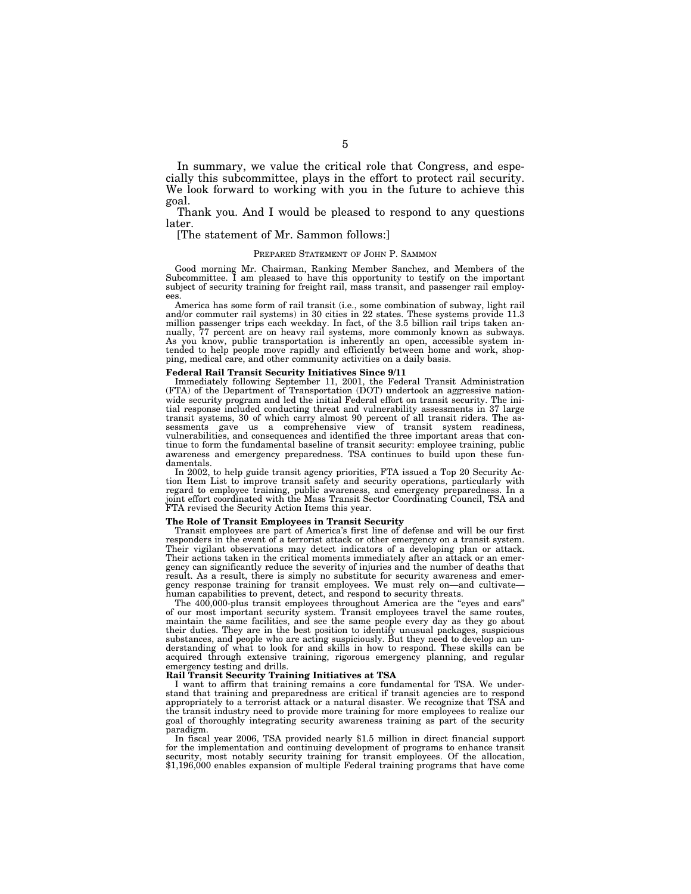In summary, we value the critical role that Congress, and especially this subcommittee, plays in the effort to protect rail security. We look forward to working with you in the future to achieve this goal.

Thank you. And I would be pleased to respond to any questions later.

### [The statement of Mr. Sammon follows:]

### PREPARED STATEMENT OF JOHN P. SAMMON

Good morning Mr. Chairman, Ranking Member Sanchez, and Members of the Subcommittee. I am pleased to have this opportunity to testify on the important subject of security training for freight rail, mass transit, and passenger rail employees.

America has some form of rail transit (i.e., some combination of subway, light rail and/or commuter rail systems) in 30 cities in 22 states. These systems provide 11.3 million passenger trips each weekday. In fact, of the 3.5 billion rail trips taken annually, 77 percent are on heavy rail systems, more commonly known as subways. As you know, public transportation is inherently an open, accessible system intended to help people move rapidly and efficiently between home and work, shopping, medical care, and other community activities on a daily basis.

### **Federal Rail Transit Security Initiatives Since 9/11**

Immediately following September 11, 2001, the Federal Transit Administration (FTA) of the Department of Transportation (DOT) undertook an aggressive nationwide security program and led the initial Federal effort on transit security. The initial response included conducting threat and vulnerability assessments in 37 large transit systems, 30 of which carry almost 90 percent of all transit riders. The assessments gave us a comprehensive view of transit system readiness, vulnerabilities, and consequences and identified the three important areas that continue to form the fundamental baseline of transit security: employee training, public awareness and emergency preparedness. TSA continues to build upon these fundamentals.

In 2002, to help guide transit agency priorities, FTA issued a Top 20 Security Action Item List to improve transit safety and security operations, particularly with regard to employee training, public awareness, and emergency preparedness. In a joint effort coordinated with the Mass Transit Sector Coordinating Council, TSA and FTA revised the Security Action Items this year.

### **The Role of Transit Employees in Transit Security**

Transit employees are part of America's first line of defense and will be our first responders in the event of a terrorist attack or other emergency on a transit system. Their vigilant observations may detect indicators of a developing plan or attack. Their actions taken in the critical moments immediately after an attack or an emergency can significantly reduce the severity of injuries and the number of deaths that result. As a result, there is simply no substitute for security awareness and emergency response training for transit employees. We must rely on—and cultivate human capabilities to prevent, detect, and respond to security threats.

The 400,000-plus transit employees throughout America are the "eyes and ears" of our most important security system. Transit employees travel the same routes, maintain the same facilities, and see the same people every day as they go about their duties. They are in the best position to identify unusual packages, suspicious substances, and people who are acting suspiciously. But they need to develop an understanding of what to look for and skills in how to respond. These skills can be acquired through extensive training, rigorous emergency planning, and regular emergency testing and drills.

### **Rail Transit Security Training Initiatives at TSA**

I want to affirm that training remains a core fundamental for TSA. We understand that training and preparedness are critical if transit agencies are to respond appropriately to a terrorist attack or a natural disaster. We recognize that TSA and the transit industry need to provide more training for more employees to realize our goal of thoroughly integrating security awareness training as part of the security paradigm.

In fiscal year 2006, TSA provided nearly \$1.5 million in direct financial support for the implementation and continuing development of programs to enhance transit security, most notably security training for transit employees. Of the allocation, \$1,196,000 enables expansion of multiple Federal training programs that have come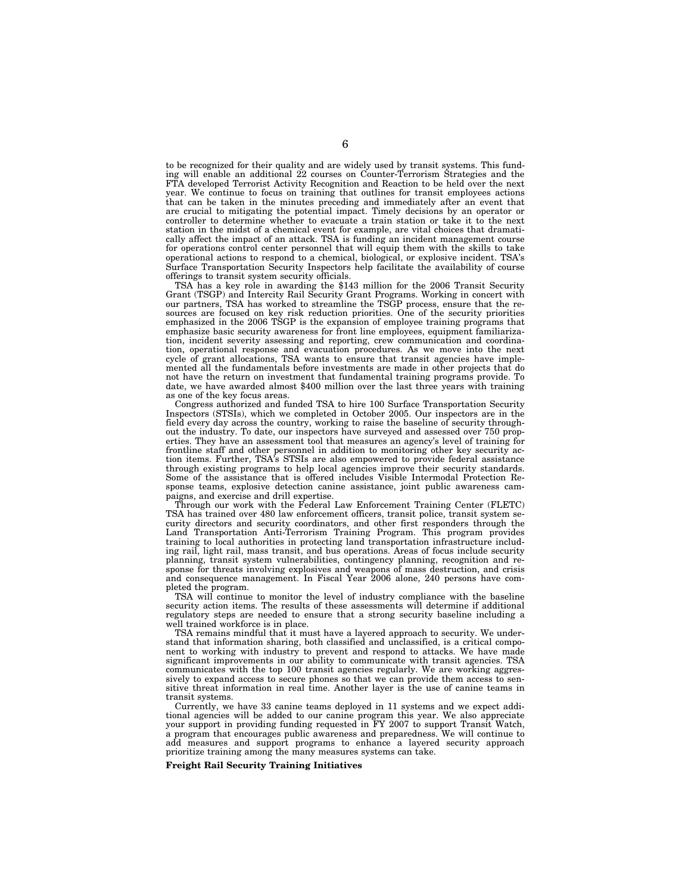to be recognized for their quality and are widely used by transit systems. This funding will enable an additional 22 courses on Counter-Terrorism Strategies and the FTA developed Terrorist Activity Recognition and Reaction to be held over the next year. We continue to focus on training that outlines for transit employees actions that can be taken in the minutes preceding and immediately after an event that are crucial to mitigating the potential impact. Timely decisions by an operator or controller to determine whether to evacuate a train station or take it to the next station in the midst of a chemical event for example, are vital choices that dramatically affect the impact of an attack. TSA is funding an incident management course for operations control center personnel that will equip them with the skills to take operational actions to respond to a chemical, biological, or explosive incident. TSA's Surface Transportation Security Inspectors help facilitate the availability of course offerings to transit system security officials.

TSA has a key role in awarding the \$143 million for the 2006 Transit Security Grant (TSGP) and Intercity Rail Security Grant Programs. Working in concert with our partners, TSA has worked to streamline the TSGP process, ensure that the resources are focused on key risk reduction priorities. One of the security priorities emphasized in the 2006 TSGP is the expansion of employee training programs that emphasize basic security awareness for front line employees, equipment familiarization, incident severity assessing and reporting, crew communication and coordination, operational response and evacuation procedures. As we move into the next cycle of grant allocations, TSA wants to ensure that transit agencies have implemented all the fundamentals before investments are made in other projects that do not have the return on investment that fundamental training programs provide. To date, we have awarded almost \$400 million over the last three years with training as one of the key focus areas.

Congress authorized and funded TSA to hire 100 Surface Transportation Security Inspectors (STSIs), which we completed in October 2005. Our inspectors are in the field every day across the country, working to raise the baseline of security throughout the industry. To date, our inspectors have surveyed and assessed over 750 properties. They have an assessment tool that measures an agency's level of training for frontline staff and other personnel in addition to monitoring other key security action items. Further, TSA's STSIs are also empowered to provide federal assistance through existing programs to help local agencies improve their security standards. Some of the assistance that is offered includes Visible Intermodal Protection Response teams, explosive detection canine assistance, joint public awareness campaigns, and exercise and drill expertise.

Through our work with the Federal Law Enforcement Training Center (FLETC) TSA has trained over 480 law enforcement officers, transit police, transit system security directors and security coordinators, and other first responders through the Land Transportation Anti-Terrorism Training Program. This program provides training to local authorities in protecting land transportation infrastructure including rail, light rail, mass transit, and bus operations. Areas of focus include security planning, transit system vulnerabilities, contingency planning, recognition and response for threats involving explosives and weapons of mass destruction, and crisis and consequence management. In Fiscal Year 2006 alone, 240 persons have completed the program.

TSA will continue to monitor the level of industry compliance with the baseline security action items. The results of these assessments will determine if additional regulatory steps are needed to ensure that a strong security baseline including a well trained workforce is in place.

TSA remains mindful that it must have a layered approach to security. We understand that information sharing, both classified and unclassified, is a critical component to working with industry to prevent and respond to attacks. We have made significant improvements in our ability to communicate with transit agencies. TSA communicates with the top 100 transit agencies regularly. We are working aggressively to expand access to secure phones so that we can provide them access to sensitive threat information in real time. Another layer is the use of canine teams in transit systems.

Currently, we have 33 canine teams deployed in 11 systems and we expect additional agencies will be added to our canine program this year. We also appreciate your support in providing funding requested in FY 2007 to support Transit Watch, a program that encourages public awareness and preparedness. We will continue to add measures and support programs to enhance a layered security approach prioritize training among the many measures systems can take.

### **Freight Rail Security Training Initiatives**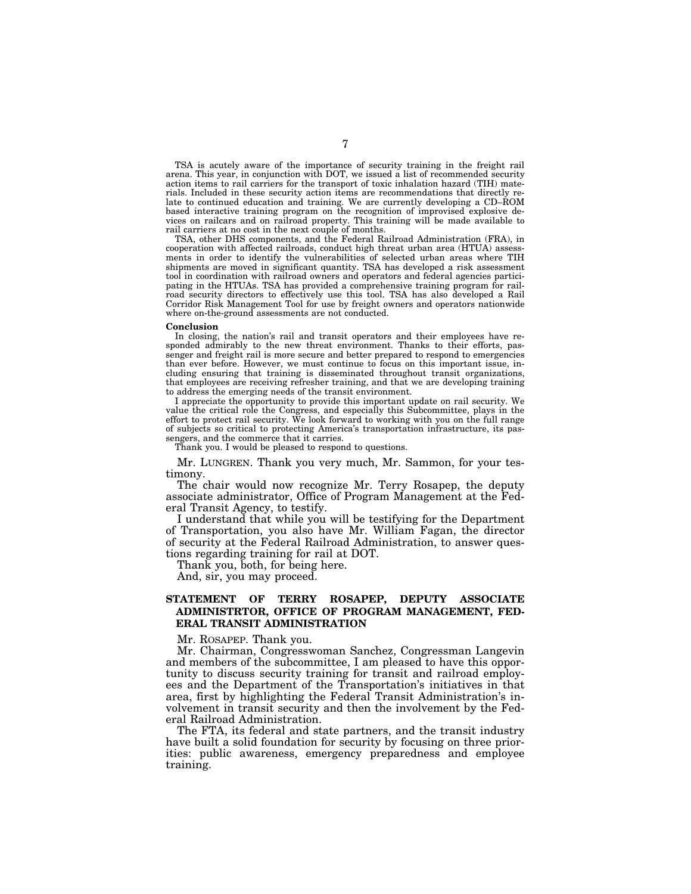TSA is acutely aware of the importance of security training in the freight rail arena. This year, in conjunction with DOT, we issued a list of recommended security action items to rail carriers for the transport of toxic inhalation hazard (TIH) materials. Included in these security action items are recommendations that directly relate to continued education and training. We are currently developing a CD–ROM based interactive training program on the recognition of improvised explosive devices on railcars and on railroad property. This training will be made available to rail carriers at no cost in the next couple of months.

TSA, other DHS components, and the Federal Railroad Administration (FRA), in cooperation with affected railroads, conduct high threat urban area (HTUA) assessments in order to identify the vulnerabilities of selected urban areas where TIH shipments are moved in significant quantity. TSA has developed a risk assessment tool in coordination with railroad owners and operators and federal agencies participating in the HTUAs. TSA has provided a comprehensive training program for railroad security directors to effectively use this tool. TSA has also developed a Rail Corridor Risk Management Tool for use by freight owners and operators nationwide where on-the-ground assessments are not conducted.

### **Conclusion**

In closing, the nation's rail and transit operators and their employees have responded admirably to the new threat environment. Thanks to their efforts, passenger and freight rail is more secure and better prepared to respond to emergencies than ever before. However, we must continue to focus on this important issue, including ensuring that training is disseminated throughout transit organizations, that employees are receiving refresher training, and that we are developing training to address the emerging needs of the transit environment.

I appreciate the opportunity to provide this important update on rail security. We value the critical role the Congress, and especially this Subcommittee, plays in the effort to protect rail security. We look forward to working with you on the full range of subjects so critical to protecting America's transportation infrastructure, its passengers, and the commerce that it carries.

Thank you. I would be pleased to respond to questions.

Mr. LUNGREN. Thank you very much, Mr. Sammon, for your testimony.

The chair would now recognize Mr. Terry Rosapep, the deputy associate administrator, Office of Program Management at the Federal Transit Agency, to testify.

I understand that while you will be testifying for the Department of Transportation, you also have Mr. William Fagan, the director of security at the Federal Railroad Administration, to answer questions regarding training for rail at DOT.

Thank you, both, for being here.

And, sir, you may proceed.

### **STATEMENT OF TERRY ROSAPEP, DEPUTY ASSOCIATE ADMINISTRTOR, OFFICE OF PROGRAM MANAGEMENT, FED-ERAL TRANSIT ADMINISTRATION**

Mr. ROSAPEP. Thank you.

Mr. Chairman, Congresswoman Sanchez, Congressman Langevin and members of the subcommittee, I am pleased to have this opportunity to discuss security training for transit and railroad employees and the Department of the Transportation's initiatives in that area, first by highlighting the Federal Transit Administration's involvement in transit security and then the involvement by the Federal Railroad Administration.

The FTA, its federal and state partners, and the transit industry have built a solid foundation for security by focusing on three priorities: public awareness, emergency preparedness and employee training.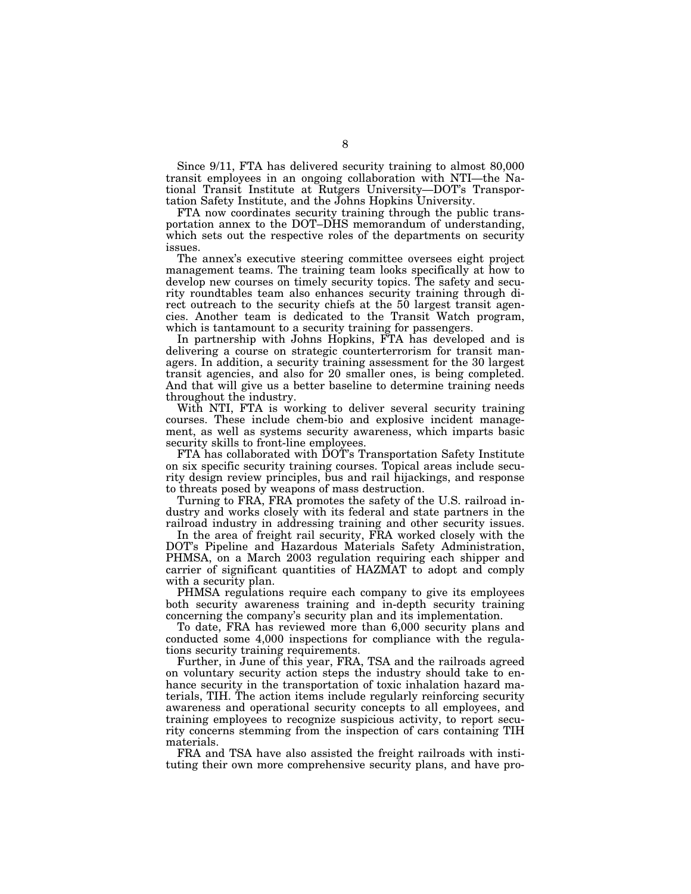Since 9/11, FTA has delivered security training to almost 80,000 transit employees in an ongoing collaboration with NTI—the National Transit Institute at Rutgers University—DOT's Transportation Safety Institute, and the Johns Hopkins University.

FTA now coordinates security training through the public transportation annex to the DOT–DHS memorandum of understanding, which sets out the respective roles of the departments on security issues.

The annex's executive steering committee oversees eight project management teams. The training team looks specifically at how to develop new courses on timely security topics. The safety and security roundtables team also enhances security training through direct outreach to the security chiefs at the 50 largest transit agencies. Another team is dedicated to the Transit Watch program, which is tantamount to a security training for passengers.

In partnership with Johns Hopkins, FTA has developed and is delivering a course on strategic counterterrorism for transit managers. In addition, a security training assessment for the 30 largest transit agencies, and also for 20 smaller ones, is being completed. And that will give us a better baseline to determine training needs throughout the industry.

With NTI, FTA is working to deliver several security training courses. These include chem-bio and explosive incident management, as well as systems security awareness, which imparts basic security skills to front-line employees.

FTA has collaborated with DOT's Transportation Safety Institute on six specific security training courses. Topical areas include security design review principles, bus and rail hijackings, and response to threats posed by weapons of mass destruction.

Turning to FRA, FRA promotes the safety of the U.S. railroad industry and works closely with its federal and state partners in the railroad industry in addressing training and other security issues.

In the area of freight rail security, FRA worked closely with the DOT's Pipeline and Hazardous Materials Safety Administration, PHMSA, on a March 2003 regulation requiring each shipper and carrier of significant quantities of HAZMAT to adopt and comply with a security plan.

PHMSA regulations require each company to give its employees both security awareness training and in-depth security training concerning the company's security plan and its implementation.

To date, FRA has reviewed more than 6,000 security plans and conducted some 4,000 inspections for compliance with the regulations security training requirements.

Further, in June of this year, FRA, TSA and the railroads agreed on voluntary security action steps the industry should take to enhance security in the transportation of toxic inhalation hazard materials, TIH. The action items include regularly reinforcing security awareness and operational security concepts to all employees, and training employees to recognize suspicious activity, to report security concerns stemming from the inspection of cars containing TIH materials.

FRA and TSA have also assisted the freight railroads with instituting their own more comprehensive security plans, and have pro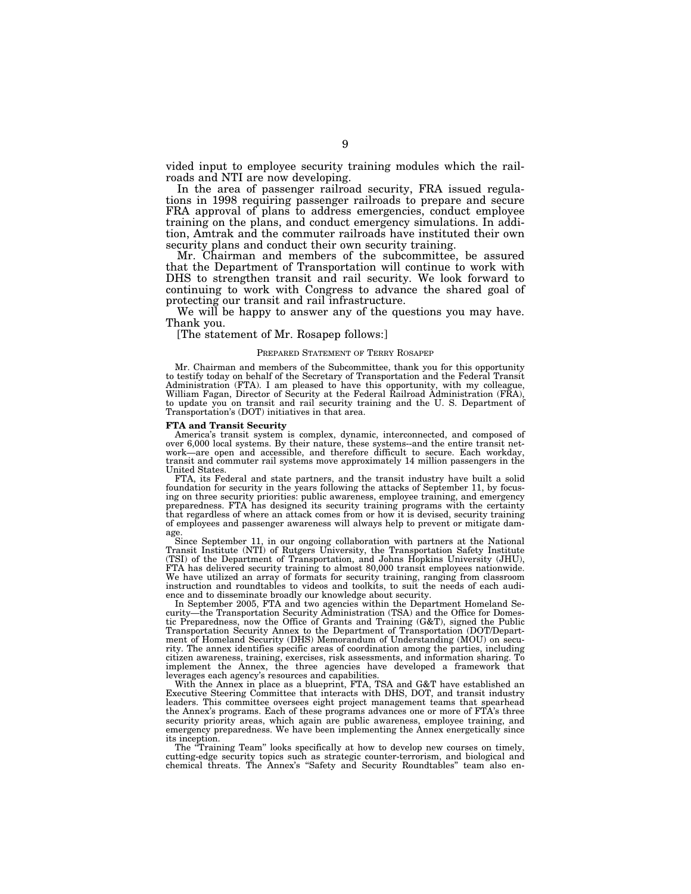vided input to employee security training modules which the railroads and NTI are now developing.

In the area of passenger railroad security, FRA issued regulations in 1998 requiring passenger railroads to prepare and secure FRA approval of plans to address emergencies, conduct employee training on the plans, and conduct emergency simulations. In addition, Amtrak and the commuter railroads have instituted their own security plans and conduct their own security training.

Mr. Chairman and members of the subcommittee, be assured that the Department of Transportation will continue to work with DHS to strengthen transit and rail security. We look forward to continuing to work with Congress to advance the shared goal of protecting our transit and rail infrastructure.

We will be happy to answer any of the questions you may have. Thank you.

### [The statement of Mr. Rosapep follows:]

### PREPARED STATEMENT OF TERRY ROSAPEP

Mr. Chairman and members of the Subcommittee, thank you for this opportunity to testify today on behalf of the Secretary of Transportation and the Federal Transit Administration (FTA). I am pleased to have this opportunity, with my colleague, William Fagan, Director of Security at the Federal Railroad Administration (FRA), to update you on transit and rail security training and the U. S. Department of Transportation's (DOT) initiatives in that area.

### **FTA and Transit Security**

America's transit system is complex, dynamic, interconnected, and composed of over 6,000 local systems. By their nature, these systems--and the entire transit network—are open and accessible, and therefore difficult to secure. Each workday, transit and commuter rail systems move approximately 14 million passengers in the United States.

FTA, its Federal and state partners, and the transit industry have built a solid foundation for security in the years following the attacks of September 11, by focusing on three security priorities: public awareness, employee training, and emergency preparedness. FTA has designed its security training programs with the certainty that regardless of where an attack comes from or how it is devised, security training of employees and passenger awareness will always help to prevent or mitigate damage.

Since September 11, in our ongoing collaboration with partners at the National Transit Institute (NTI) of Rutgers University, the Transportation Safety Institute (TSI) of the Department of Transportation, and Johns Hopkins University (JHU), FTA has delivered security training to almost 80,000 transit employees nationwide. We have utilized an array of formats for security training, ranging from classroom instruction and roundtables to videos and toolkits, to suit the needs of each audience and to disseminate broadly our knowledge about security.

In September 2005, FTA and two agencies within the Department Homeland Security—the Transportation Security Administration (TSA) and the Office for Domestic Preparedness, now the Office of Grants and Training (G&T), signed the Public Transportation Security Annex to the Department of Transportation (DOT/Depart-ment of Homeland Security (DHS) Memorandum of Understanding (MOU) on security. The annex identifies specific areas of coordination among the parties, including citizen awareness, training, exercises, risk assessments, and information sharing. To implement the Annex, the three agencies have developed a framework that leverages each agency's resources and capabilities.

With the Annex in place as a blueprint, FTA, TSA and G&T have established an Executive Steering Committee that interacts with DHS, DOT, and transit industry leaders. This committee oversees eight project management teams that spearhead the Annex's programs. Each of these programs advances one or more of FTA's three security priority areas, which again are public awareness, employee training, and emergency preparedness. We have been implementing the Annex energetically since its inception.

The "Training Team" looks specifically at how to develop new courses on timely. cutting-edge security topics such as strategic counter-terrorism, and biological and chemical threats. The Annex's ''Safety and Security Roundtables'' team also en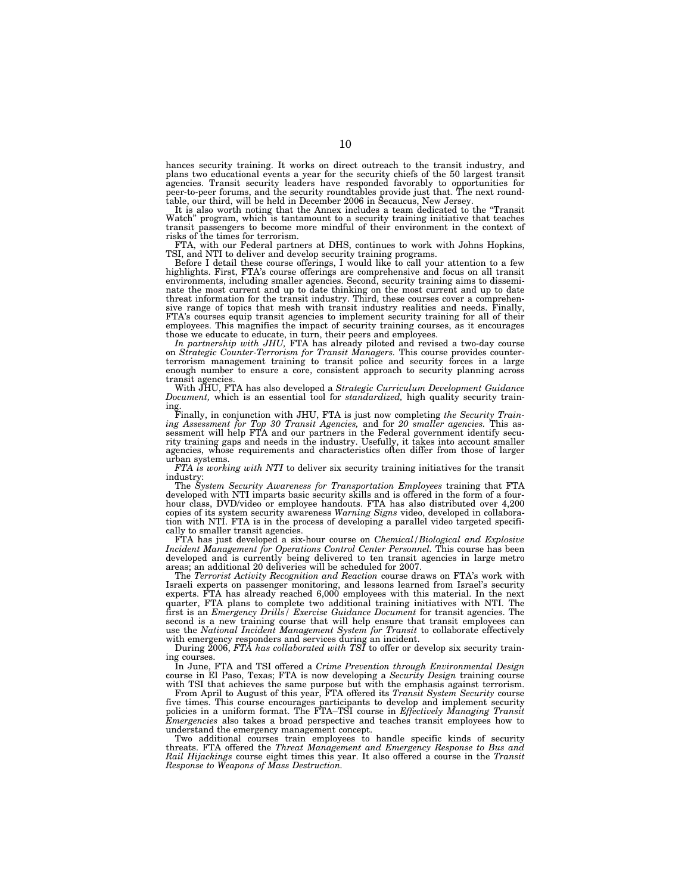hances security training. It works on direct outreach to the transit industry, and plans two educational events a year for the security chiefs of the 50 largest transit agencies. Transit security leaders have responded favorably to opportunities for peer-to-peer forums, and the security roundtables provi

It is also worth noting that the Annex includes a team dedicated to the ''Transit Watch" program, which is tantamount to a security training initiative that teaches transit passengers to become more mindful of their environment in the context of risks of the times for terrorism.

FTA, with our Federal partners at DHS, continues to work with Johns Hopkins, TSI, and NTI to deliver and develop security training programs.

Before I detail these course offerings, I would like to call your attention to a few highlights. First, FTA's course offerings are comprehensive and focus on all transit environments, including smaller agencies. Second, security training aims to dissemi-nate the most current and up to date thinking on the most current and up to date threat information for the transit industry. Third, these courses cover a comprehensive range of topics that mesh with transit industry realities and needs. Finally, FTA's courses equip transit agencies to implement security training for all of their employees. This magnifies the impact of security training courses, as it encourages those we educate to educate, in turn, their peers and employees.<br>In partnership with JHU, FTA has already piloted and revised a two-day course

In partnership with JHU, FTA has already piloted and revised a two-day course<br>on Strategic Counter-Terrorism for Transit Managers. This course provides counter-<br>terrorism management training to transit police and security enough number to ensure a core, consistent approach to security planning across transit agencies.

With JHU, FTA has also developed a *Strategic Curriculum Development Guidance Document,* which is an essential tool for *standardized,* high quality security training.

Finally, in conjunction with JHU, FTA is just now completing *the Security Train*ing Assessment for Top 30 Transit Agencies, and for 20 smaller agencies. This assessment will help FTA and our partners in the Federal government identify security training gaps and needs in the industry. Usefully, it take agencies, whose requirements and characteristics often differ from those of larger urban systems.

*FTA is working with NTI* to deliver six security training initiatives for the transit industry:

The *System Security Awareness for Transportation Employees* training that FTA developed with NTI imparts basic security skills and is offered in the form of a fourhour class, DVD/video or employee handouts. FTA has also distributed over 4,200 copies of its system security awareness *Warning Signs* video, developed in collaboration with NTI. FTA is in the process of developing a parallel video targeted specifically to smaller transit agencies.

FTA has just developed a six-hour course on *Chemical/Biological and Explosive Incident Management for Operations Control Center Personnel.* This course has been developed and is currently being delivered to ten transit agencies in large metro areas; an additional 20 deliveries will be scheduled for 2007.

The *Terrorist Activity Recognition and Reaction* course draws on FTA's work with Israeli experts on passenger monitoring, and lessons learned from Israel's security experts. FTA has already reached 6,000 employees with this material. In the next quarter, FTA plans to complete two additional training initiatives with NTI. The first is an *Emergency Drills/ Exercise Guidance Document* for transit agencies. The second is a new training course that will help ensure that transit employees can use the *National Incident Management System for Transit* to collaborate effectively with emergency responders and services during an incident.

During 2006, *FTA has collaborated with TSI* to offer or develop six security training courses.

In June, FTA and TSI offered a *Crime Prevention through Environmental Design* course in El Paso, Texas; FTA is now developing a *Security Design* training course with TSI that achieves the same purpose but with the emphasis against terrorism.

From April to August of this year, FTA offered its *Transit System Security* course five times. This course encourages participants to develop and implement security policies in a uniform format. The FTA–TSI course in *Effectively Managing Transit Emergencies* also takes a broad perspective and teaches transit employees how to understand the emergency management concept.

Two additional courses train employees to handle specific kinds of security threats. FTA offered the *Threat Management and Emergency Response to Bus and Rail Hijackings* course eight times this year. It also offered a course in the *Transit Response to Weapons of Mass Destruction.*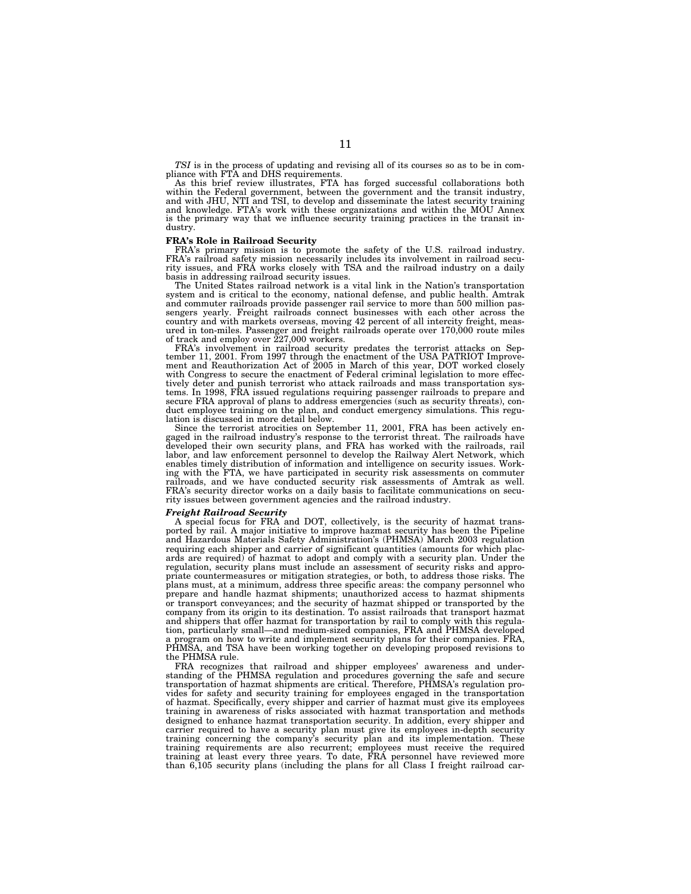*TSI* is in the process of updating and revising all of its courses so as to be in compliance with FTA and DHS requirements.

As this brief review illustrates, FTA has forged successful collaborations both within the Federal government, between the government and the transit industry, and with JHU, NTI and TSI, to develop and disseminate the latest security training and knowledge. FTA's work with these organizations and within the MOU Annex is the primary way that we influence security training practices in the transit industry.

### **FRA's Role in Railroad Security**

FRA's primary mission is to promote the safety of the U.S. railroad industry. FRA's railroad safety mission necessarily includes its involvement in railroad security issues, and FRA works closely with TSA and the railroad industry on a daily basis in addressing railroad security issues.

The United States railroad network is a vital link in the Nation's transportation system and is critical to the economy, national defense, and public health. Amtrak and commuter railroads provide passenger rail service to more than 500 million passengers yearly. Freight railroads connect businesses with each other across the country and with markets overseas, moving 42 percent of all intercity freight, measured in ton-miles. Passenger and freight railroads operate over 170,000 route miles of track and employ over 227,000 workers.

FRA's involvement in railroad security predates the terrorist attacks on September 11, 2001. From 1997 through the enactment of the USA PATRIOT Improvement and Reauthorization Act of 2005 in March of this year, DOT worked closely with Congress to secure the enactment of Federal criminal legislation to more effectively deter and punish terrorist who attack railroads and mass transportation sys-tems. In 1998, FRA issued regulations requiring passenger railroads to prepare and secure FRA approval of plans to address emergencies (such as security threats), conduct employee training on the plan, and conduct emergency simulations. This regulation is discussed in more detail below.

Since the terrorist atrocities on September 11, 2001, FRA has been actively engaged in the railroad industry's response to the terrorist threat. The railroads have developed their own security plans, and FRA has worked with the railroads, rail labor, and law enforcement personnel to develop the Railway Alert Network, which enables timely distribution of information and intelligence on security issues. Working with the FTA, we have participated in security risk assessments on commuter railroads, and we have conducted security risk assessments of Amtrak as well. FRA's security director works on a daily basis to facilitate communications on security issues between government agencies and the railroad industry.

*Freight Railroad Security*  A special focus for FRA and DOT, collectively, is the security of hazmat transported by rail. A major initiative to improve hazmat security has been the Pipeline and Hazardous Materials Safety Administration's (PHMSA) March 2003 regulation requiring each shipper and carrier of significant quantities (amounts for which placards are required) of hazmat to adopt and comply with a security plan. Under the regulation, security plans must include an assessment of security risks and appropriate countermeasures or mitigation strategies, or both, to address those risks. The plans must, at a minimum, address three specific areas: the company personnel who prepare and handle hazmat shipments; unauthorized access to hazmat shipments or transport conveyances; and the security of hazmat shipped or transported by the company from its origin to its destination. To assist railroads that transport hazmat and shippers that offer hazmat for transportation by rail to comply with this regulation, particularly small—and medium-sized companies, FRA and PHMSA developed a program on how to write and implement security plans for their companies. FRA, PHMSA, and TSA have been working together on developing proposed revisions to the PHMSA rule.

FRA recognizes that railroad and shipper employees' awareness and understanding of the PHMSA regulation and procedures governing the safe and secure transportation of hazmat shipments are critical. Therefore, PHMSA's regulation provides for safety and security training for employees engaged in the transportation of hazmat. Specifically, every shipper and carrier of hazmat must give its employees training in awareness of risks associated with hazmat transportation and methods designed to enhance hazmat transportation security. In addition, every shipper and carrier required to have a security plan must give its employees in-depth security training concerning the company's security plan and its implementation. These training requirements are also recurrent; employees must receive the required training at least every three years. To date, FRA personnel have reviewed more than 6,105 security plans (including the plans for all Class I freight railroad car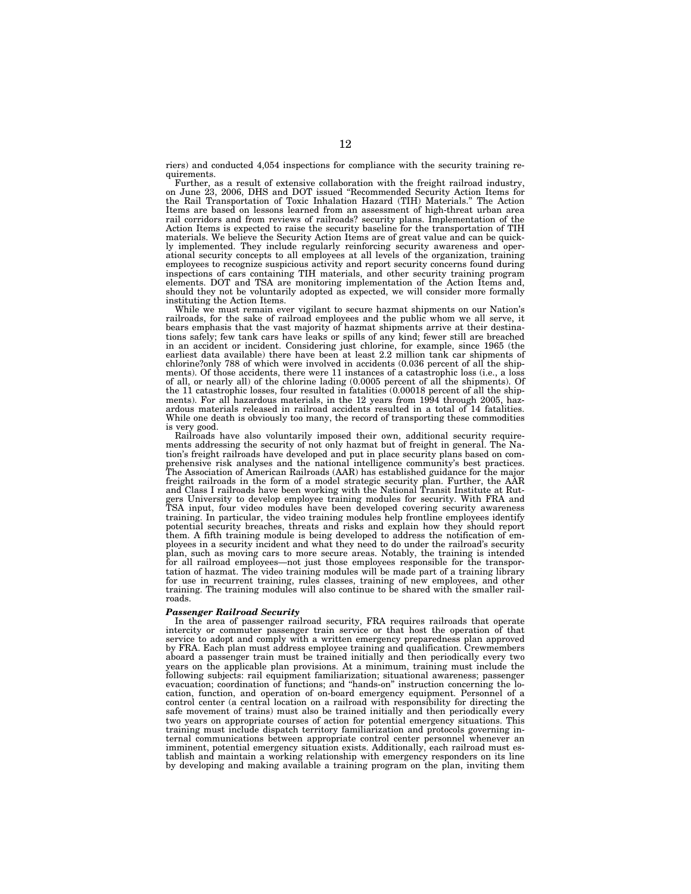riers) and conducted 4,054 inspections for compliance with the security training requirements.

Further, as a result of extensive collaboration with the freight railroad industry, on June 23, 2006, DHS and DOT issued ''Recommended Security Action Items for the Rail Transportation of Toxic Inhalation Hazard (TIH) Materials.'' The Action Items are based on lessons learned from an assessment of high-threat urban area rail corridors and from reviews of railroads? security plans. Implementation of the Action Items is expected to raise the security baseline for the transportation of TIH materials. We believe the Security Action Items are of great value and can be quickly implemented. They include regularly reinforcing security awareness and operational security concepts to all employees at all levels of the organization, training employees to recognize suspicious activity and report security concerns found during inspections of cars containing TIH materials, and other security training program elements. DOT and TSA are monitoring implementation of the Action Items and, should they not be voluntarily adopted as expected, we will consider more formally instituting the Action Items.

While we must remain ever vigilant to secure hazmat shipments on our Nation's railroads, for the sake of railroad employees and the public whom we all serve, it bears emphasis that the vast majority of hazmat shipments arrive at their destinations safely; few tank cars have leaks or spills of any kind; fewer still are breached in an accident or incident. Considering just chlorine, for example, since 1965 (the earliest data available) there have been at least 2.2 million tank car shipments of chlorine?only 788 of which were involved in accidents (0.036 percent of all the shipments). Of those accidents, there were 11 instances of a catastrophic loss (i.e., a loss of all, or nearly all) of the chlorine lading (0.0005 percent of all the shipments). Of the 11 catastrophic losses, four resulted in fatalities (0.00018 percent of all the shipments). For all hazardous materials, in the 12 years from 1994 through 2005, hazardous materials released in railroad accidents resulted in a total of 14 fatalities. While one death is obviously too many, the record of transporting these commodities is very good.

Railroads have also voluntarily imposed their own, additional security requirements addressing the security of not only hazmat but of freight in general. The Nation's freight railroads have developed and put in place security plans based on comprehensive risk analyses and the national intelligence community's best practices. The Association of American Railroads (AAR) has established guidance for the major freight railroads in the form of a model strategic security plan. Further, the AAR and Class I railroads have been working with the National Transit Institute at Rutgers University to develop employee training modules for security. With FRA and TSA input, four video modules have been developed covering security awareness training. In particular, the video training modules help frontline employees identify potential security breaches, threats and risks and explain how they should report them. A fifth training module is being developed to address the notification of employees in a security incident and what they need to do under the railroad's security plan, such as moving cars to more secure areas. Notably, the training is intended for all railroad employees—not just those employees responsible for the transportation of hazmat. The video training modules will be made part of a training library for use in recurrent training, rules classes, training of new employees, and other training. The training modules will also continue to be shared with the smaller railroads.

### *Passenger Railroad Security*

In the area of passenger railroad security, FRA requires railroads that operate intercity or commuter passenger train service or that host the operation of that service to adopt and comply with a written emergency preparedness plan approved by FRA. Each plan must address employee training and qualification. Crewmembers aboard a passenger train must be trained initially and then periodically every two years on the applicable plan provisions. At a minimum, training must include the following subjects: rail equipment familiarization; situational awareness; passenger evacuation; coordination of functions; and "hands-on" instruction concerning the location, function, and operation of on-board emergency equipment. Personnel of a control center (a central location on a railroad with responsibility for directing the safe movement of trains) must also be trained initially and then periodically every two years on appropriate courses of action for potential emergency situations. This training must include dispatch territory familiarization and protocols governing internal communications between appropriate control center personnel whenever an imminent, potential emergency situation exists. Additionally, each railroad must establish and maintain a working relationship with emergency responders on its line by developing and making available a training program on the plan, inviting them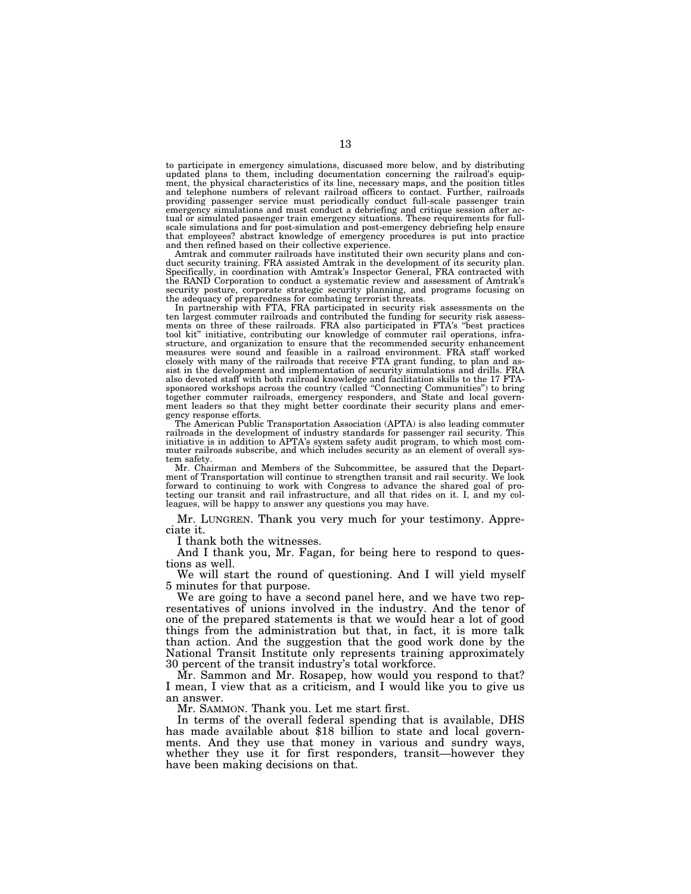to participate in emergency simulations, discussed more below, and by distributing updated plans to them, including documentation concerning the railroad's equipment, the physical characteristics of its line, necessary maps, and the position titles and telephone numbers of relevant railroad officers to contact. Further, railroads providing passenger service must periodically conduct full-scale passenger train emergency simulations and must conduct a debriefing and critique session after actual or simulated passenger train emergency situations. These requirements for fullscale simulations and for post-simulation and post-emergency debriefing help ensure that employees? abstract knowledge of emergency procedures is put into practice and then refined based on their collective experience.

Amtrak and commuter railroads have instituted their own security plans and conduct security training. FRA assisted Amtrak in the development of its security plan. Specifically, in coordination with Amtrak's Inspector General, FRA contracted with the RAND Corporation to conduct a systematic review and assessment of Amtrak's security posture, corporate strategic security planning, and programs focusing on the adequacy of preparedness for combating terrorist threats. In partnership with FTA, FRA participated in security risk assessments on the

ten largest commuter railroads and contributed the funding for security risk assess-ments on three of these railroads. FRA also participated in FTA's ''best practices tool kit'' initiative, contributing our knowledge of commuter rail operations, infra-structure, and organization to ensure that the recommended security enhancement measures were sound and feasible in a railroad environment. FRA staff worked closely with many of the railroads that receive FTA grant funding, to plan and assist in the development and implementation of security simulations and drills. FRA also devoted staff with both railroad knowledge and facilitation skills to the 17 FTAsponsored workshops across the country (called ''Connecting Communities'') to bring together commuter railroads, emergency responders, and State and local govern-ment leaders so that they might better coordinate their security plans and emergency response efforts.

The American Public Transportation Association (APTA) is also leading commuter railroads in the development of industry standards for passenger rail security. This initiative is in addition to APTA's system safety audit program, to which most commuter railroads subscribe, and which includes security as an element of overall system safety.

Mr. Chairman and Members of the Subcommittee, be assured that the Department of Transportation will continue to strengthen transit and rail security. We look forward to continuing to work with Congress to advance the shared goal of protecting our transit and rail infrastructure, and all that rides on it. I, and my colleagues, will be happy to answer any questions you may have.

Mr. LUNGREN. Thank you very much for your testimony. Appreciate it.

I thank both the witnesses.

And I thank you, Mr. Fagan, for being here to respond to questions as well.

We will start the round of questioning. And I will yield myself minutes for that purpose.

We are going to have a second panel here, and we have two representatives of unions involved in the industry. And the tenor of one of the prepared statements is that we would hear a lot of good things from the administration but that, in fact, it is more talk than action. And the suggestion that the good work done by the National Transit Institute only represents training approximately 30 percent of the transit industry's total workforce.

Mr. Sammon and Mr. Rosapep, how would you respond to that? I mean, I view that as a criticism, and I would like you to give us an answer.

Mr. SAMMON. Thank you. Let me start first.

In terms of the overall federal spending that is available, DHS has made available about \$18 billion to state and local governments. And they use that money in various and sundry ways, whether they use it for first responders, transit—however they have been making decisions on that.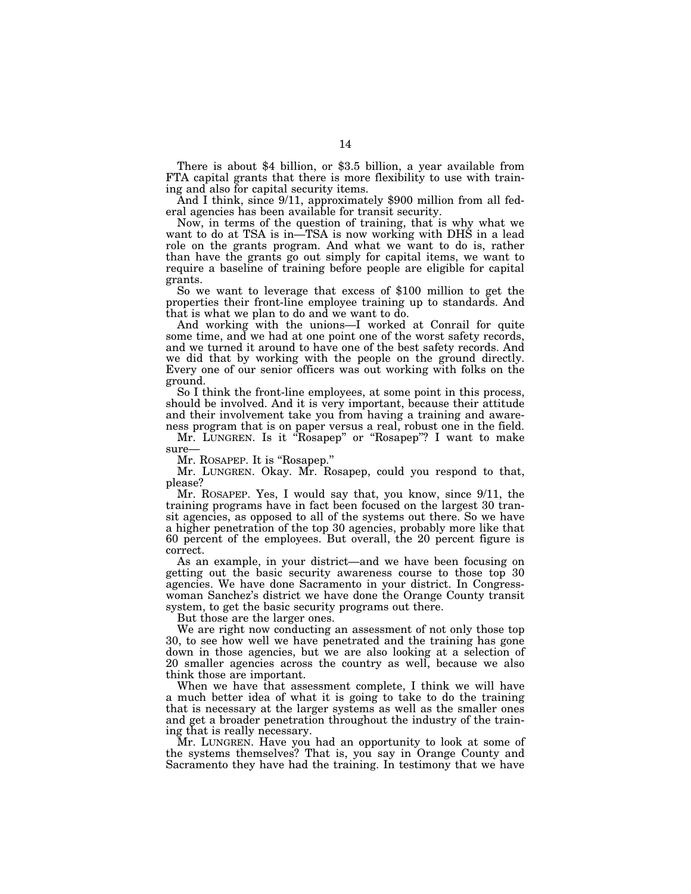There is about \$4 billion, or \$3.5 billion, a year available from FTA capital grants that there is more flexibility to use with train-<br>ing and also for capital security items.

And I think, since 9/11, approximately \$900 million from all federal agencies has been available for transit security.

Now, in terms of the question of training, that is why what we want to do at TSA is in—TSA is now working with DHS in a lead role on the grants program. And what we want to do is, rather than have the grants go out simply for capital items, we want to require a baseline of training before people are eligible for capital

So we want to leverage that excess of \$100 million to get the properties their front-line employee training up to standards. And that is what we plan to do and we want to do.

And working with the unions—I worked at Conrail for quite some time, and we had at one point one of the worst safety records, and we turned it around to have one of the best safety records. And we did that by working with the people on the ground directly. Every one of our senior officers was out working with folks on the ground.

So I think the front-line employees, at some point in this process, should be involved. And it is very important, because their attitude and their involvement take you from having a training and awareness program that is on paper versus a real, robust one in the field.

Mr. LUNGREN. Is it ''Rosapep'' or ''Rosapep''? I want to make sure—

Mr. ROSAPEP. It is "Rosapep."

Mr. LUNGREN. Okay. Mr. Rosapep, could you respond to that, please?

Mr. ROSAPEP. Yes, I would say that, you know, since 9/11, the training programs have in fact been focused on the largest 30 transit agencies, as opposed to all of the systems out there. So we have a higher penetration of the top 30 agencies, probably more like that 60 percent of the employees. But overall, the 20 percent figure is correct.

As an example, in your district—and we have been focusing on getting out the basic security awareness course to those top 30 agencies. We have done Sacramento in your district. In Congresswoman Sanchez's district we have done the Orange County transit system, to get the basic security programs out there.

But those are the larger ones.

We are right now conducting an assessment of not only those top 30, to see how well we have penetrated and the training has gone down in those agencies, but we are also looking at a selection of 20 smaller agencies across the country as well, because we also think those are important.

When we have that assessment complete, I think we will have a much better idea of what it is going to take to do the training that is necessary at the larger systems as well as the smaller ones and get a broader penetration throughout the industry of the training that is really necessary.

Mr. LUNGREN. Have you had an opportunity to look at some of the systems themselves? That is, you say in Orange County and Sacramento they have had the training. In testimony that we have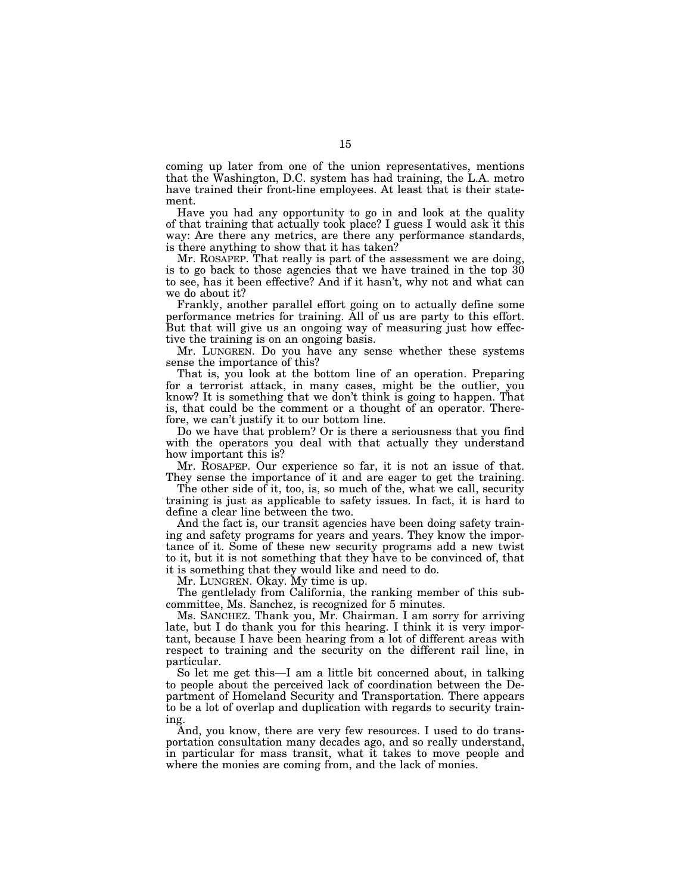coming up later from one of the union representatives, mentions that the Washington, D.C. system has had training, the L.A. metro have trained their front-line employees. At least that is their statement.

Have you had any opportunity to go in and look at the quality of that training that actually took place? I guess I would ask it this way: Are there any metrics, are there any performance standards, is there anything to show that it has taken?

Mr. ROSAPEP. That really is part of the assessment we are doing, is to go back to those agencies that we have trained in the top 30 to see, has it been effective? And if it hasn't, why not and what can we do about it?

Frankly, another parallel effort going on to actually define some performance metrics for training. All of us are party to this effort. But that will give us an ongoing way of measuring just how effective the training is on an ongoing basis.

Mr. LUNGREN. Do you have any sense whether these systems sense the importance of this?

That is, you look at the bottom line of an operation. Preparing for a terrorist attack, in many cases, might be the outlier, you know? It is something that we don't think is going to happen. That is, that could be the comment or a thought of an operator. Therefore, we can't justify it to our bottom line.

Do we have that problem? Or is there a seriousness that you find with the operators you deal with that actually they understand how important this is?

Mr. ROSAPEP. Our experience so far, it is not an issue of that. They sense the importance of it and are eager to get the training.

The other side of it, too, is, so much of the, what we call, security training is just as applicable to safety issues. In fact, it is hard to define a clear line between the two.

And the fact is, our transit agencies have been doing safety training and safety programs for years and years. They know the importance of it. Some of these new security programs add a new twist to it, but it is not something that they have to be convinced of, that it is something that they would like and need to do.

Mr. LUNGREN. Okay. My time is up.

The gentlelady from California, the ranking member of this subcommittee, Ms. Sanchez, is recognized for 5 minutes.

Ms. SANCHEZ. Thank you, Mr. Chairman. I am sorry for arriving late, but I do thank you for this hearing. I think it is very important, because I have been hearing from a lot of different areas with respect to training and the security on the different rail line, in particular.

So let me get this—I am a little bit concerned about, in talking to people about the perceived lack of coordination between the Department of Homeland Security and Transportation. There appears to be a lot of overlap and duplication with regards to security training.

And, you know, there are very few resources. I used to do transportation consultation many decades ago, and so really understand, in particular for mass transit, what it takes to move people and where the monies are coming from, and the lack of monies.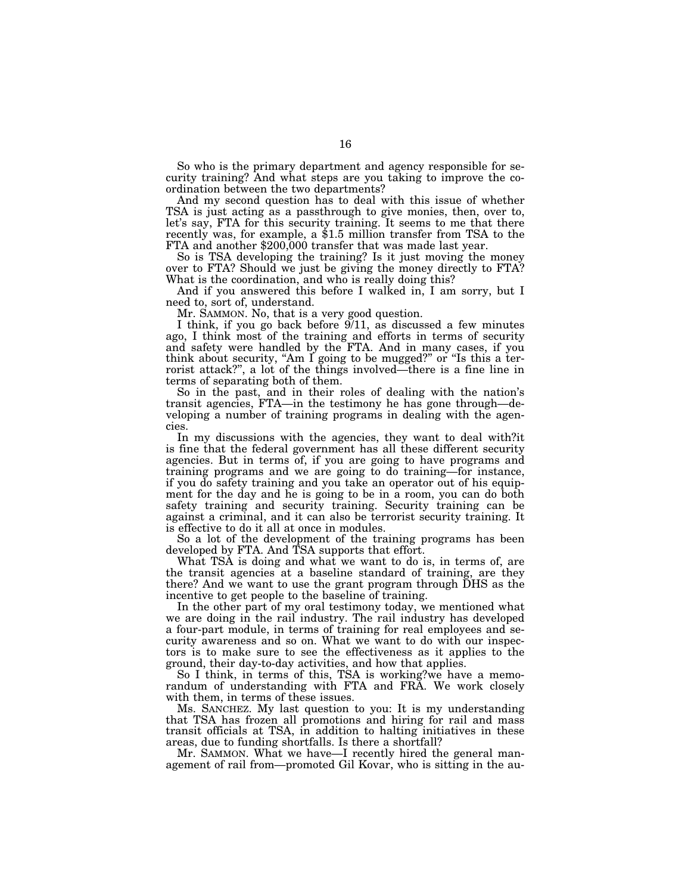So who is the primary department and agency responsible for security training? And what steps are you taking to improve the coordination between the two departments?

And my second question has to deal with this issue of whether TSA is just acting as a passthrough to give monies, then, over to, let's say, FTA for this security training. It seems to me that there recently was, for example, a \$1.5 million transfer from TSA to the FTA and another \$200,000 transfer that was made last year.

So is TSA developing the training? Is it just moving the money over to FTA? Should we just be giving the money directly to FTA? What is the coordination, and who is really doing this?

And if you answered this before I walked in, I am sorry, but I need to, sort of, understand.

Mr. SAMMON. No, that is a very good question.

I think, if you go back before 9/11, as discussed a few minutes ago, I think most of the training and efforts in terms of security and safety were handled by the FTA. And in many cases, if you think about security, "Am I going to be mugged?" or "Is this a terrorist attack?'', a lot of the things involved—there is a fine line in terms of separating both of them.

So in the past, and in their roles of dealing with the nation's transit agencies, FTA—in the testimony he has gone through—developing a number of training programs in dealing with the agencies.

In my discussions with the agencies, they want to deal with?it is fine that the federal government has all these different security agencies. But in terms of, if you are going to have programs and training programs and we are going to do training—for instance, if you do safety training and you take an operator out of his equipment for the day and he is going to be in a room, you can do both safety training and security training. Security training can be against a criminal, and it can also be terrorist security training. It is effective to do it all at once in modules.

So a lot of the development of the training programs has been developed by FTA. And TSA supports that effort.

What TSA is doing and what we want to do is, in terms of, are the transit agencies at a baseline standard of training, are they there? And we want to use the grant program through DHS as the incentive to get people to the baseline of training.

In the other part of my oral testimony today, we mentioned what we are doing in the rail industry. The rail industry has developed a four-part module, in terms of training for real employees and security awareness and so on. What we want to do with our inspectors is to make sure to see the effectiveness as it applies to the ground, their day-to-day activities, and how that applies.

So I think, in terms of this, TSA is working?we have a memorandum of understanding with FTA and FRA. We work closely with them, in terms of these issues.

Ms. SANCHEZ. My last question to you: It is my understanding that TSA has frozen all promotions and hiring for rail and mass transit officials at TSA, in addition to halting initiatives in these areas, due to funding shortfalls. Is there a shortfall?

Mr. SAMMON. What we have—I recently hired the general management of rail from—promoted Gil Kovar, who is sitting in the au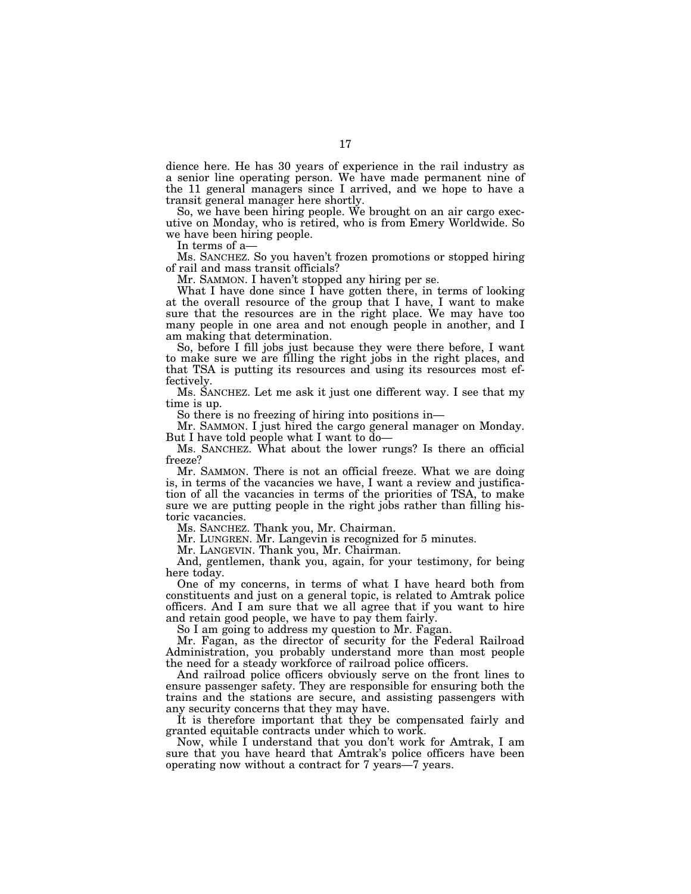dience here. He has 30 years of experience in the rail industry as a senior line operating person. We have made permanent nine of the 11 general managers since I arrived, and we hope to have a transit general manager here shortly.

So, we have been hiring people. We brought on an air cargo executive on Monday, who is retired, who is from Emery Worldwide. So we have been hiring people.

In terms of a—

Ms. SANCHEZ. So you haven't frozen promotions or stopped hiring of rail and mass transit officials?

Mr. SAMMON. I haven't stopped any hiring per se.

What I have done since I have gotten there, in terms of looking at the overall resource of the group that I have, I want to make sure that the resources are in the right place. We may have too many people in one area and not enough people in another, and I am making that determination.

So, before I fill jobs just because they were there before, I want to make sure we are filling the right jobs in the right places, and that TSA is putting its resources and using its resources most effectively.

Ms. SANCHEZ. Let me ask it just one different way. I see that my time is up.

So there is no freezing of hiring into positions in—

Mr. SAMMON. I just hired the cargo general manager on Monday. But I have told people what I want to do—

Ms. SANCHEZ. What about the lower rungs? Is there an official freeze?

Mr. SAMMON. There is not an official freeze. What we are doing is, in terms of the vacancies we have, I want a review and justification of all the vacancies in terms of the priorities of TSA, to make sure we are putting people in the right jobs rather than filling historic vacancies.

Ms. SANCHEZ. Thank you, Mr. Chairman.

Mr. LUNGREN. Mr. Langevin is recognized for 5 minutes.

Mr. LANGEVIN. Thank you, Mr. Chairman.

And, gentlemen, thank you, again, for your testimony, for being here today.

One of my concerns, in terms of what I have heard both from constituents and just on a general topic, is related to Amtrak police officers. And I am sure that we all agree that if you want to hire and retain good people, we have to pay them fairly.

So I am going to address my question to Mr. Fagan.

Mr. Fagan, as the director of security for the Federal Railroad Administration, you probably understand more than most people the need for a steady workforce of railroad police officers.

And railroad police officers obviously serve on the front lines to ensure passenger safety. They are responsible for ensuring both the trains and the stations are secure, and assisting passengers with any security concerns that they may have.

It is therefore important that they be compensated fairly and granted equitable contracts under which to work.

Now, while I understand that you don't work for Amtrak, I am sure that you have heard that Amtrak's police officers have been operating now without a contract for 7 years—7 years.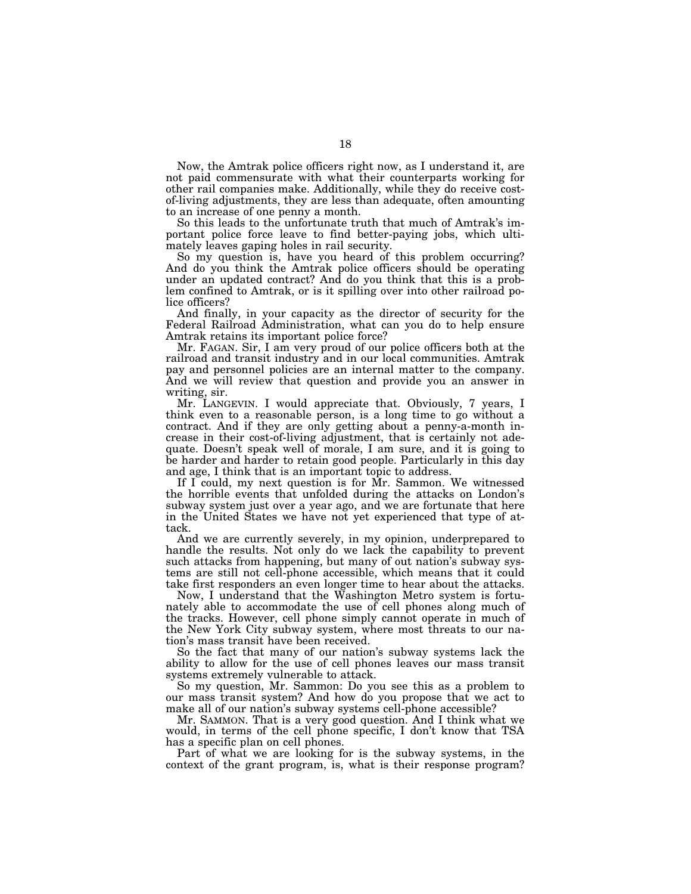Now, the Amtrak police officers right now, as I understand it, are not paid commensurate with what their counterparts working for other rail companies make. Additionally, while they do receive costof-living adjustments, they are less than adequate, often amounting to an increase of one penny a month.

So this leads to the unfortunate truth that much of Amtrak's important police force leave to find better-paying jobs, which ultimately leaves gaping holes in rail security.

So my question is, have you heard of this problem occurring? And do you think the Amtrak police officers should be operating under an updated contract? And do you think that this is a problem confined to Amtrak, or is it spilling over into other railroad police officers?

And finally, in your capacity as the director of security for the Federal Railroad Administration, what can you do to help ensure Amtrak retains its important police force?

Mr. FAGAN. Sir, I am very proud of our police officers both at the railroad and transit industry and in our local communities. Amtrak pay and personnel policies are an internal matter to the company. And we will review that question and provide you an answer in writing, sir.

Mr. LANGEVIN. I would appreciate that. Obviously, 7 years, I think even to a reasonable person, is a long time to go without a contract. And if they are only getting about a penny-a-month increase in their cost-of-living adjustment, that is certainly not adequate. Doesn't speak well of morale, I am sure, and it is going to be harder and harder to retain good people. Particularly in this day and age, I think that is an important topic to address.

If I could, my next question is for Mr. Sammon. We witnessed the horrible events that unfolded during the attacks on London's subway system just over a year ago, and we are fortunate that here in the United States we have not yet experienced that type of attack.

And we are currently severely, in my opinion, underprepared to handle the results. Not only do we lack the capability to prevent such attacks from happening, but many of out nation's subway systems are still not cell-phone accessible, which means that it could take first responders an even longer time to hear about the attacks.

Now, I understand that the Washington Metro system is fortunately able to accommodate the use of cell phones along much of the tracks. However, cell phone simply cannot operate in much of the New York City subway system, where most threats to our nation's mass transit have been received.

So the fact that many of our nation's subway systems lack the ability to allow for the use of cell phones leaves our mass transit systems extremely vulnerable to attack.

So my question, Mr. Sammon: Do you see this as a problem to our mass transit system? And how do you propose that we act to make all of our nation's subway systems cell-phone accessible?

Mr. SAMMON. That is a very good question. And I think what we would, in terms of the cell phone specific, I don't know that TSA has a specific plan on cell phones.

Part of what we are looking for is the subway systems, in the context of the grant program, is, what is their response program?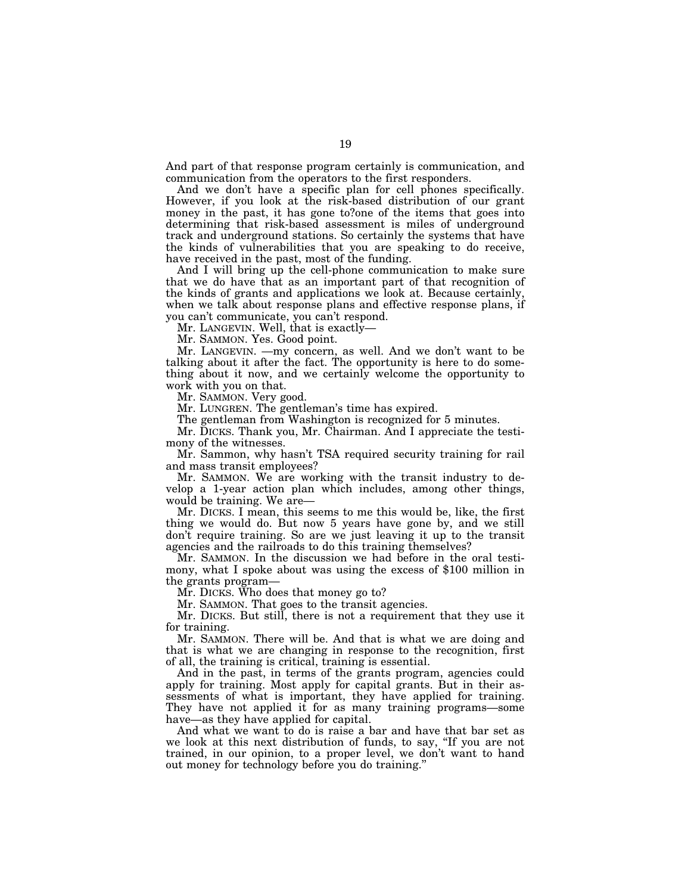And part of that response program certainly is communication, and communication from the operators to the first responders.

And we don't have a specific plan for cell phones specifically. However, if you look at the risk-based distribution of our grant money in the past, it has gone to?one of the items that goes into determining that risk-based assessment is miles of underground track and underground stations. So certainly the systems that have the kinds of vulnerabilities that you are speaking to do receive, have received in the past, most of the funding.

And I will bring up the cell-phone communication to make sure that we do have that as an important part of that recognition of the kinds of grants and applications we look at. Because certainly, when we talk about response plans and effective response plans, if you can't communicate, you can't respond.

Mr. LANGEVIN. Well, that is exactly—

Mr. SAMMON. Yes. Good point.

Mr. LANGEVIN. —my concern, as well. And we don't want to be talking about it after the fact. The opportunity is here to do something about it now, and we certainly welcome the opportunity to work with you on that.

Mr. SAMMON. Very good.

Mr. LUNGREN. The gentleman's time has expired.

The gentleman from Washington is recognized for 5 minutes.

Mr. DICKS. Thank you, Mr. Chairman. And I appreciate the testimony of the witnesses.

Mr. Sammon, why hasn't TSA required security training for rail and mass transit employees?

Mr. SAMMON. We are working with the transit industry to develop a 1-year action plan which includes, among other things, would be training. We are—

Mr. DICKS. I mean, this seems to me this would be, like, the first thing we would do. But now 5 years have gone by, and we still don't require training. So are we just leaving it up to the transit agencies and the railroads to do this training themselves?

Mr. SAMMON. In the discussion we had before in the oral testimony, what I spoke about was using the excess of \$100 million in the grants program—

Mr. DICKS. Who does that money go to?

Mr. SAMMON. That goes to the transit agencies.

Mr. DICKS. But still, there is not a requirement that they use it for training.

Mr. SAMMON. There will be. And that is what we are doing and that is what we are changing in response to the recognition, first of all, the training is critical, training is essential.

And in the past, in terms of the grants program, agencies could apply for training. Most apply for capital grants. But in their assessments of what is important, they have applied for training. They have not applied it for as many training programs—some have—as they have applied for capital.

And what we want to do is raise a bar and have that bar set as we look at this next distribution of funds, to say, ''If you are not trained, in our opinion, to a proper level, we don't want to hand out money for technology before you do training.''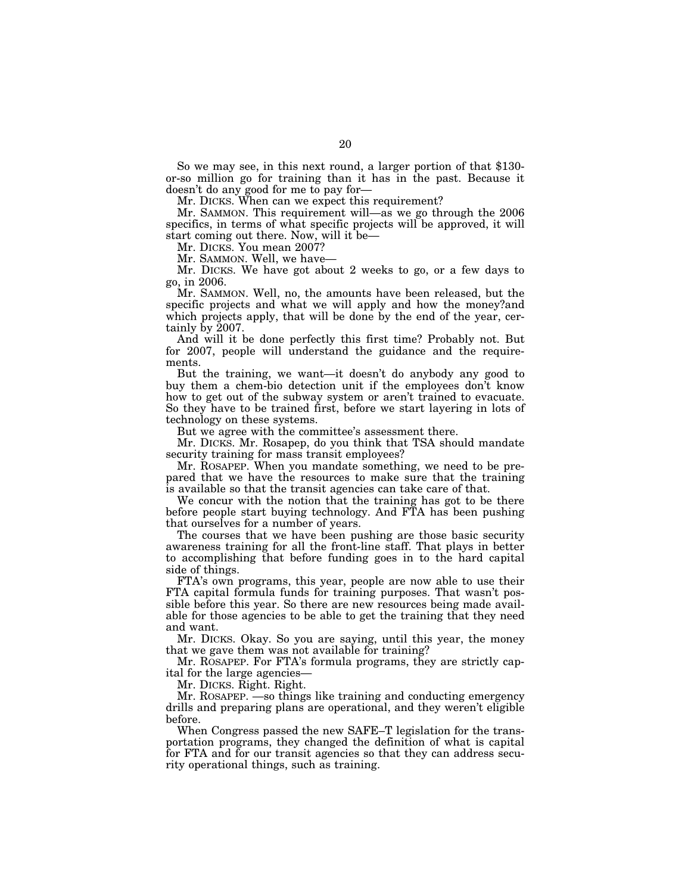So we may see, in this next round, a larger portion of that \$130 or-so million go for training than it has in the past. Because it doesn't do any good for me to pay for—

Mr. DICKS. When can we expect this requirement?

Mr. SAMMON. This requirement will—as we go through the 2006 specifics, in terms of what specific projects will be approved, it will start coming out there. Now, will it be—

Mr. DICKS. You mean 2007?

Mr. SAMMON. Well, we have—

Mr. DICKS. We have got about 2 weeks to go, or a few days to go, in 2006.

Mr. SAMMON. Well, no, the amounts have been released, but the specific projects and what we will apply and how the money?and which projects apply, that will be done by the end of the year, certainly by 2007.

And will it be done perfectly this first time? Probably not. But for 2007, people will understand the guidance and the requirements.

But the training, we want—it doesn't do anybody any good to buy them a chem-bio detection unit if the employees don't know how to get out of the subway system or aren't trained to evacuate. So they have to be trained first, before we start layering in lots of technology on these systems.

But we agree with the committee's assessment there.

Mr. DICKS. Mr. Rosapep, do you think that TSA should mandate security training for mass transit employees?

Mr. ROSAPEP. When you mandate something, we need to be prepared that we have the resources to make sure that the training is available so that the transit agencies can take care of that.

We concur with the notion that the training has got to be there before people start buying technology. And FTA has been pushing that ourselves for a number of years.

The courses that we have been pushing are those basic security awareness training for all the front-line staff. That plays in better to accomplishing that before funding goes in to the hard capital side of things.

FTA's own programs, this year, people are now able to use their FTA capital formula funds for training purposes. That wasn't possible before this year. So there are new resources being made available for those agencies to be able to get the training that they need and want.

Mr. DICKS. Okay. So you are saying, until this year, the money that we gave them was not available for training?

Mr. ROSAPEP. For FTA's formula programs, they are strictly capital for the large agencies—

Mr. DICKS. Right. Right.

Mr. ROSAPEP. —so things like training and conducting emergency drills and preparing plans are operational, and they weren't eligible before.

When Congress passed the new SAFE–T legislation for the transportation programs, they changed the definition of what is capital for FTA and for our transit agencies so that they can address security operational things, such as training.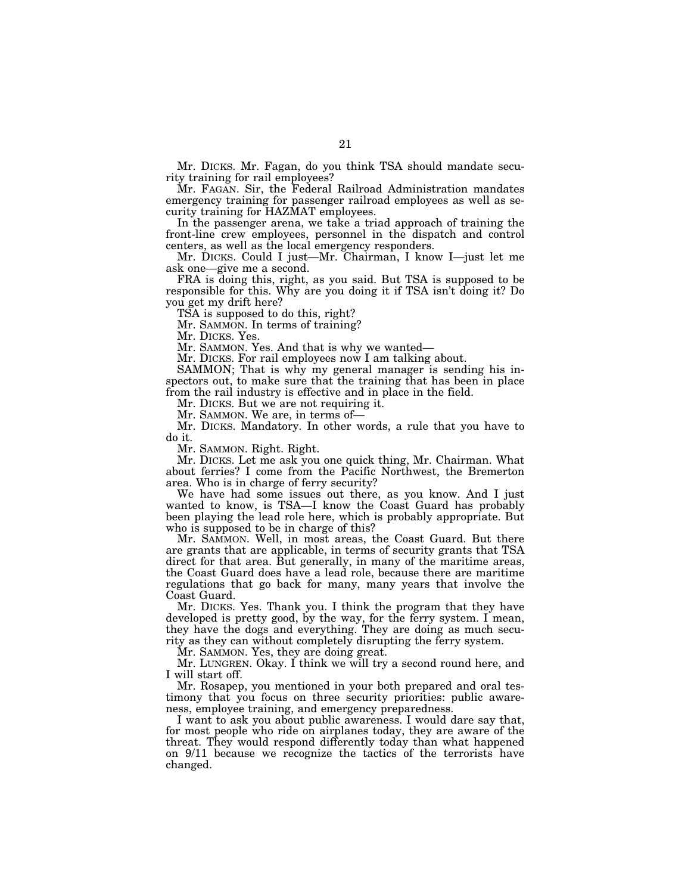Mr. DICKS. Mr. Fagan, do you think TSA should mandate security training for rail employees?

Mr. FAGAN. Sir, the Federal Railroad Administration mandates emergency training for passenger railroad employees as well as security training for HAZMAT employees.

In the passenger arena, we take a triad approach of training the front-line crew employees, personnel in the dispatch and control centers, as well as the local emergency responders.

Mr. DICKS. Could I just—Mr. Chairman, I know I—just let me ask one—give me a second.

FRA is doing this, right, as you said. But TSA is supposed to be responsible for this. Why are you doing it if TSA isn't doing it? Do you get my drift here?

TSA is supposed to do this, right?

Mr. SAMMON. In terms of training?

Mr. DICKS. Yes.

Mr. SAMMON. Yes. And that is why we wanted—

Mr. DICKS. For rail employees now I am talking about.

SAMMON; That is why my general manager is sending his inspectors out, to make sure that the training that has been in place from the rail industry is effective and in place in the field.

Mr. DICKS. But we are not requiring it.

Mr. SAMMON. We are, in terms of—

Mr. DICKS. Mandatory. In other words, a rule that you have to do it.

Mr. SAMMON. Right. Right.

Mr. DICKS. Let me ask you one quick thing, Mr. Chairman. What about ferries? I come from the Pacific Northwest, the Bremerton area. Who is in charge of ferry security?

We have had some issues out there, as you know. And I just wanted to know, is TSA—I know the Coast Guard has probably been playing the lead role here, which is probably appropriate. But who is supposed to be in charge of this?

Mr. SAMMON. Well, in most areas, the Coast Guard. But there are grants that are applicable, in terms of security grants that TSA direct for that area. But generally, in many of the maritime areas, the Coast Guard does have a lead role, because there are maritime regulations that go back for many, many years that involve the Coast Guard.

Mr. DICKS. Yes. Thank you. I think the program that they have developed is pretty good, by the way, for the ferry system. I mean, they have the dogs and everything. They are doing as much security as they can without completely disrupting the ferry system.

Mr. SAMMON. Yes, they are doing great.

Mr. LUNGREN. Okay. I think we will try a second round here, and I will start off.

Mr. Rosapep, you mentioned in your both prepared and oral testimony that you focus on three security priorities: public awareness, employee training, and emergency preparedness.

I want to ask you about public awareness. I would dare say that, for most people who ride on airplanes today, they are aware of the threat. They would respond differently today than what happened on 9/11 because we recognize the tactics of the terrorists have changed.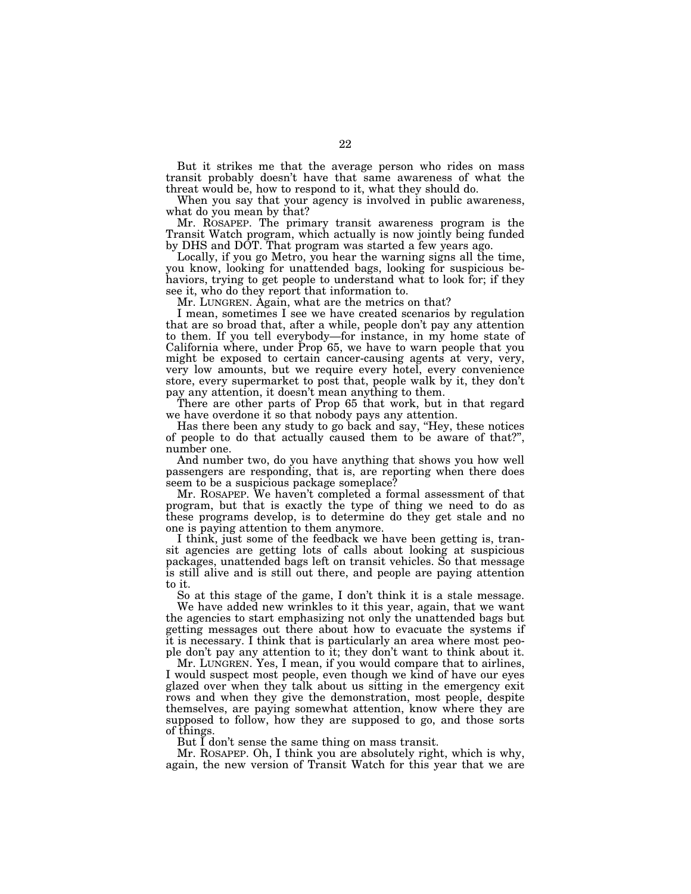But it strikes me that the average person who rides on mass transit probably doesn't have that same awareness of what the threat would be, how to respond to it, what they should do.

When you say that your agency is involved in public awareness, what do you mean by that?

Mr. ROSAPEP. The primary transit awareness program is the Transit Watch program, which actually is now jointly being funded by DHS and DOT. That program was started a few years ago.

Locally, if you go Metro, you hear the warning signs all the time, you know, looking for unattended bags, looking for suspicious behaviors, trying to get people to understand what to look for; if they see it, who do they report that information to.

Mr. LUNGREN. Again, what are the metrics on that?

I mean, sometimes I see we have created scenarios by regulation that are so broad that, after a while, people don't pay any attention to them. If you tell everybody—for instance, in my home state of California where, under Prop 65, we have to warn people that you might be exposed to certain cancer-causing agents at very, very, very low amounts, but we require every hotel, every convenience store, every supermarket to post that, people walk by it, they don't pay any attention, it doesn't mean anything to them.

There are other parts of Prop 65 that work, but in that regard we have overdone it so that nobody pays any attention.

Has there been any study to go back and say, ''Hey, these notices of people to do that actually caused them to be aware of that?'', number one.

And number two, do you have anything that shows you how well passengers are responding, that is, are reporting when there does seem to be a suspicious package someplace?

Mr. ROSAPEP. We haven't completed a formal assessment of that program, but that is exactly the type of thing we need to do as these programs develop, is to determine do they get stale and no one is paying attention to them anymore.

I think, just some of the feedback we have been getting is, transit agencies are getting lots of calls about looking at suspicious packages, unattended bags left on transit vehicles. So that message is still alive and is still out there, and people are paying attention to it.

So at this stage of the game, I don't think it is a stale message.

We have added new wrinkles to it this year, again, that we want the agencies to start emphasizing not only the unattended bags but getting messages out there about how to evacuate the systems if it is necessary. I think that is particularly an area where most people don't pay any attention to it; they don't want to think about it.

Mr. LUNGREN. Yes, I mean, if you would compare that to airlines, I would suspect most people, even though we kind of have our eyes glazed over when they talk about us sitting in the emergency exit rows and when they give the demonstration, most people, despite themselves, are paying somewhat attention, know where they are supposed to follow, how they are supposed to go, and those sorts of things.

But I don't sense the same thing on mass transit.

Mr. ROSAPEP. Oh, I think you are absolutely right, which is why, again, the new version of Transit Watch for this year that we are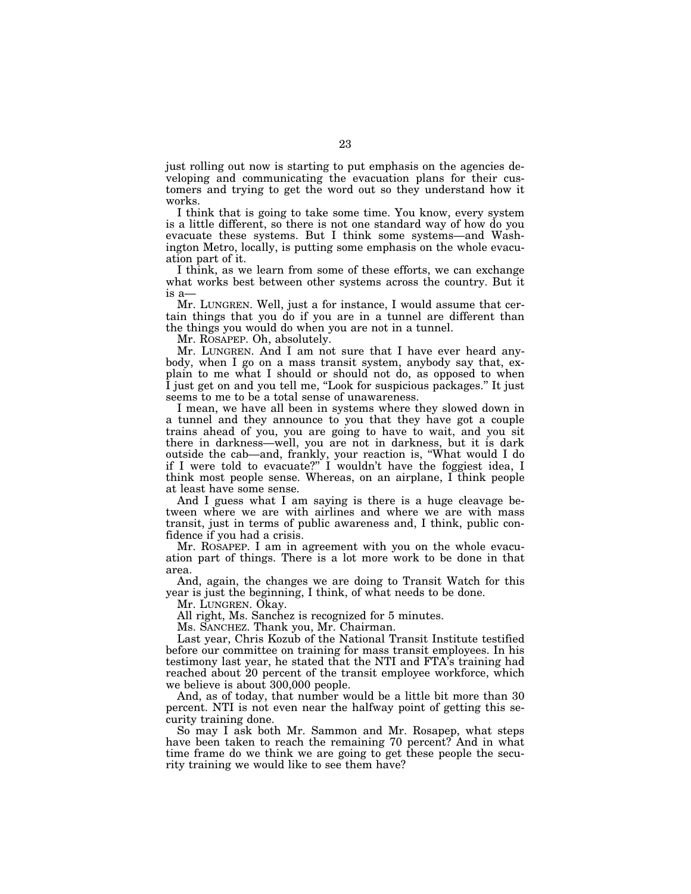just rolling out now is starting to put emphasis on the agencies developing and communicating the evacuation plans for their customers and trying to get the word out so they understand how it works.

I think that is going to take some time. You know, every system is a little different, so there is not one standard way of how do you evacuate these systems. But I think some systems—and Washington Metro, locally, is putting some emphasis on the whole evacuation part of it.

I think, as we learn from some of these efforts, we can exchange what works best between other systems across the country. But it is a—

Mr. LUNGREN. Well, just a for instance, I would assume that certain things that you do if you are in a tunnel are different than the things you would do when you are not in a tunnel.

Mr. ROSAPEP. Oh, absolutely.

Mr. LUNGREN. And I am not sure that I have ever heard anybody, when I go on a mass transit system, anybody say that, explain to me what I should or should not do, as opposed to when I just get on and you tell me, ''Look for suspicious packages.'' It just seems to me to be a total sense of unawareness.

I mean, we have all been in systems where they slowed down in a tunnel and they announce to you that they have got a couple trains ahead of you, you are going to have to wait, and you sit there in darkness—well, you are not in darkness, but it is dark outside the cab—and, frankly, your reaction is, ''What would I do if I were told to evacuate?'' I wouldn't have the foggiest idea, I think most people sense. Whereas, on an airplane, I think people at least have some sense.

And I guess what I am saying is there is a huge cleavage between where we are with airlines and where we are with mass transit, just in terms of public awareness and, I think, public confidence if you had a crisis.

Mr. ROSAPEP. I am in agreement with you on the whole evacuation part of things. There is a lot more work to be done in that area.

And, again, the changes we are doing to Transit Watch for this year is just the beginning, I think, of what needs to be done.

Mr. LUNGREN. Okay.

All right, Ms. Sanchez is recognized for 5 minutes.

Ms. SANCHEZ. Thank you, Mr. Chairman.

Last year, Chris Kozub of the National Transit Institute testified before our committee on training for mass transit employees. In his testimony last year, he stated that the NTI and FTA's training had reached about 20 percent of the transit employee workforce, which we believe is about 300,000 people.

And, as of today, that number would be a little bit more than 30 percent. NTI is not even near the halfway point of getting this security training done.

So may I ask both Mr. Sammon and Mr. Rosapep, what steps have been taken to reach the remaining 70 percent? And in what time frame do we think we are going to get these people the security training we would like to see them have?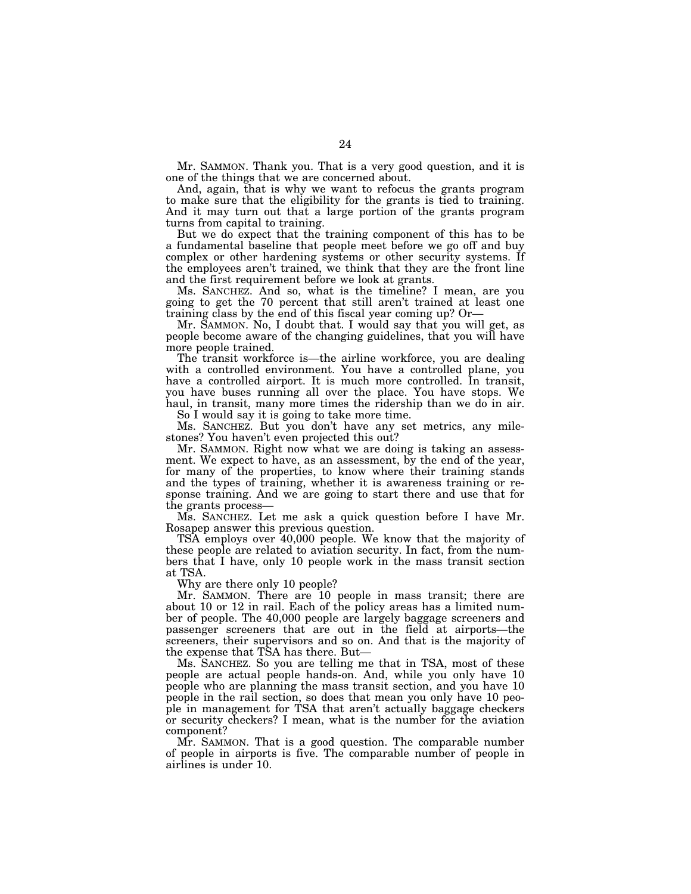Mr. SAMMON. Thank you. That is a very good question, and it is one of the things that we are concerned about.

And, again, that is why we want to refocus the grants program to make sure that the eligibility for the grants is tied to training. And it may turn out that a large portion of the grants program turns from capital to training.

But we do expect that the training component of this has to be a fundamental baseline that people meet before we go off and buy complex or other hardening systems or other security systems. If the employees aren't trained, we think that they are the front line and the first requirement before we look at grants.

Ms. SANCHEZ. And so, what is the timeline? I mean, are you going to get the 70 percent that still aren't trained at least one training class by the end of this fiscal year coming up? Or—

Mr. SAMMON. No, I doubt that. I would say that you will get, as people become aware of the changing guidelines, that you will have more people trained.

The transit workforce is—the airline workforce, you are dealing with a controlled environment. You have a controlled plane, you have a controlled airport. It is much more controlled. In transit, you have buses running all over the place. You have stops. We haul, in transit, many more times the ridership than we do in air.

So I would say it is going to take more time.

Ms. SANCHEZ. But you don't have any set metrics, any milestones? You haven't even projected this out?

Mr. SAMMON. Right now what we are doing is taking an assessment. We expect to have, as an assessment, by the end of the year, for many of the properties, to know where their training stands and the types of training, whether it is awareness training or response training. And we are going to start there and use that for the grants process—

Ms. SANCHEZ. Let me ask a quick question before I have Mr. Rosapep answer this previous question.

TSA employs over 40,000 people. We know that the majority of these people are related to aviation security. In fact, from the numbers that I have, only 10 people work in the mass transit section at TSA.

Why are there only 10 people?

Mr. SAMMON. There are 10 people in mass transit; there are about 10 or 12 in rail. Each of the policy areas has a limited number of people. The 40,000 people are largely baggage screeners and passenger screeners that are out in the field at airports—the screeners, their supervisors and so on. And that is the majority of the expense that TSA has there. But—

Ms. SANCHEZ. So you are telling me that in TSA, most of these people are actual people hands-on. And, while you only have 10 people who are planning the mass transit section, and you have 10 people in the rail section, so does that mean you only have 10 people in management for TSA that aren't actually baggage checkers or security checkers? I mean, what is the number for the aviation component?

Mr. SAMMON. That is a good question. The comparable number of people in airports is five. The comparable number of people in airlines is under 10.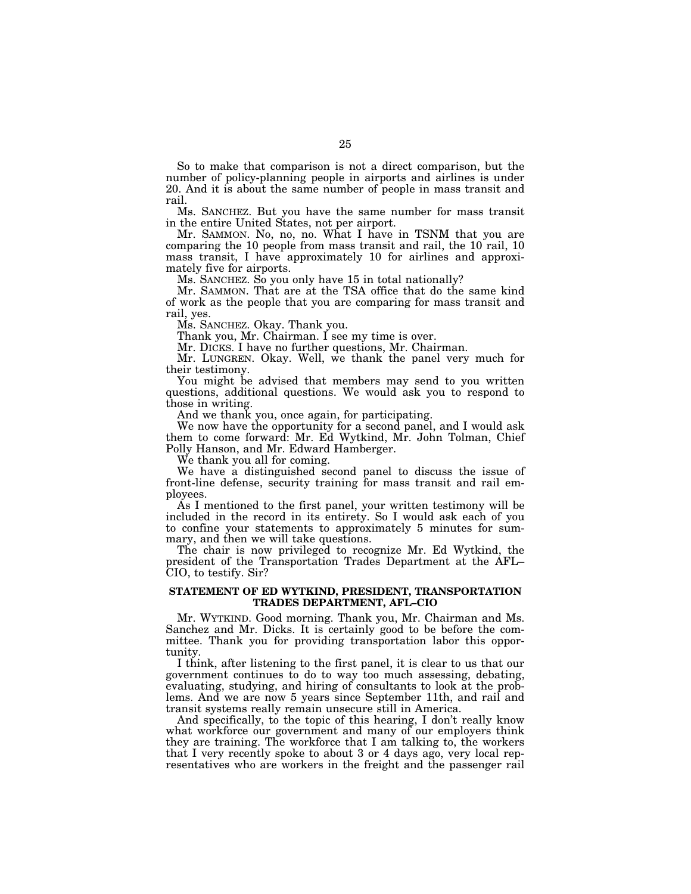So to make that comparison is not a direct comparison, but the number of policy-planning people in airports and airlines is under 20. And it is about the same number of people in mass transit and rail.

Ms. SANCHEZ. But you have the same number for mass transit in the entire United States, not per airport.

Mr. SAMMON. No, no, no. What I have in TSNM that you are comparing the 10 people from mass transit and rail, the 10 rail, 10 mass transit, I have approximately 10 for airlines and approximately five for airports.

Ms. SANCHEZ. So you only have 15 in total nationally?

Mr. SAMMON. That are at the TSA office that do the same kind of work as the people that you are comparing for mass transit and rail, yes.

Ms. SANCHEZ. Okay. Thank you.

Thank you, Mr. Chairman. I see my time is over.

Mr. DICKS. I have no further questions, Mr. Chairman.

Mr. LUNGREN. Okay. Well, we thank the panel very much for their testimony.

You might be advised that members may send to you written questions, additional questions. We would ask you to respond to those in writing.

And we thank you, once again, for participating.

We now have the opportunity for a second panel, and I would ask them to come forward: Mr. Ed Wytkind, Mr. John Tolman, Chief Polly Hanson, and Mr. Edward Hamberger.

We thank you all for coming.

We have a distinguished second panel to discuss the issue of front-line defense, security training for mass transit and rail employees.

As I mentioned to the first panel, your written testimony will be included in the record in its entirety. So I would ask each of you to confine your statements to approximately 5 minutes for summary, and then we will take questions.

The chair is now privileged to recognize Mr. Ed Wytkind, the president of the Transportation Trades Department at the AFL– CIO, to testify. Sir?

### **STATEMENT OF ED WYTKIND, PRESIDENT, TRANSPORTATION TRADES DEPARTMENT, AFL–CIO**

Mr. WYTKIND. Good morning. Thank you, Mr. Chairman and Ms. Sanchez and Mr. Dicks. It is certainly good to be before the committee. Thank you for providing transportation labor this opportunity.

I think, after listening to the first panel, it is clear to us that our government continues to do to way too much assessing, debating, evaluating, studying, and hiring of consultants to look at the problems. And we are now 5 years since September 11th, and rail and transit systems really remain unsecure still in America.

And specifically, to the topic of this hearing, I don't really know what workforce our government and many of our employers think they are training. The workforce that I am talking to, the workers that I very recently spoke to about 3 or 4 days ago, very local representatives who are workers in the freight and the passenger rail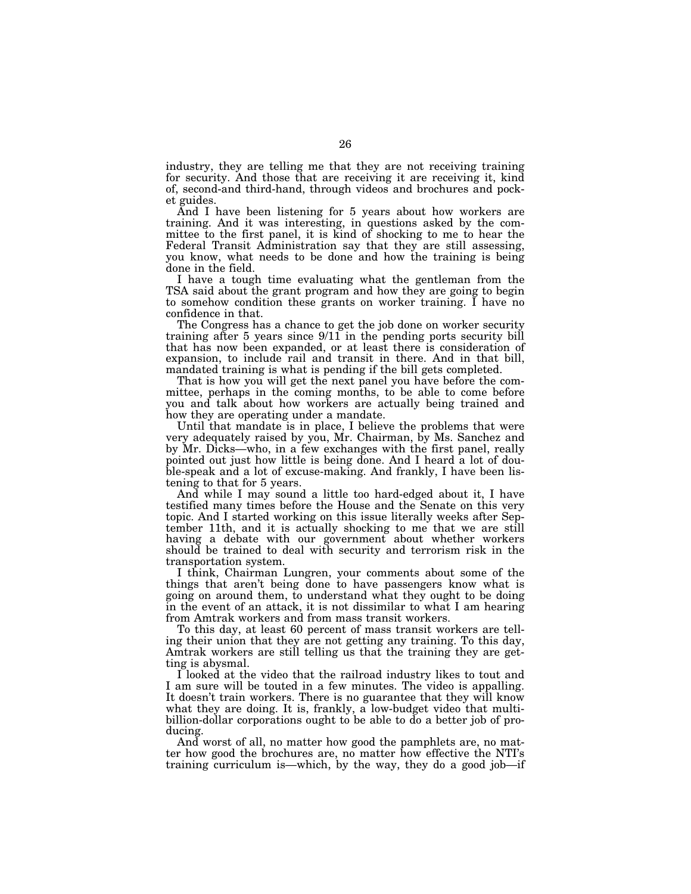industry, they are telling me that they are not receiving training for security. And those that are receiving it are receiving it, kind of, second-and third-hand, through videos and brochures and pocket guides.

And I have been listening for 5 years about how workers are training. And it was interesting, in questions asked by the committee to the first panel, it is kind of shocking to me to hear the Federal Transit Administration say that they are still assessing, you know, what needs to be done and how the training is being done in the field.

I have a tough time evaluating what the gentleman from the TSA said about the grant program and how they are going to begin to somehow condition these grants on worker training. I have no confidence in that.

The Congress has a chance to get the job done on worker security training after 5 years since 9/11 in the pending ports security bill that has now been expanded, or at least there is consideration of expansion, to include rail and transit in there. And in that bill, mandated training is what is pending if the bill gets completed.

That is how you will get the next panel you have before the committee, perhaps in the coming months, to be able to come before you and talk about how workers are actually being trained and how they are operating under a mandate.

Until that mandate is in place, I believe the problems that were very adequately raised by you, Mr. Chairman, by Ms. Sanchez and by Mr. Dicks—who, in a few exchanges with the first panel, really pointed out just how little is being done. And I heard a lot of double-speak and a lot of excuse-making. And frankly, I have been listening to that for 5 years.

And while I may sound a little too hard-edged about it, I have testified many times before the House and the Senate on this very topic. And I started working on this issue literally weeks after September 11th, and it is actually shocking to me that we are still having a debate with our government about whether workers should be trained to deal with security and terrorism risk in the transportation system.

I think, Chairman Lungren, your comments about some of the things that aren't being done to have passengers know what is going on around them, to understand what they ought to be doing in the event of an attack, it is not dissimilar to what I am hearing from Amtrak workers and from mass transit workers.

To this day, at least 60 percent of mass transit workers are telling their union that they are not getting any training. To this day, Amtrak workers are still telling us that the training they are getting is abysmal.

I looked at the video that the railroad industry likes to tout and I am sure will be touted in a few minutes. The video is appalling. It doesn't train workers. There is no guarantee that they will know what they are doing. It is, frankly, a low-budget video that multibillion-dollar corporations ought to be able to do a better job of producing.

And worst of all, no matter how good the pamphlets are, no matter how good the brochures are, no matter how effective the NTI's training curriculum is—which, by the way, they do a good job—if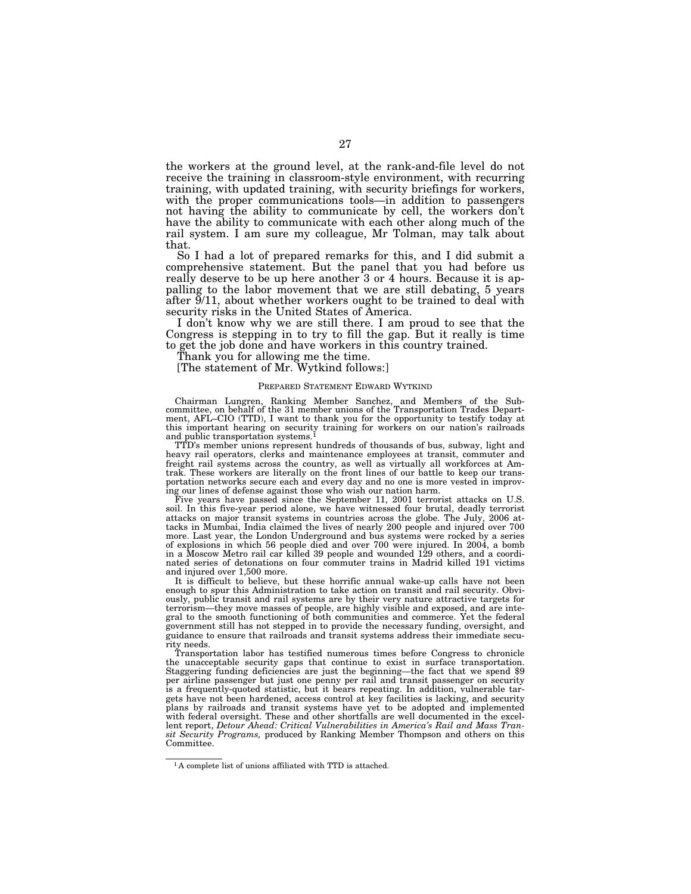the workers at the ground level, at the rank-and-file level do not receive the training in classroom-style environment, with recurring training, with updated training, with security briefings for workers, with the proper communications tools—in addition to passengers not having the ability to communicate by cell, the workers don't have the ability to communicate with each other along much of the rail system. I am sure my colleague, Mr Tolman, may talk about that.

So I had a lot of prepared remarks for this, and I did submit a comprehensive statement. But the panel that you had before us really deserve to be up here another 3 or 4 hours. Because it is appalling to the labor movement that we are still debating, 5 years after 9/11, about whether workers ought to be trained to deal with security risks in the United States of America.

I don't know why we are still there. I am proud to see that the Congress is stepping in to try to fill the gap. But it really is time to get the job done and have workers in this country trained.

Thank you for allowing me the time.

[The statement of Mr. Wytkind follows:]

### PREPARED STATEMENT EDWARD WYTKIND

Chairman Lungren, Ranking Member Sanchez, and Members of the Sub-committee, on behalf of the 31 member unions of the Transportation Trades Department, AFL–CIO (TTD), I want to thank you for the opportunity to testify today at this important hearing on security training for workers on our nation's railroads and public transportation systems.1

TTD's member unions represent hundreds of thousands of bus, subway, light and heavy rail operators, clerks and maintenance employees at transit, commuter and freight rail systems across the country, as well as virtually all workforces at Amtrak. These workers are literally on the front lines of our battle to keep our transportation networks secure each and every day and no one is more vested in improving our lines of defense against those who wish our nation harm.

Five years have passed since the September 11, 2001 terrorist attacks on U.S. soil. In this five-year period alone, we have witnessed four brutal, deadly terrorist attacks on major transit systems in countries across the globe. The July, 2006 attacks in Mumbai, India claimed the lives of nearly 200 people and injured over 700 more. Last year, the London Underground and bus systems were rocked by a series of explosions in which 56 people died and over 700 were injured. In 2004, a bomb in a Moscow Metro rail car killed 39 people and wounded 129 others, and a coordinated series of detonations on four commuter trains in Madrid killed 191 victims and injured over 1,500 more.

It is difficult to believe, but these horrific annual wake-up calls have not been enough to spur this Administration to take action on transit and rail security. Obviously, public transit and rail systems are by their very nature attractive targets for terrorism—they move masses of people, are highly visible and exposed, and are integral to the smooth functioning of both communities and commerce. Yet the federal government still has not stepped in to provide the necessary funding, oversight, and guidance to ensure that railroads and transit systems address their immediate security needs.

Transportation labor has testified numerous times before Congress to chronicle the unacceptable security gaps that continue to exist in surface transportation. Staggering funding deficiencies are just the beginning—the fact that we spend \$9 per airline passenger but just one penny per rail and transit passenger on security is a frequently-quoted statistic, but it bears repeating. In addition, vulnerable targets have not been hardened, access control at key facilities is lacking, and security plans by railroads and transit systems have yet to be adopted and implemented with federal oversight. These and other shortfalls are well documented in the excellent report, *Detour Ahead: Critical Vulnerabilities in America's Rail and Mass Transit Security Programs,* produced by Ranking Member Thompson and others on this Committee.

<sup>1</sup> A complete list of unions affiliated with TTD is attached.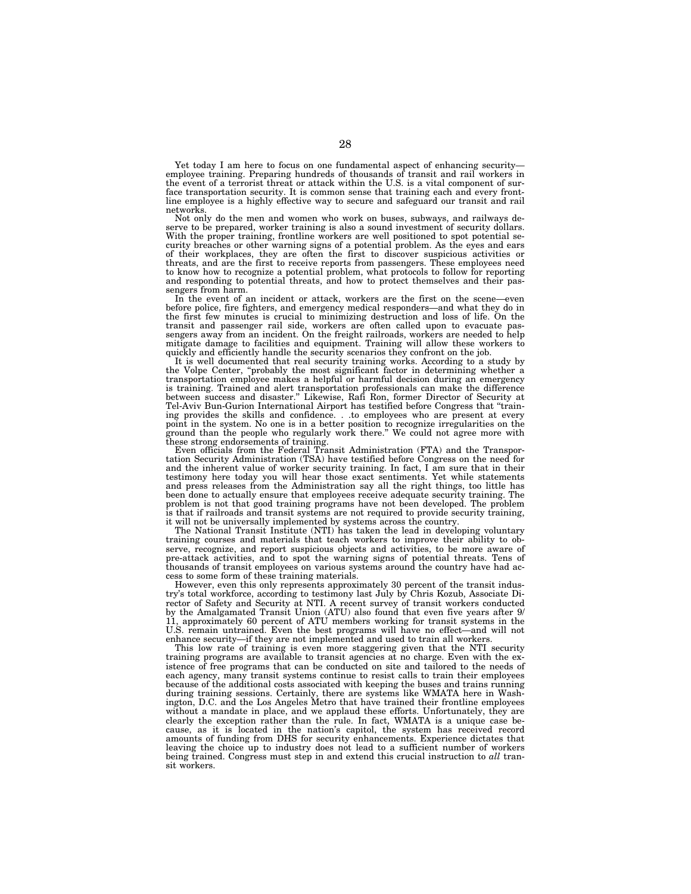Yet today I am here to focus on one fundamental aspect of enhancing security employee training. Preparing hundreds of thousands of transit and rail workers in the event of a terrorist threat or attack within the U.S. is a vital component of surface transportation security. It is common sense that training each and every frontline employee is a highly effective way to secure and safeguard our transit and rail networks.

Not only do the men and women who work on buses, subways, and railways deserve to be prepared, worker training is also a sound investment of security dollars. With the proper training, frontline workers are well positioned to spot potential security breaches or other warning signs of a potential problem. As the eyes and ears of their workplaces, they are often the first to discover suspicious activities or threats, and are the first to receive reports from passengers. These employees need to know how to recognize a potential problem, what protocols to follow for reporting and responding to potential threats, and how to protect themselves and their passengers from harm.

In the event of an incident or attack, workers are the first on the scene—even before police, fire fighters, and emergency medical responders—and what they do in the first few minutes is crucial to minimizing destruction and loss of life. On the transit and passenger rail side, workers are often called upon to evacuate passengers away from an incident. On the freight railroads, workers are needed to help mitigate damage to facilities and equipment. Training will allow these workers to quickly and efficiently handle the security scenarios they confront on the job.

It is well documented that real security training works. According to a study by the Volpe Center, "probably the most significant factor in determining whether a transportation employee makes a helpful or harmful decision during an emergency is training. Trained and alert transportation professionals can make the difference between success and disaster.'' Likewise, Rafi Ron, former Director of Security at Tel-Aviv Bun-Gurion International Airport has testified before Congress that ''training provides the skills and confidence. . .to employees who are present at every point in the system. No one is in a better position to recognize irregularities on the ground than the people who regularly work there." We c

Even officials from the Federal Transit Administration (FTA) and the Transportation Security Administration (TSA) have testified before Congress on the need for and the inherent value of worker security training. In fact, I am sure that in their testimony here today you will hear those exact sentiments. Yet while statements and press releases from the Administration say all the right things, too little has been done to actually ensure that employees receive adequate security training. The problem is not that good training programs have not been developed. The problem is that if railroads and transit systems are not required to provide security training, it will not be universally implemented by systems across the country.

The National Transit Institute (NTI) has taken the lead in developing voluntary training courses and materials that teach workers to improve their ability to observe, recognize, and report suspicious objects and activities, to be more aware of pre-attack activities, and to spot the warning signs of potential threats. Tens of thousands of transit employees on various systems around the country have had access to some form of these training materials.

However, even this only represents approximately 30 percent of the transit industry's total workforce, according to testimony last July by Chris Kozub, Associate Director of Safety and Security at NTI. A recent survey of transit workers conducted by the Amalgamated Transit Union (ATU) also found that even five years after 9/ 11, approximately 60 percent of ATU members working for transit systems in the U.S. remain untrained. Even the best programs will have no effect—and will not enhance security—if they are not implemented and used to train all workers.

This low rate of training is even more staggering given that the NTI security training programs are available to transit agencies at no charge. Even with the existence of free programs that can be conducted on site and tailored to the needs of each agency, many transit systems continue to resist calls to train their employees because of the additional costs associated with keeping the buses and trains running during training sessions. Certainly, there are systems like WMATA here in Washington, D.C. and the Los Angeles Metro that have trained their frontline employees without a mandate in place, and we applaud these efforts. Unfortunately, they are clearly the exception rather than the rule. In fact, WMATA is a unique case because, as it is located in the nation's capitol, the system has received record amounts of funding from DHS for security enhancements. Experience dictates that leaving the choice up to industry does not lead to a sufficient number of workers being trained. Congress must step in and extend this crucial instruction to all transit workers.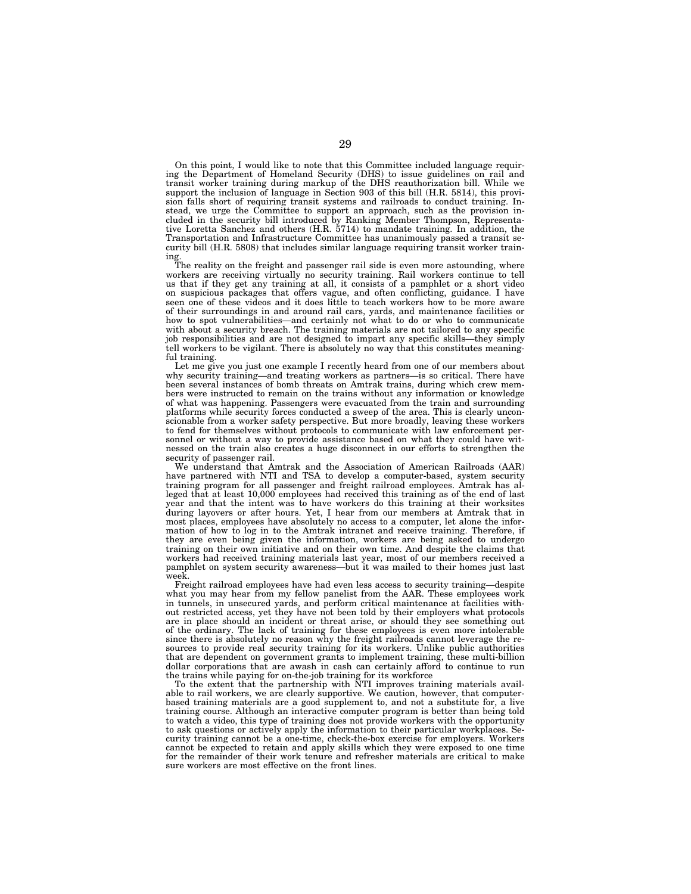On this point, I would like to note that this Committee included language requiring the Department of Homeland Security (DHS) to issue guidelines on rail and transit worker training during markup of the DHS reauthorization bill. While we support the inclusion of language in Section 903 of this bill (H.R. 5814), this provision falls short of requiring transit systems and railroads to conduct training. Instead, we urge the Committee to support an approach, such as the provision included in the security bill introduced by Ranking Member Thompson, Representative Loretta Sanchez and others (H.R. 5714) to mandate training. In addition, the Transportation and Infrastructure Committee has unanimously passed a transit security bill (H.R. 5808) that includes similar language requiring transit worker training.

The reality on the freight and passenger rail side is even more astounding, where workers are receiving virtually no security training. Rail workers continue to tell workers are receiving virtually no security returning. The normal construction of the use that if they get any training at all, it consists of a pamphlet or a short video on suspicious packages that offers vague, and often conflicting, guidance. I have seen one of these videos and it does little to teach workers how to be more aware of their surroundings in and around rail cars, yards, and maintenance facilities or how to spot vulnerabilities—and certainly not what to do or who to communicate with about a security breach. The training materials are not tailored to any specific job responsibilities and are not designed to impart any specific skills—they simply tell workers to be vigilant. There is absolutely no way that this constitutes meaningful training.

Let me give you just one example I recently heard from one of our members about why security training—and treating workers as partners—is so critical. There have been several instances of bomb threats on Amtrak trains, during which crew members were instructed to remain on the trains without any information or knowledge of what was happening. Passengers were evacuated from the train and surrounding platforms while security forces conducted a sweep of the area. This is clearly unconscionable from a worker safety perspective. But more broadly, leaving these workers to fend for themselves without protocols to communicate with law enforcement personnel or without a way to provide assistance based on what they could have witnessed on the train also creates a huge disconnect in our efforts to strengthen the security of passenger rail.

We understand that Amtrak and the Association of American Railroads (AAR) have partnered with NTI and TSA to develop a computer-based, system security training program for all passenger and freight railroad employees. Amtrak has alleged that at least 10,000 employees had received this training as of the end of last year and that the intent was to have workers do this training at their worksites during layovers or after hours. Yet, I hear from our members at Amtrak that in most places, employees have absolutely no access to a computer, let alone the information of how to log in to the Amtrak intranet and receive training. Therefore, if they are even being given the information, workers are being asked to undergo training on their own initiative and on their own time. And despite the claims that workers had received training materials last year, most of our members received a pamphlet on system security awareness—but it was mailed to their homes just last week.

Freight railroad employees have had even less access to security training—despite what you may hear from my fellow panelist from the AAR. These employees work in tunnels, in unsecured yards, and perform critical maintenance at facilities without restricted access, yet they have not been told by their employers what protocols are in place should an incident or threat arise, or should they see something out of the ordinary. The lack of training for these employees is even more intolerable since there is absolutely no reason why the freight railroads cannot leverage the resources to provide real security training for its workers. Unlike public authorities that are dependent on government grants to implement training, these multi-billion dollar corporations that are awash in cash can certainly afford to continue to run the trains while paying for on-the-job training for its workforce

To the extent that the partnership with NTI improves training materials available to rail workers, we are clearly supportive. We caution, however, that computerbased training materials are a good supplement to, and not a substitute for, a live training course. Although an interactive computer program is better than being told to watch a video, this type of training does not provide workers with the opportunity to ask questions or actively apply the information to their particular workplaces. Security training cannot be a one-time, check-the-box exercise for employers. Workers cannot be expected to retain and apply skills which they were exposed to one time for the remainder of their work tenure and refresher materials are critical to make sure workers are most effective on the front lines.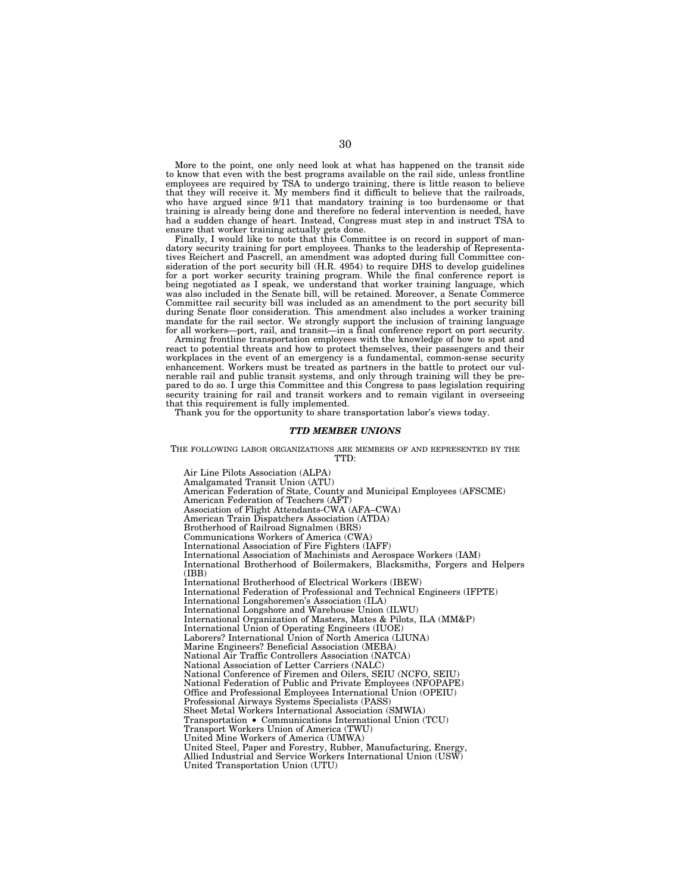More to the point, one only need look at what has happened on the transit side to know that even with the best programs available on the rail side, unless frontline employees are required by TSA to undergo training, there is little reason to believe that they will receive it. My members find it difficult to believe that the railroads, who have argued since 9/11 that mandatory training is too burdensome or that training is already being done and therefore no federal intervention is needed, have had a sudden change of heart. Instead, Congress must step in and instruct TSA to ensure that worker training actually gets done.

Finally, I would like to note that this Committee is on record in support of mandatory security training for port employees. Thanks to the leadership of Representatives Reichert and Pascrell, an amendment was adopted during full Committee consideration of the port security bill (H.R. 4954) to require DHS to develop guidelines for a port worker security training program. While the final conference report is being negotiated as I speak, we understand that worker training language, which was also included in the Senate bill, will be retained. Moreover, a Senate Commerce Committee rail security bill was included as an amendment to the port security bill during Senate floor consideration. This amendment also includes a worker training mandate for the rail sector. We strongly support the inclusion of training language for all workers—port, rail, and transit—in a final conference report on port security.

Arming frontline transportation employees with the knowledge of how to spot and react to potential threats and how to protect themselves, their passengers and their workplaces in the event of an emergency is a fundamental, common-sense security enhancement. Workers must be treated as partners in the battle to protect our vulnerable rail and public transit systems, and only through training will they be prepared to do so. I urge this Committee and this Congress to pass legislation requiring security training for rail and transit workers and to remain vigilant in overseeing that this requirement is fully implemented.

Thank you for the opportunity to share transportation labor's views today.

### *TTD MEMBER UNIONS*

THE FOLLOWING LABOR ORGANIZATIONS ARE MEMBERS OF AND REPRESENTED BY THE TTD:

Air Line Pilots Association (ALPA) Amalgamated Transit Union (ATU) American Federation of State, County and Municipal Employees (AFSCME) American Federation of Teachers (AFT) Association of Flight Attendants-CWA (AFA–CWA) American Train Dispatchers Association (ATDA) Brotherhood of Railroad Signalmen (BRS) Communications Workers of America (CWA) International Association of Fire Fighters (IAFF) International Association of Machinists and Aerospace Workers (IAM) International Brotherhood of Boilermakers, Blacksmiths, Forgers and Helpers (IBB) International Brotherhood of Electrical Workers (IBEW) International Federation of Professional and Technical Engineers (IFPTE) International Longshoremen's Association (ILA) International Longshore and Warehouse Union (ILWU) International Organization of Masters, Mates & Pilots, ILA (MM&P) International Union of Operating Engineers (IUOE) Laborers? International Union of North America (LIUNA) Marine Engineers? Beneficial Association (MEBA) National Air Traffic Controllers Association (NATCA) National Association of Letter Carriers (NALC) National Conference of Firemen and Oilers, SEIU (NCFO, SEIU) National Federation of Public and Private Employees (NFOPAPE) Office and Professional Employees International Union (OPEIU) Professional Airways Systems Specialists (PASS) Sheet Metal Workers International Association (SMWIA) Transportation • Communications International Union (TCU) Transport Workers Union of America (TWU) United Mine Workers of America (UMWA) United Steel, Paper and Forestry, Rubber, Manufacturing, Energy, Allied Industrial and Service Workers International Union (USW) United Transportation Union (UTU)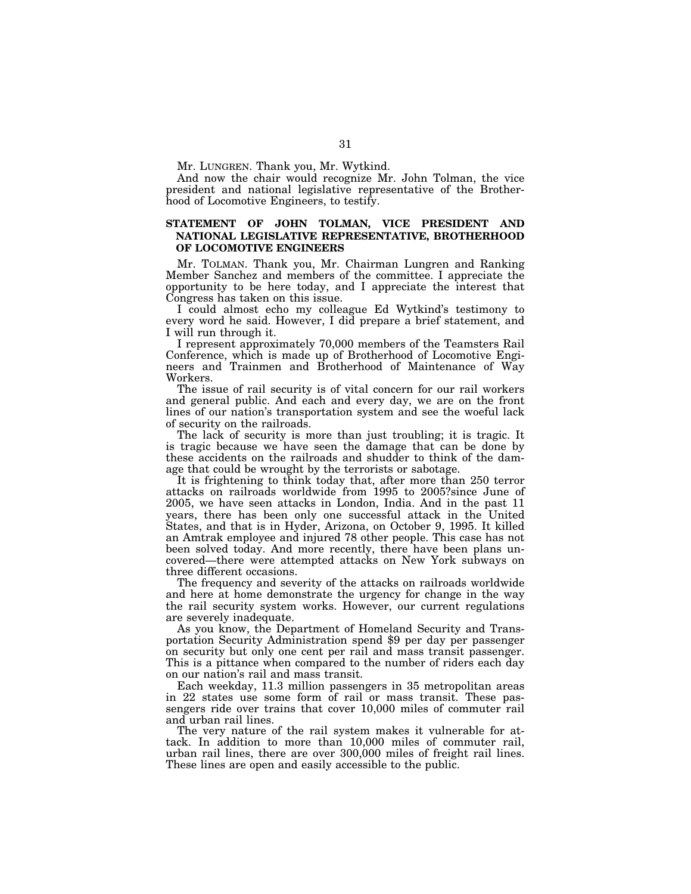Mr. LUNGREN. Thank you, Mr. Wytkind.

And now the chair would recognize Mr. John Tolman, the vice president and national legislative representative of the Brotherhood of Locomotive Engineers, to testify.

### **STATEMENT OF JOHN TOLMAN, VICE PRESIDENT AND NATIONAL LEGISLATIVE REPRESENTATIVE, BROTHERHOOD OF LOCOMOTIVE ENGINEERS**

Mr. TOLMAN. Thank you, Mr. Chairman Lungren and Ranking Member Sanchez and members of the committee. I appreciate the opportunity to be here today, and I appreciate the interest that Congress has taken on this issue.

I could almost echo my colleague Ed Wytkind's testimony to every word he said. However, I did prepare a brief statement, and I will run through it.

I represent approximately 70,000 members of the Teamsters Rail Conference, which is made up of Brotherhood of Locomotive Engineers and Trainmen and Brotherhood of Maintenance of Way Workers.

The issue of rail security is of vital concern for our rail workers and general public. And each and every day, we are on the front lines of our nation's transportation system and see the woeful lack of security on the railroads.

The lack of security is more than just troubling; it is tragic. It is tragic because we have seen the damage that can be done by these accidents on the railroads and shudder to think of the damage that could be wrought by the terrorists or sabotage.

It is frightening to think today that, after more than 250 terror attacks on railroads worldwide from 1995 to 2005?since June of 2005, we have seen attacks in London, India. And in the past 11 years, there has been only one successful attack in the United States, and that is in Hyder, Arizona, on October 9, 1995. It killed an Amtrak employee and injured 78 other people. This case has not been solved today. And more recently, there have been plans uncovered—there were attempted attacks on New York subways on three different occasions.

The frequency and severity of the attacks on railroads worldwide and here at home demonstrate the urgency for change in the way the rail security system works. However, our current regulations are severely inadequate.

As you know, the Department of Homeland Security and Transportation Security Administration spend \$9 per day per passenger on security but only one cent per rail and mass transit passenger. This is a pittance when compared to the number of riders each day on our nation's rail and mass transit.

Each weekday, 11.3 million passengers in 35 metropolitan areas in 22 states use some form of rail or mass transit. These passengers ride over trains that cover 10,000 miles of commuter rail and urban rail lines.

The very nature of the rail system makes it vulnerable for attack. In addition to more than 10,000 miles of commuter rail, urban rail lines, there are over 300,000 miles of freight rail lines. These lines are open and easily accessible to the public.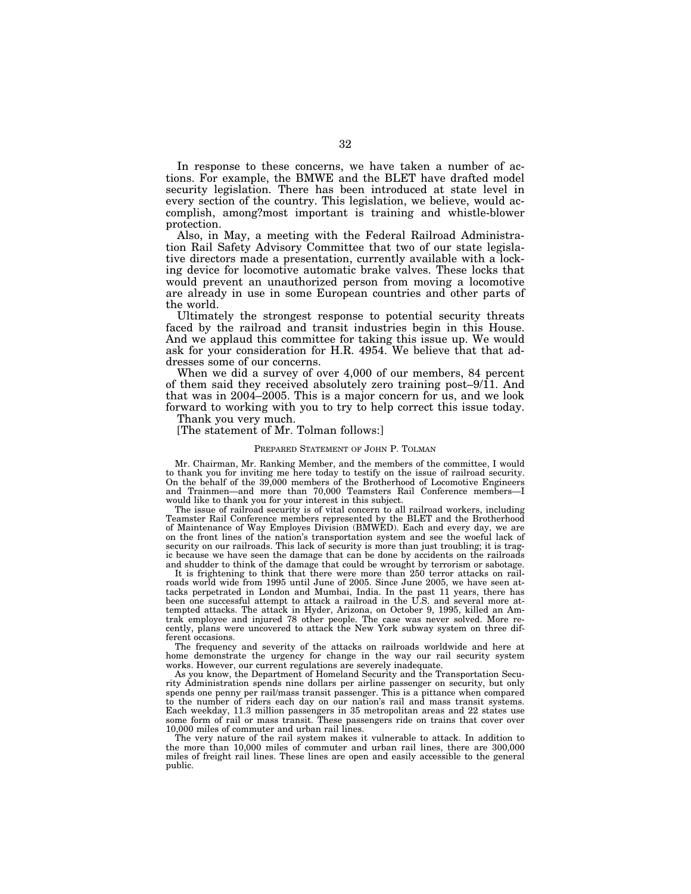In response to these concerns, we have taken a number of actions. For example, the BMWE and the BLET have drafted model security legislation. There has been introduced at state level in every section of the country. This legislation, we believe, would accomplish, among?most important is training and whistle-blower protection.

Also, in May, a meeting with the Federal Railroad Administration Rail Safety Advisory Committee that two of our state legislative directors made a presentation, currently available with a locking device for locomotive automatic brake valves. These locks that would prevent an unauthorized person from moving a locomotive are already in use in some European countries and other parts of the world.

Ultimately the strongest response to potential security threats faced by the railroad and transit industries begin in this House. And we applaud this committee for taking this issue up. We would ask for your consideration for H.R. 4954. We believe that that addresses some of our concerns.

When we did a survey of over 4,000 of our members, 84 percent of them said they received absolutely zero training post–9/11. And that was in 2004–2005. This is a major concern for us, and we look forward to working with you to try to help correct this issue today.

Thank you very much.

[The statement of Mr. Tolman follows:]

### PREPARED STATEMENT OF JOHN P. TOLMAN

Mr. Chairman, Mr. Ranking Member, and the members of the committee, I would to thank you for inviting me here today to testify on the issue of railroad security. On the behalf of the 39,000 members of the Brotherhood of Locomotive Engineers and Trainmen—and more than 70,000 Teamsters Rail Conference members—I would like to thank you for your interest in this subject.

The issue of railroad security is of vital concern to all railroad workers, including Teamster Rail Conference members represented by the BLET and the Brotherhood of Maintenance of Way Employes Division (BMWED). Each and every day, we are on the front lines of the nation's transportation system and see the woeful lack of security on our railroads. This lack of security is more than just troubling; it is tragic because we have seen the damage that can be done by accidents on the railroads and shudder to think of the damage that could be wrought by terrorism or sabotage.

It is frightening to think that there were more than 250 terror attacks on railroads world wide from 1995 until June of 2005. Since June 2005, we have seen attacks perpetrated in London and Mumbai, India. In the past 11 years, there has been one successful attempt to attack a railroad in the U.S. and several more attempted attacks. The attack in Hyder, Arizona, on October 9, 1995, killed an Amtrak employee and injured 78 other people. The case was never solved. More recently, plans were uncovered to attack the New York subway system on three different occasions.

The frequency and severity of the attacks on railroads worldwide and here at home demonstrate the urgency for change in the way our rail security system works. However, our current regulations are severely inadequate.

As you know, the Department of Homeland Security and the Transportation Security Administration spends nine dollars per airline passenger on security, but only spends one penny per rail/mass transit passenger. This is a pittance when compared to the number of riders each day on our nation's rail and mass transit systems. Each weekday, 11.3 million passengers in 35 metropolitan areas and 22 states use some form of rail or mass transit. These passengers ride on trains that cover over 10,000 miles of commuter and urban rail lines.

The very nature of the rail system makes it vulnerable to attack. In addition to the more than 10,000 miles of commuter and urban rail lines, there are 300,000 miles of freight rail lines. These lines are open and easily accessible to the general public.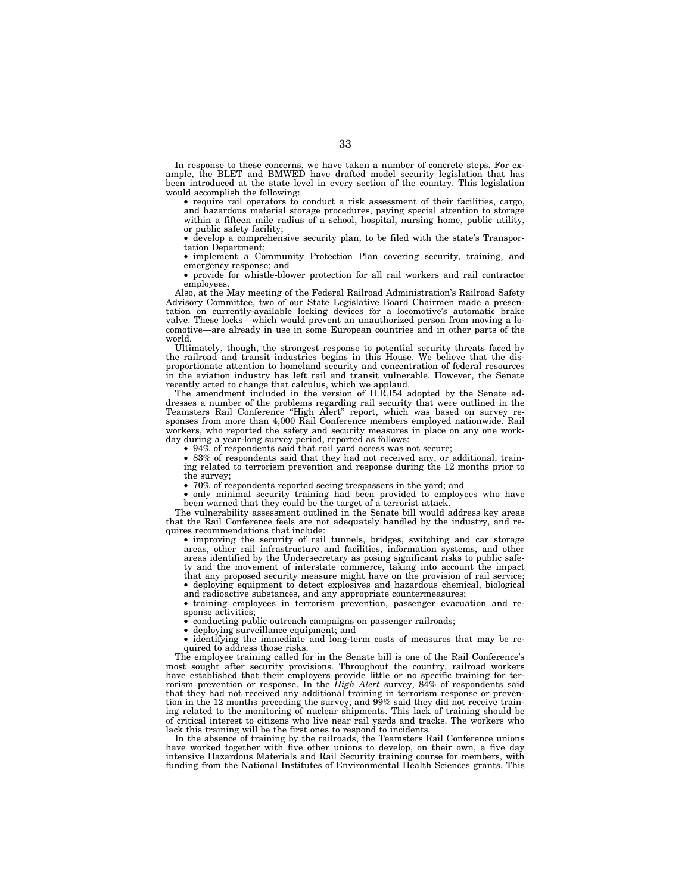In response to these concerns, we have taken a number of concrete steps. For example, the BLET and BMWED have drafted model security legislation that has been introduced at the state level in every section of the country. This legislation would accomplish the following:

• require rail operators to conduct a risk assessment of their facilities, cargo, and hazardous material storage procedures, paying special attention to storage within a fifteen mile radius of a school, hospital, nursing home, public utility, or public safety facility;

• develop a comprehensive security plan, to be filed with the state's Transportation Department;

• implement a Community Protection Plan covering security, training, and emergency response; and

• provide for whistle-blower protection for all rail workers and rail contractor employees.

Also, at the May meeting of the Federal Railroad Administration's Railroad Safety Advisory Committee, two of our State Legislative Board Chairmen made a presentation on currently-available locking devices for a locomotive's automatic brake valve. These locks—which would prevent an unauthorized person from moving a locomotive—are already in use in some European countries and in other parts of the world.

Ultimately, though, the strongest response to potential security threats faced by the railroad and transit industries begins in this House. We believe that the disproportionate attention to homeland security and concentration of federal resources in the aviation industry has left rail and transit vulnerable. However, the Senate recently acted to change that calculus, which we applaud.

The amendment included in the version of H.R.I54 adopted by the Senate addresses a number of the problems regarding rail security that were outlined in the Teamsters Rail Conference ''High Alert'' report, which was based on survey responses from more than 4,000 Rail Conference members employed nationwide. Rail workers, who reported the safety and security measures in place on any one workday during a year-long survey period, reported as follows:

• 94% of respondents said that rail yard access was not secure;

• 83% of respondents said that they had not received any, or additional, training related to terrorism prevention and response during the 12 months prior to the survey;

• 70% of respondents reported seeing trespassers in the yard; and

• only minimal security training had been provided to employees who have been warned that they could be the target of a terrorist attack.

The vulnerability assessment outlined in the Senate bill would address key areas that the Rail Conference feels are not adequately handled by the industry, and requires recommendations that include:

• improving the security of rail tunnels, bridges, switching and car storage areas, other rail infrastructure and facilities, information systems, and other areas identified by the Undersecretary as posing significant risks to public safety and the movement of interstate commerce, taking into account the impact that any proposed security measure might have on the provision of rail service; • deploying equipment to detect explosives and hazardous chemical, biological and radioactive substances, and any appropriate countermeasures;

• training employees in terrorism prevention, passenger evacuation and response activities

• conducting public outreach campaigns on passenger railroads;

• deploying surveillance equipment; and

• identifying the immediate and long-term costs of measures that may be required to address those risks.

The employee training called for in the Senate bill is one of the Rail Conference's most sought after security provisions. Throughout the country, railroad workers have established that their employers provide little or no specific training for terrorism prevention or response. In the *High Alert* survey, 84% of respondents said that they had not received any additional training in terrorism response or prevention in the 12 months preceding the survey; and 99% said they did not receive training related to the monitoring of nuclear shipments. This lack of training should be of critical interest to citizens who live near rail yards and tracks. The workers who lack this training will be the first ones to respond to incidents.

In the absence of training by the railroads, the Teamsters Rail Conference unions have worked together with five other unions to develop, on their own, a five day intensive Hazardous Materials and Rail Security training course for members, with funding from the National Institutes of Environmental Health Sciences grants. This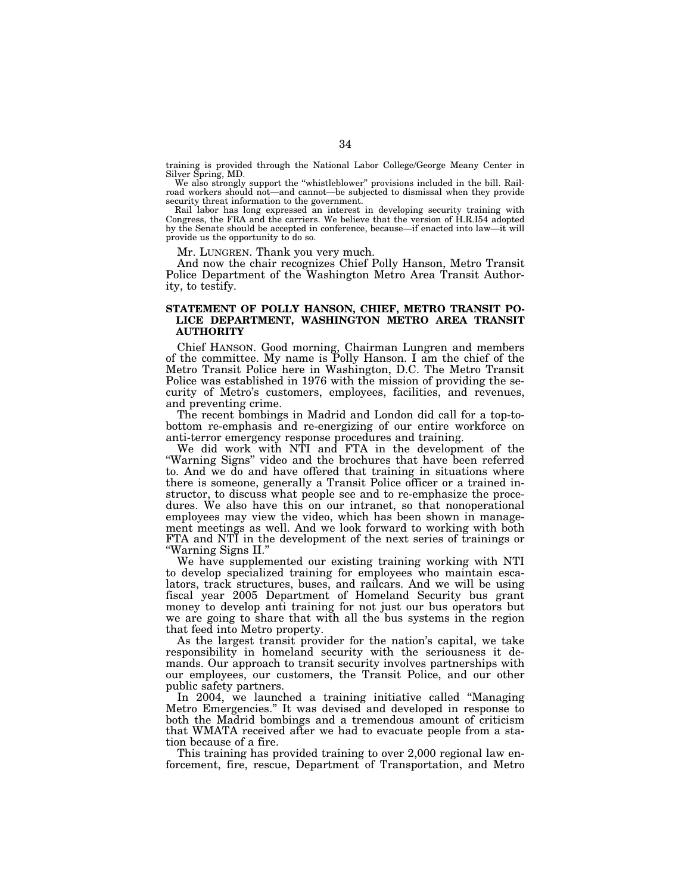training is provided through the National Labor College/George Meany Center in Silver Spring, MD.

We also strongly support the "whistleblower" provisions included in the bill. Railroad workers should not—and cannot—be subjected to dismissal when they provide security threat information to the government.

Rail labor has long expressed an interest in developing security training with Congress, the FRA and the carriers. We believe that the version of H.R.I54 adopted by the Senate should be accepted in conference, because—if enacted into law—it will provide us the opportunity to do so.

Mr. LUNGREN. Thank you very much.

And now the chair recognizes Chief Polly Hanson, Metro Transit Police Department of the Washington Metro Area Transit Authority, to testify.

### **STATEMENT OF POLLY HANSON, CHIEF, METRO TRANSIT PO-LICE DEPARTMENT, WASHINGTON METRO AREA TRANSIT AUTHORITY**

Chief HANSON. Good morning, Chairman Lungren and members of the committee. My name is Polly Hanson. I am the chief of the Metro Transit Police here in Washington, D.C. The Metro Transit Police was established in 1976 with the mission of providing the security of Metro's customers, employees, facilities, and revenues, and preventing crime.

The recent bombings in Madrid and London did call for a top-tobottom re-emphasis and re-energizing of our entire workforce on anti-terror emergency response procedures and training.

We did work with NTI and FTA in the development of the ''Warning Signs'' video and the brochures that have been referred to. And we do and have offered that training in situations where there is someone, generally a Transit Police officer or a trained instructor, to discuss what people see and to re-emphasize the procedures. We also have this on our intranet, so that nonoperational employees may view the video, which has been shown in management meetings as well. And we look forward to working with both FTA and NTI in the development of the next series of trainings or ''Warning Signs II.''

We have supplemented our existing training working with NTI to develop specialized training for employees who maintain escalators, track structures, buses, and railcars. And we will be using fiscal year 2005 Department of Homeland Security bus grant money to develop anti training for not just our bus operators but we are going to share that with all the bus systems in the region that feed into Metro property.

As the largest transit provider for the nation's capital, we take responsibility in homeland security with the seriousness it demands. Our approach to transit security involves partnerships with our employees, our customers, the Transit Police, and our other public safety partners.

In 2004, we launched a training initiative called ''Managing Metro Emergencies.'' It was devised and developed in response to both the Madrid bombings and a tremendous amount of criticism that WMATA received after we had to evacuate people from a station because of a fire.

This training has provided training to over 2,000 regional law enforcement, fire, rescue, Department of Transportation, and Metro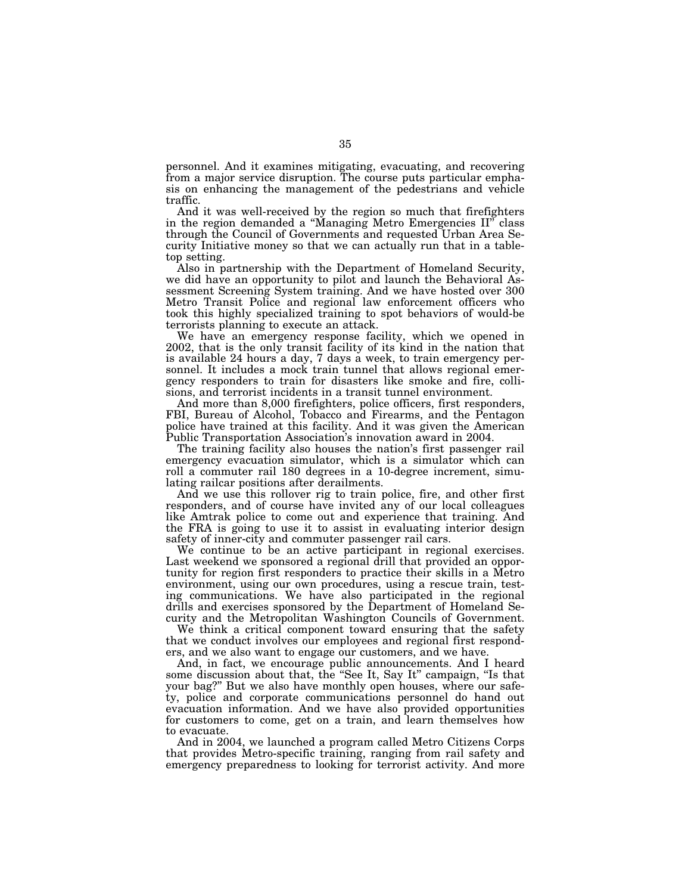personnel. And it examines mitigating, evacuating, and recovering from a major service disruption. The course puts particular emphasis on enhancing the management of the pedestrians and vehicle traffic.

And it was well-received by the region so much that firefighters in the region demanded a ''Managing Metro Emergencies II'' class through the Council of Governments and requested Urban Area Security Initiative money so that we can actually run that in a tabletop setting.

Also in partnership with the Department of Homeland Security, we did have an opportunity to pilot and launch the Behavioral Assessment Screening System training. And we have hosted over 300 Metro Transit Police and regional law enforcement officers who took this highly specialized training to spot behaviors of would-be terrorists planning to execute an attack.

We have an emergency response facility, which we opened in 2002, that is the only transit facility of its kind in the nation that is available 24 hours a day, 7 days a week, to train emergency personnel. It includes a mock train tunnel that allows regional emergency responders to train for disasters like smoke and fire, collisions, and terrorist incidents in a transit tunnel environment.

And more than 8,000 firefighters, police officers, first responders, FBI, Bureau of Alcohol, Tobacco and Firearms, and the Pentagon police have trained at this facility. And it was given the American Public Transportation Association's innovation award in 2004.

The training facility also houses the nation's first passenger rail emergency evacuation simulator, which is a simulator which can roll a commuter rail 180 degrees in a 10-degree increment, simulating railcar positions after derailments.

And we use this rollover rig to train police, fire, and other first responders, and of course have invited any of our local colleagues like Amtrak police to come out and experience that training. And the FRA is going to use it to assist in evaluating interior design safety of inner-city and commuter passenger rail cars.

We continue to be an active participant in regional exercises. Last weekend we sponsored a regional drill that provided an opportunity for region first responders to practice their skills in a Metro environment, using our own procedures, using a rescue train, testing communications. We have also participated in the regional drills and exercises sponsored by the Department of Homeland Security and the Metropolitan Washington Councils of Government.

We think a critical component toward ensuring that the safety that we conduct involves our employees and regional first responders, and we also want to engage our customers, and we have.

And, in fact, we encourage public announcements. And I heard some discussion about that, the "See It, Say It" campaign, "Is that your bag?'' But we also have monthly open houses, where our safety, police and corporate communications personnel do hand out evacuation information. And we have also provided opportunities for customers to come, get on a train, and learn themselves how to evacuate.

And in 2004, we launched a program called Metro Citizens Corps that provides Metro-specific training, ranging from rail safety and emergency preparedness to looking for terrorist activity. And more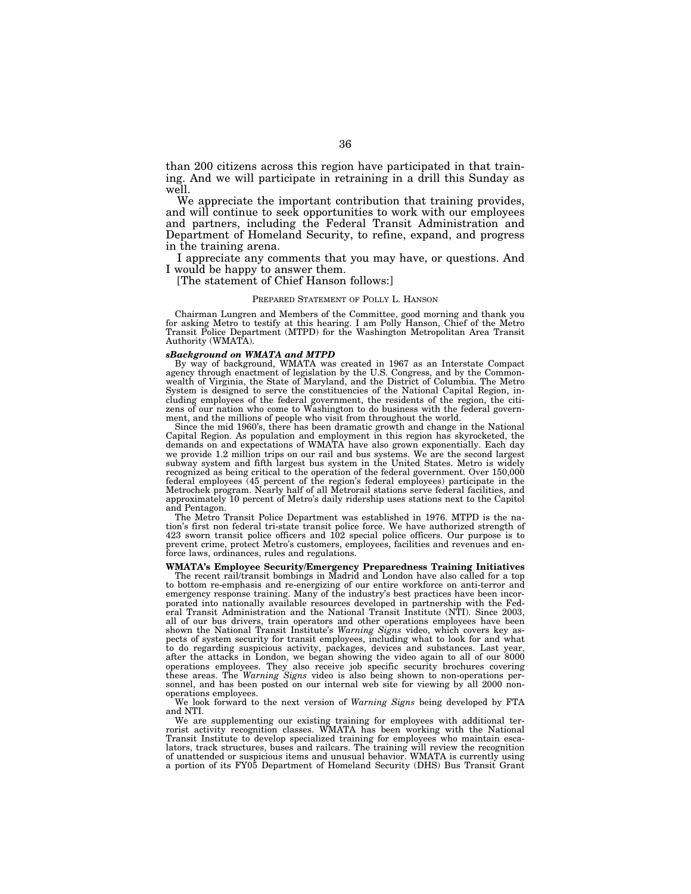than 200 citizens across this region have participated in that training. And we will participate in retraining in a drill this Sunday as well.

We appreciate the important contribution that training provides, and will continue to seek opportunities to work with our employees and partners, including the Federal Transit Administration and Department of Homeland Security, to refine, expand, and progress in the training arena.

I appreciate any comments that you may have, or questions. And I would be happy to answer them.

[The statement of Chief Hanson follows:]

### PREPARED STATEMENT OF POLLY L. HANSON

Chairman Lungren and Members of the Committee, good morning and thank you for asking Metro to testify at this hearing. I am Polly Hanson, Chief of the Metro Transit Police Department (MTPD) for the Washington Metropolitan Area Transit Authority (WMATA).

### *sBackground on WMATA and MTPD*

By way of background, WMATA was created in 1967 as an Interstate Compact agency through enactment of legislation by the U.S. Congress, and by the Commonwealth of Virginia, the State of Maryland, and the District of Columbia. The Metro System is designed to serve the constituencies of the National Capital Region, including employees of the federal government, the residents of the region, the citizens of our nation who come to Washington to do business with the federal government, and the millions of people who visit from throughout the world.

Since the mid 1960's, there has been dramatic growth and change in the National Capital Region. As population and employment in this region has skyrocketed, the demands on and expectations of WMATA have also grown exponentially. Each day we provide 1.2 million trips on our rail and bus systems. We are the second largest subway system and fifth largest bus system in the United States. Metro is widely recognized as being critical to the operation of the federal government. Over 150,000 federal employees (45 percent of the region's federal employees) participate in the Metrochek program. Nearly half of all Metrorail stations serve federal facilities, and approximately 10 percent of Metro's daily ridership uses stations next to the Capitol and Pentagon.

The Metro Transit Police Department was established in 1976. MTPD is the nation's first non federal tri-state transit police force. We have authorized strength of 423 sworn transit police officers and 102 special police officers. Our purpose is to prevent crime, protect Metro's customers, employees, facilities and revenues and enforce laws, ordinances, rules and regulations.

### **WMATA's Employee Security/Emergency Preparedness Training Initiatives**

The recent rail/transit bombings in Madrid and London have also called for a top to bottom re-emphasis and re-energizing of our entire workforce on anti-terror and emergency response training. Many of the industry's best practices have been incorporated into nationally available resources developed in partnership with the Federal Transit Administration and the National Transit Institute (NTI). Since 2003, all of our bus drivers, train operators and other operations employees have been shown the National Transit Institute's *Warning Signs* video, which covers key aspects of system security for transit employees, including what to look for and what to do regarding suspicious activity, packages, devices and substances. Last year, after the attacks in London, we began showing the video again to all of our 8000 operations employees. They also receive job specific security brochures covering these areas. The *Warning Signs* video is also being shown to non-operations personnel, and has been posted on our internal web site for viewing by all 2000 nonoperations employees.

We look forward to the next version of *Warning Signs* being developed by FTA and NTI.

We are supplementing our existing training for employees with additional terrorist activity recognition classes. WMATA has been working with the National Transit Institute to develop specialized training for employees who maintain escalators, track structures, buses and railcars. The training will review the recognition of unattended or suspicious items and unusual behavior. WMATA is currently using a portion of its FY05 Department of Homeland Security (DHS) Bus Transit Grant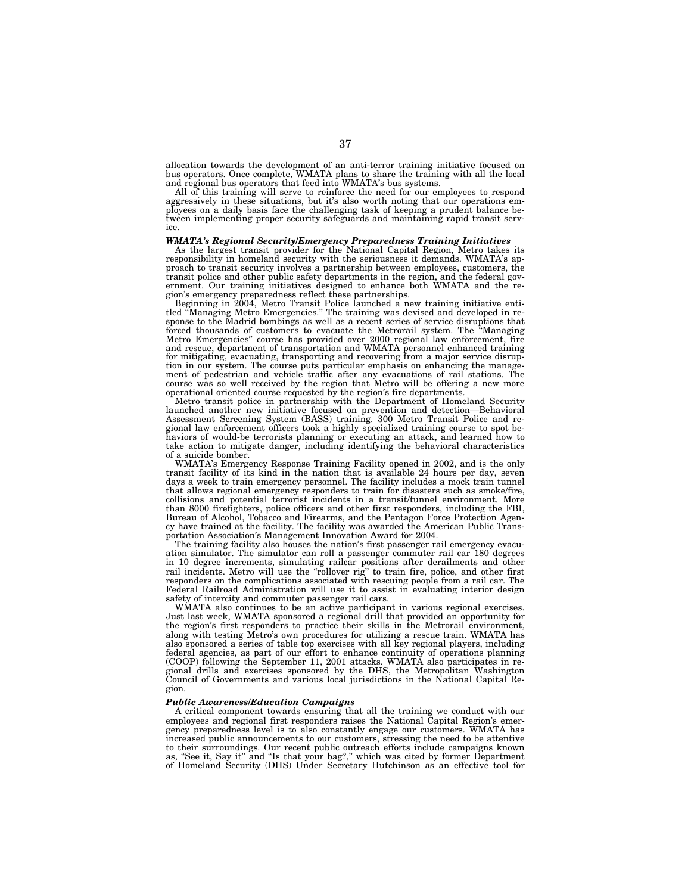allocation towards the development of an anti-terror training initiative focused on bus operators. Once complete, WMATA plans to share the training with all the local and regional bus operators that feed into WMATA's bus systems.

All of this training will serve to reinforce the need for our employees to respond aggressively in these situations, but it's also worth noting that our operations employees on a daily basis face the challenging task of keeping a prudent balance between implementing proper security safeguards and maintaining rapid transit service.

### *WMATA's Regional Security/Emergency Preparedness Training Initiatives*

As the largest transit provider for the National Capital Region, Metro takes its responsibility in homeland security with the seriousness it demands. WMATA's approach to transit security involves a partnership between employees, customers, the transit police and other public safety departments in the region, and the federal government. Our training initiatives designed to enhance both WMATA and the region's emergency preparedness reflect these partnerships.

Beginning in 2004, Metro Transit Police launched a new training initiative entitled ''Managing Metro Emergencies.'' The training was devised and developed in response to the Madrid bombings as well as a recent series of service disruptions that forced thousands of customers to evacuate the Metrorail system. The ''Managing Metro Emergencies'' course has provided over 2000 regional law enforcement, fire and rescue, department of transportation and WMATA personnel enhanced training for mitigating, evacuating, transporting and recovering from a major service disruption in our system. The course puts particular emphasis on enhancing the management of pedestrian and vehicle traffic after any evacuations of rail stations. The course was so well received by the region that Metro will be offering a new more operational oriented course requested by the region's fire departments.

Metro transit police in partnership with the Department of Homeland Security launched another new initiative focused on prevention and detection—Behavioral Assessment Screening System (BASS) training. 300 Metro Transit Police and regional law enforcement officers took a highly specialized training course to spot behaviors of would-be terrorists planning or executing an attack, and learned how to take action to mitigate danger, including identifying the behavioral characteristics of a suicide bomber.

WMATA's Emergency Response Training Facility opened in 2002, and is the only transit facility of its kind in the nation that is available 24 hours per day, seven days a week to train emergency personnel. The facility includes a mock train tunnel that allows regional emergency responders to train for disasters such as smoke/fire, collisions and potential terrorist incidents in a transit/tunnel environment. More than 8000 firefighters, police officers and other first responders, including the FBI, Bureau of Alcohol, Tobacco and Firearms, and the Pentagon Force Protection Agency have trained at the facility. The facility was awarded the American Public Transportation Association's Management Innovation Award for 2004.

The training facility also houses the nation's first passenger rail emergency evacuation simulator. The simulator can roll a passenger commuter rail car 180 degrees in 10 degree increments, simulating railcar positions after derailments and other rail incidents. Metro will use the ''rollover rig'' to train fire, police, and other first responders on the complications associated with rescuing people from a rail car. The Federal Railroad Administration will use it to assist in evaluating interior design safety of intercity and commuter passenger rail cars.

WMATA also continues to be an active participant in various regional exercises. Just last week, WMATA sponsored a regional drill that provided an opportunity for the region's first responders to practice their skills in the Metrorail environment, along with testing Metro's own procedures for utilizing a rescue train. WMATA has also sponsored a series of table top exercises with all key regional players, including federal agencies, as part of our effort to enhance continuity of operations planning (COOP) following the September 11, 2001 attacks. WMATA also participates in regional drills and exercises sponsored by the DHS, the Metropolitan Washington Council of Governments and various local jurisdictions in the National Capital Region.

### *Public Awareness/Education Campaigns*

A critical component towards ensuring that all the training we conduct with our employees and regional first responders raises the National Capital Region's emergency preparedness level is to also constantly engage our customers. WMATA has increased public announcements to our customers, stressing the need to be attentive to their surroundings. Our recent public outreach efforts include campaigns known as, ''See it, Say it'' and ''Is that your bag?,'' which was cited by former Department of Homeland Security (DHS) Under Secretary Hutchinson as an effective tool for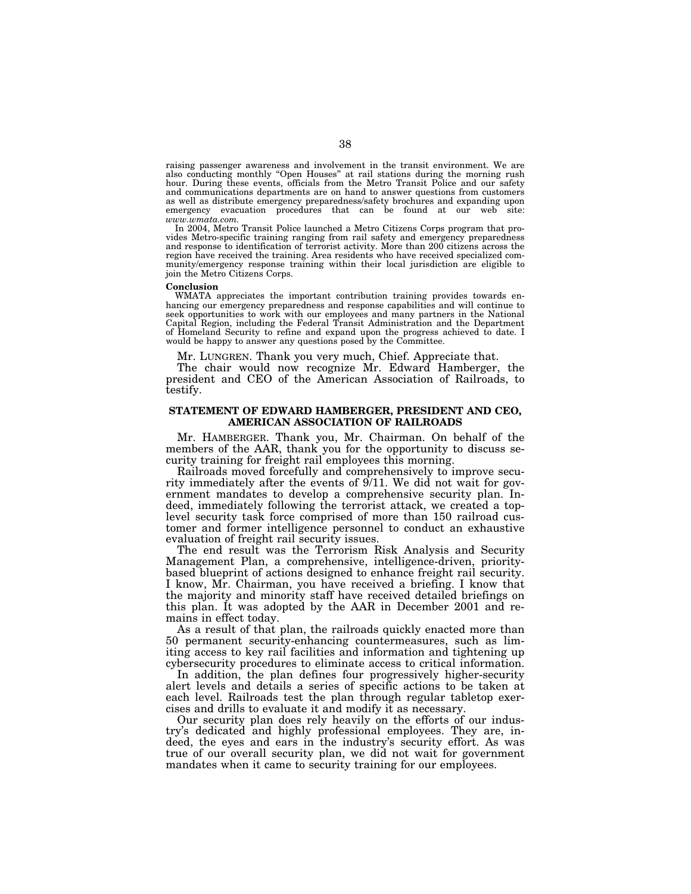raising passenger awareness and involvement in the transit environment. We are also conducting monthly ''Open Houses'' at rail stations during the morning rush hour. During these events, officials from the Metro Transit Police and our safety and communications departments are on hand to answer questions from customers as well as distribute emergency preparedness/safety brochures and expanding upon emergency evacuation procedures that can be found at our web site: *www.wmata.com.*

In 2004, Metro Transit Police launched a Metro Citizens Corps program that provides Metro-specific training ranging from rail safety and emergency preparedness and response to identification of terrorist activity. More than 200 citizens across the region have received the training. Area residents who have received specialized community/emergency response training within their local jurisdiction are eligible to join the Metro Citizens Corps.

### **Conclusion**

WMATA appreciates the important contribution training provides towards enhancing our emergency preparedness and response capabilities and will continue to seek opportunities to work with our employees and many partners in the National Capital Region, including the Federal Transit Administration and the Department of Homeland Security to refine and expand upon the progress achieved to date. I would be happy to answer any questions posed by the Committee.

Mr. LUNGREN. Thank you very much, Chief. Appreciate that.

The chair would now recognize Mr. Edward Hamberger, the president and CEO of the American Association of Railroads, to testify.

### **STATEMENT OF EDWARD HAMBERGER, PRESIDENT AND CEO, AMERICAN ASSOCIATION OF RAILROADS**

Mr. HAMBERGER. Thank you, Mr. Chairman. On behalf of the members of the AAR, thank you for the opportunity to discuss security training for freight rail employees this morning.

Railroads moved forcefully and comprehensively to improve security immediately after the events of 9/11. We did not wait for government mandates to develop a comprehensive security plan. Indeed, immediately following the terrorist attack, we created a toplevel security task force comprised of more than 150 railroad customer and former intelligence personnel to conduct an exhaustive evaluation of freight rail security issues.

The end result was the Terrorism Risk Analysis and Security Management Plan, a comprehensive, intelligence-driven, prioritybased blueprint of actions designed to enhance freight rail security. I know, Mr. Chairman, you have received a briefing. I know that the majority and minority staff have received detailed briefings on this plan. It was adopted by the AAR in December 2001 and remains in effect today.

As a result of that plan, the railroads quickly enacted more than 50 permanent security-enhancing countermeasures, such as limiting access to key rail facilities and information and tightening up cybersecurity procedures to eliminate access to critical information.

In addition, the plan defines four progressively higher-security alert levels and details a series of specific actions to be taken at each level. Railroads test the plan through regular tabletop exercises and drills to evaluate it and modify it as necessary.

Our security plan does rely heavily on the efforts of our industry's dedicated and highly professional employees. They are, indeed, the eyes and ears in the industry's security effort. As was true of our overall security plan, we did not wait for government mandates when it came to security training for our employees.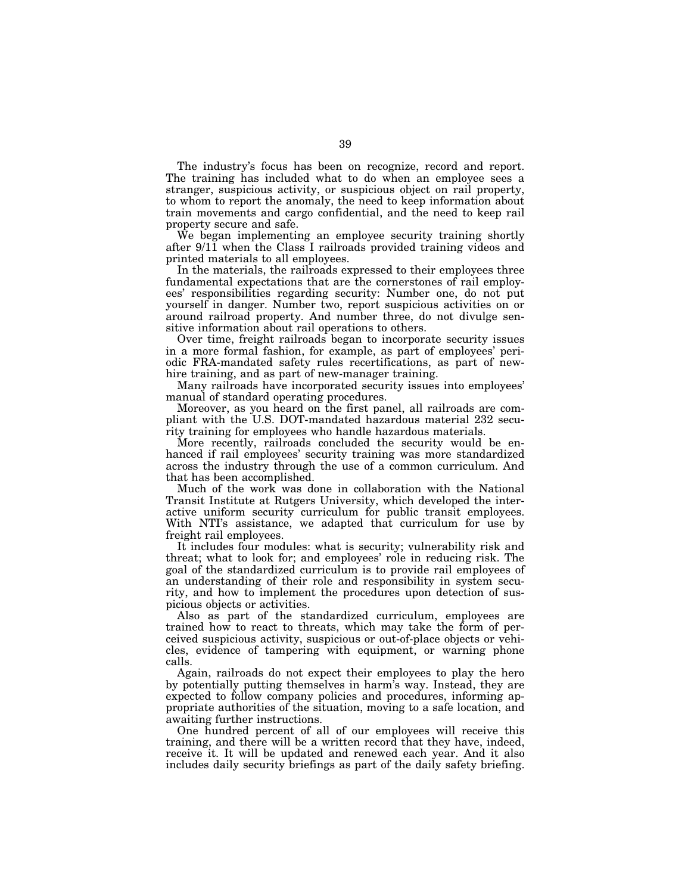The industry's focus has been on recognize, record and report. The training has included what to do when an employee sees a stranger, suspicious activity, or suspicious object on rail property, to whom to report the anomaly, the need to keep information about train movements and cargo confidential, and the need to keep rail property secure and safe.

We began implementing an employee security training shortly after 9/11 when the Class I railroads provided training videos and printed materials to all employees.

In the materials, the railroads expressed to their employees three fundamental expectations that are the cornerstones of rail employees' responsibilities regarding security: Number one, do not put yourself in danger. Number two, report suspicious activities on or around railroad property. And number three, do not divulge sensitive information about rail operations to others.

Over time, freight railroads began to incorporate security issues in a more formal fashion, for example, as part of employees' periodic FRA-mandated safety rules recertifications, as part of newhire training, and as part of new-manager training.

Many railroads have incorporated security issues into employees' manual of standard operating procedures.

Moreover, as you heard on the first panel, all railroads are compliant with the U.S. DOT-mandated hazardous material 232 security training for employees who handle hazardous materials.

More recently, railroads concluded the security would be enhanced if rail employees' security training was more standardized across the industry through the use of a common curriculum. And that has been accomplished.

Much of the work was done in collaboration with the National Transit Institute at Rutgers University, which developed the interactive uniform security curriculum for public transit employees. With NTI's assistance, we adapted that curriculum for use by freight rail employees.

It includes four modules: what is security; vulnerability risk and threat; what to look for; and employees' role in reducing risk. The goal of the standardized curriculum is to provide rail employees of an understanding of their role and responsibility in system security, and how to implement the procedures upon detection of suspicious objects or activities.

Also as part of the standardized curriculum, employees are trained how to react to threats, which may take the form of perceived suspicious activity, suspicious or out-of-place objects or vehicles, evidence of tampering with equipment, or warning phone calls.

Again, railroads do not expect their employees to play the hero by potentially putting themselves in harm's way. Instead, they are expected to follow company policies and procedures, informing appropriate authorities of the situation, moving to a safe location, and awaiting further instructions.

One hundred percent of all of our employees will receive this training, and there will be a written record that they have, indeed, receive it. It will be updated and renewed each year. And it also includes daily security briefings as part of the daily safety briefing.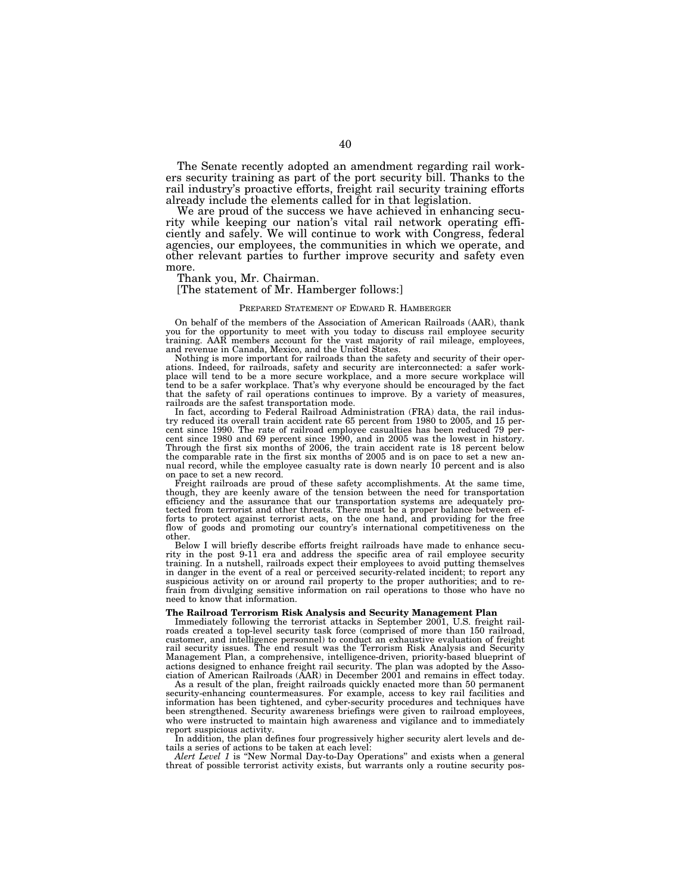The Senate recently adopted an amendment regarding rail workers security training as part of the port security bill. Thanks to the rail industry's proactive efforts, freight rail security training efforts already include the elements called for in that legislation.

We are proud of the success we have achieved in enhancing security while keeping our nation's vital rail network operating efficiently and safely. We will continue to work with Congress, federal agencies, our employees, the communities in which we operate, and other relevant parties to further improve security and safety even more.

Thank you, Mr. Chairman.

### [The statement of Mr. Hamberger follows:]

### PREPARED STATEMENT OF EDWARD R. HAMBERGER

On behalf of the members of the Association of American Railroads (AAR), thank you for the opportunity to meet with you today to discuss rail employee security training. AAR members account for the vast majority of rail mileage, employees, and revenue in Canada, Mexico, and the United States.

Nothing is more important for railroads than the safety and security of their operations. Indeed, for railroads, safety and security are interconnected: a safer workplace will tend to be a more secure workplace, and a more secure workplace will tend to be a safer workplace. That's why everyone should be encouraged by the fact that the safety of rail operations continues to improve. By a variety of measures, railroads are the safest transportation mode.

In fact, according to Federal Railroad Administration (FRA) data, the rail industry reduced its overall train accident rate 65 percent from 1980 to 2005, and 15 percent since 1990. The rate of railroad employee casualties has been reduced 79 percent since 1980 and 69 percent since 1990, and in 2005 was the lowest in history. Through the first six months of 2006, the train accident rate is 18 percent below the comparable rate in the first six months of 2005 and is on pace to set a new annual record, while the employee casualty rate is down nearly 10 percent and is also on pace to set a new record.

Freight railroads are proud of these safety accomplishments. At the same time, though, they are keenly aware of the tension between the need for transportation efficiency and the assurance that our transportation systems are adequately pro-tected from terrorist and other threats. There must be a proper balance between efforts to protect against terrorist acts, on the one hand, and providing for the free flow of goods and promoting our country's international competitiveness on the other.

Below I will briefly describe efforts freight railroads have made to enhance security in the post 9-11 era and address the specific area of rail employee security training. In a nutshell, railroads expect their employees to avoid putting themselves in danger in the event of a real or perceived security-related incident; to report any suspicious activity on or around rail property to the proper authorities; and to refrain from divulging sensitive information on rail operations to those who have no need to know that information.

### **The Railroad Terrorism Risk Analysis and Security Management Plan**

Immediately following the terrorist attacks in September 2001, U.S. freight railroads created a top-level security task force (comprised of more than 150 railroad, customer, and intelligence personnel) to conduct an exhaustive evaluation of freight rail security issues. The end result was the Terrorism Risk Analysis and Security Management Plan, a comprehensive, intelligence-driven, priority-based blueprint of actions designed to enhance freight rail security. The plan was adopted by the Association of American Railroads (AAR) in December 2001 and remains in effect today.

As a result of the plan, freight railroads quickly enacted more than 50 permanent security-enhancing countermeasures. For example, access to key rail facilities and information has been tightened, and cyber-security procedures and techniques have been strengthened. Security awareness briefings were given to railroad employees, who were instructed to maintain high awareness and vigilance and to immediately report suspicious activity.

In addition, the plan defines four progressively higher security alert levels and details a series of actions to be taken at each level:

Alert Level 1 is "New Normal Day-to-Day Operations" and exists when a general threat of possible terrorist activity exists, but warrants only a routine security pos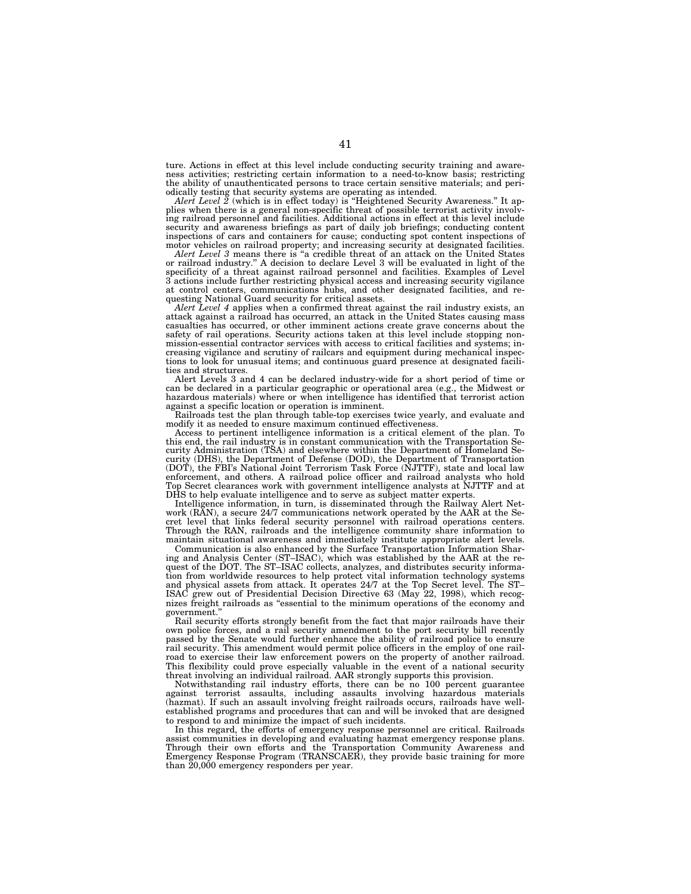ture. Actions in effect at this level include conducting security training and awareness activities; restricting certain information to a need-to-know basis; restricting the ability of unauthenticated persons to trace certain sensitive materials; and peri-

odically testing that security systems are operating as intended. *Alert Level 2* (which is in effect today) is ''Heightened Security Awareness.'' It applies when there is a general non-specific threat of possible terrorist activity involving railroad personnel and facilities. Additional actions in effect at this level include security and awareness briefings as part of daily job briefings; conducting content inspections of cars and containers for cause; conducting spot content inspections of motor vehicles on railroad property; and increasing security at designated facilities.

*Alert Level 3* means there is ''a credible threat of an attack on the United States or railroad industry.'' A decision to declare Level 3 will be evaluated in light of the specificity of a threat against railroad personnel and facilities. Examples of Level 3 actions include further restricting physical access and increasing security vigilance at control centers, communications hubs, and other designated facilities, and requesting National Guard security for critical assets.

*Alert Level 4* applies when a confirmed threat against the rail industry exists, an attack against a railroad has occurred, an attack in the United States causing mass casualties has occurred, or other imminent actions create grave concerns about the safety of rail operations. Security actions taken at this level include stopping nonmission-essential contractor services with access to critical facilities and systems; increasing vigilance and scrutiny of railcars and equipment during mechanical inspections to look for unusual items; and continuous guard presence at designated facilities and structures.

Alert Levels 3 and 4 can be declared industry-wide for a short period of time or can be declared in a particular geographic or operational area (e.g., the Midwest or hazardous materials) where or when intelligence has identified that terrorist action against a specific location or operation is imminent.

Railroads test the plan through table-top exercises twice yearly, and evaluate and modify it as needed to ensure maximum continued effectiveness.

Access to pertinent intelligence information is a critical element of the plan. To this end, the rail industry is in constant communication with the Transportation Se-curity Administration (TSA) and elsewhere within the Department of Homeland Security (DHS), the Department of Defense (DOD), the Department of Transportation (DOT), the FBI's National Joint Terrorism Task Force (NJTTF), state and local law enforcement, and others. A railroad police officer and railroad analysts who hold Top Secret clearances work with government intelligence analysts at NJTTF and at DHS to help evaluate intelligence and to serve as subject matter experts.

Intelligence information, in turn, is disseminated through the Railway Alert Network (RAN), a secure 24/7 communications network operated by the AAR at the Secret level that links federal security personnel with railroad operations centers. Through the RAN, railroads and the intelligence community share information to maintain situational awareness and immediately institute appropriate alert levels.

Communication is also enhanced by the Surface Transportation Information Sharing and Analysis Center (ST–ISAC), which was established by the AAR at the request of the DOT. The ST–ISAC collects, analyzes, and distributes security information from worldwide resources to help protect vital information technology systems and physical assets from attack. It operates 24/7 at the Top Secret level. The ST–ISAC grew out of Presidential Decision Directive 63 (May 22, 1998), which recog-ISAC grew out of Presidential Decision Directive 63 (May 22, 1998), which recognizes freight railroads as ''essential to the minimum operations of the economy and government.''

Rail security efforts strongly benefit from the fact that major railroads have their own police forces, and a rail security amendment to the port security bill recently passed by the Senate would further enhance the ability of railroad police to ensure rail security. This amendment would permit police officers in the employ of one railroad to exercise their law enforcement powers on the property of another railroad. This flexibility could prove especially valuable in the event of a national security threat involving an individual railroad. AAR strongly supports this provision.

Notwithstanding rail industry efforts, there can be no 100 percent guarantee against terrorist assaults, including assaults involving hazardous materials (hazmat). If such an assault involving freight railroads occurs, railroads have wellestablished programs and procedures that can and will be invoked that are designed to respond to and minimize the impact of such incidents.

In this regard, the efforts of emergency response personnel are critical. Railroads assist communities in developing and evaluating hazmat emergency response plans. Through their own efforts and the Transportation Community Awareness and Emergency Response Program (TRANSCAER), they provide basic training for more than  $20,000$  emergency responders per year.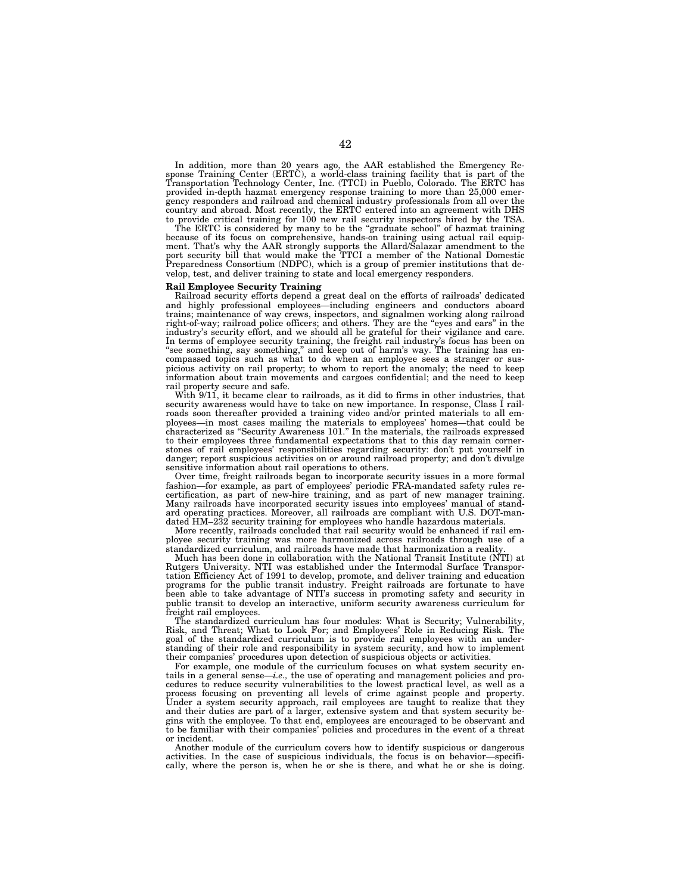In addition, more than 20 years ago, the AAR established the Emergency Response Training Center (ERTC), a world-class training facility that is part of the Transportation Technology Center, Inc. (TTCI) in Pueblo, Colorado. The ERTC has provided in-depth hazmat emergency response training to more than 25,000 emergency responders and railroad and chemical industry professionals from all over the country and abroad. Most recently, the ERTC entered into an agreement with DHS to provide critical training for 100 new rail security inspectors hired by the TSA.

The ERTC is considered by many to be the "graduate school" of hazmat training because of its focus on comprehensive, hands-on training using actual rail equipment. That's why the AAR strongly supports the Allard/Salazar amendment to the port security bill that would make the TTCI a member of the National Domestic Preparedness Consortium (NDPC), which is a group of premier institutions that develop, test, and deliver training to state and local emergency responders.

### **Rail Employee Security Training**

Railroad security efforts depend a great deal on the efforts of railroads' dedicated and highly professional employees—including engineers and conductors aboard trains; maintenance of way crews, inspectors, and signalmen working along railroad right-of-way; railroad police officers; and others. They are the "eyes and ears" in the industry's security effort, and we should all be grateful for their vigilance and care. In terms of employee security training, the freight rail industry's focus has been on "see something, say something," and keep out of harm's way. The training has encompassed topics such as what to do when an employee sees a stranger or suspicious activity on rail property; to whom to report the anomaly; the need to keep information about train movements and cargoes confidential; and the need to keep rail property secure and safe.

With  $9/11$ , it became clear to railroads, as it did to firms in other industries, that security awareness would have to take on new importance. In response, Class I railroads soon thereafter provided a training video and/or printed materials to all employees—in most cases mailing the materials to employees' homes—that could be characterized as ''Security Awareness 101.'' In the materials, the railroads expressed to their employees three fundamental expectations that to this day remain cornerstones of rail employees' responsibilities regarding security: don't put yourself in danger; report suspicious activities on or around railroad property; and don't divulge sensitive information about rail operations to others.

Over time, freight railroads began to incorporate security issues in a more formal fashion—for example, as part of employees' periodic FRA-mandated safety rules recertification, as part of new-hire training, and as part of new manager training. Many railroads have incorporated security issues into employees' manual of standard operating practices. Moreover, all railroads are compliant with U.S. DOT-mandated HM–232 security training for employees who handle hazardous materials.

More recently, railroads concluded that rail security would be enhanced if rail employee security training was more harmonized across railroads through use of a standardized curriculum, and railroads have made that harmonization a reality.

Much has been done in collaboration with the National Transit Institute (NTI) at Rutgers University. NTI was established under the Intermodal Surface Transportation Efficiency Act of 1991 to develop, promote, and deliver training and education programs for the public transit industry. Freight railroads are fortunate to have been able to take advantage of NTI's success in promoting safety and security in public transit to develop an interactive, uniform security awareness curriculum for freight rail employees.

The standardized curriculum has four modules: What is Security; Vulnerability, Risk, and Threat; What to Look For; and Employees' Role in Reducing Risk. The goal of the standardized curriculum is to provide rail employees with an understanding of their role and responsibility in system security, and how to implement their companies' procedures upon detection of suspicious objects or activities.

For example, one module of the curriculum focuses on what system security entails in a general sense—*i.e.,* the use of operating and management policies and procedures to reduce security vulnerabilities to the lowest practical level, as well as a process focusing on preventing all levels of crime against people and property. Under a system security approach, rail employees are taught to realize that they and their duties are part of a larger, extensive system and that system security begins with the employee. To that end, employees are encouraged to be observant and to be familiar with their companies' policies and procedures in the event of a threat or incident.

Another module of the curriculum covers how to identify suspicious or dangerous activities. In the case of suspicious individuals, the focus is on behavior—specifically, where the person is, when he or she is there, and what he or she is doing.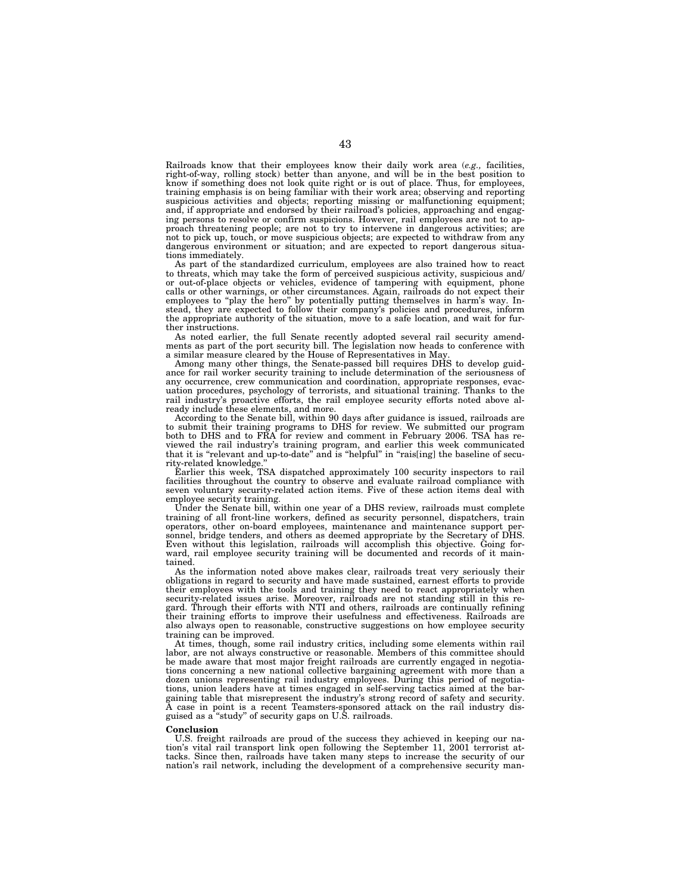Railroads know that their employees know their daily work area (*e.g.,* facilities, right-of-way, rolling stock) better than anyone, and will be in the best position to know if something does not look quite right or is out of place. Thus, for employees, training emphasis is on being familiar with their work area; observing and reporting suspicious activities and objects; reporting missing or malfunctioning equipment; and, if appropriate and endorsed by their railroad's policies, approaching and engaging persons to resolve or confirm suspicions. However, rail employees are not to approach threatening people; are not to try to intervene in dangerous activities; are not to pick up, touch, or move suspicious objects; are expected to withdraw from any dangerous environment or situation; and are expected to report dangerous situations immediately.

As part of the standardized curriculum, employees are also trained how to react to threats, which may take the form of perceived suspicious activity, suspicious and/ or out-of-place objects or vehicles, evidence of tampering with equipment, phone calls or other warnings, or other circumstances. Again, railroads do not expect their employees to "play the hero" by potentially putting themselves in harm's way. Instead, they are expected to follow their company's policies and procedures, inform the appropriate authority of the situation, move to a safe location, and wait for further instructions.

As noted earlier, the full Senate recently adopted several rail security amendments as part of the port security bill. The legislation now heads to conference with a similar measure cleared by the House of Representatives in May.

Among many other things, the Senate-passed bill requires DHS to develop guidance for rail worker security training to include determination of the seriousness of any occurrence, crew communication and coordination, appropriate responses, evacuation procedures, psychology of terrorists, and situational training. Thanks to the rail industry's proactive efforts, the rail employee security efforts noted above already include these elements, and more.

According to the Senate bill, within 90 days after guidance is issued, railroads are to submit their training programs to DHS for review. We submitted our program both to DHS and to FRA for review and comment in February 2006. TSA has reviewed the rail industry's training program, and earlier this week communicated that it is ''relevant and up-to-date'' and is ''helpful'' in ''rais[ing] the baseline of security-related knowledge.''

Earlier this week, TSA dispatched approximately 100 security inspectors to rail facilities throughout the country to observe and evaluate railroad compliance with seven voluntary security-related action items. Five of these action items deal with employee security training.

Under the Senate bill, within one year of a DHS review, railroads must complete training of all front-line workers, defined as security personnel, dispatchers, train operators, other on-board employees, maintenance and maintenance support personnel, bridge tenders, and others as deemed appropriate by the Secretary of DHS. Even without this legislation, railroads will accomplish this objective. Going forward, rail employee security training will be documented and records of it maintained.

As the information noted above makes clear, railroads treat very seriously their obligations in regard to security and have made sustained, earnest efforts to provide their employees with the tools and training they need to react appropriately when security-related issues arise. Moreover, railroads are not standing still in this regard. Through their efforts with NTI and others, railroads are continually refining their training efforts to improve their usefulness and effectiveness. Railroads are also always open to reasonable, constructive suggestions on how employee security training can be improved.

At times, though, some rail industry critics, including some elements within rail labor, are not always constructive or reasonable. Members of this committee should be made aware that most major freight railroads are currently engaged in negotiations concerning a new national collective bargaining agreement with more than a dozen unions representing rail industry employees. During this period of negotiations, union leaders have at times engaged in self-serving tactics aimed at the bargaining table that misrepresent the industry's strong record of safety and security. A case in point is a recent Teamsters-sponsored attack on the rail industry disguised as a ''study'' of security gaps on U.S. railroads.

### **Conclusion**

U.S. freight railroads are proud of the success they achieved in keeping our nation's vital rail transport link open following the September 11, 2001 terrorist attacks. Since then, railroads have taken many steps to increase the security of our nation's rail network, including the development of a comprehensive security man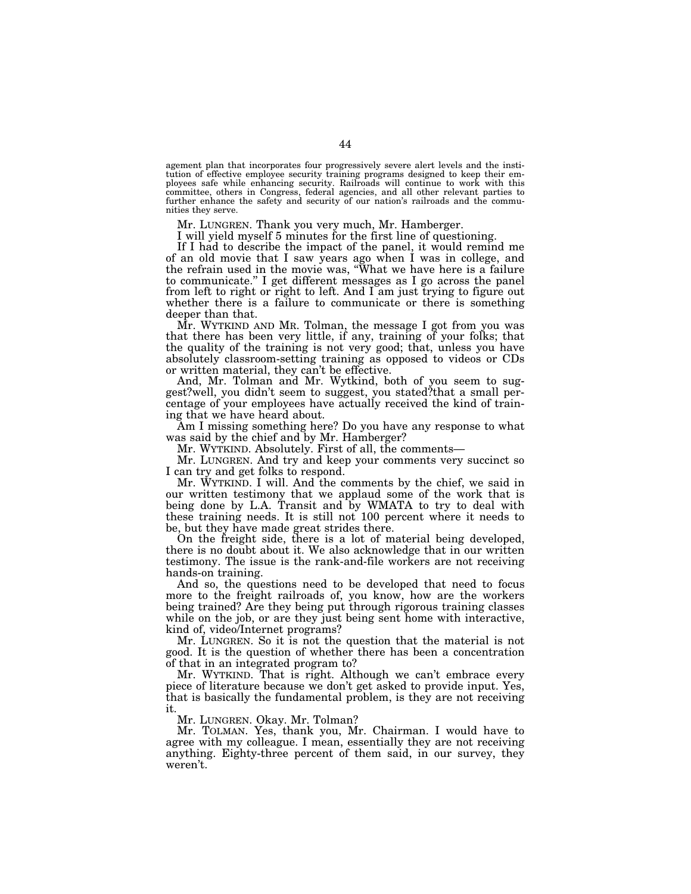agement plan that incorporates four progressively severe alert levels and the institution of effective employee security training programs designed to keep their employees safe while enhancing security. Railroads will continue to work with this committee, others in Congress, federal agencies, and all other relevant parties to further enhance the safety and security of our nation's railroads and the communities they serve.

Mr. LUNGREN. Thank you very much, Mr. Hamberger.

I will yield myself 5 minutes for the first line of questioning.

If I had to describe the impact of the panel, it would remind me of an old movie that I saw years ago when I was in college, and the refrain used in the movie was, ''What we have here is a failure to communicate.'' I get different messages as I go across the panel from left to right or right to left. And I am just trying to figure out whether there is a failure to communicate or there is something deeper than that.

Mr. WYTKIND AND MR. Tolman, the message I got from you was that there has been very little, if any, training of your folks; that the quality of the training is not very good; that, unless you have absolutely classroom-setting training as opposed to videos or CDs or written material, they can't be effective.

And, Mr. Tolman and Mr. Wytkind, both of you seem to suggest?well, you didn't seem to suggest, you stated?that a small percentage of your employees have actually received the kind of training that we have heard about.

Am I missing something here? Do you have any response to what was said by the chief and by Mr. Hamberger?

Mr. WYTKIND. Absolutely. First of all, the comments—

Mr. LUNGREN. And try and keep your comments very succinct so I can try and get folks to respond.

Mr. WYTKIND. I will. And the comments by the chief, we said in our written testimony that we applaud some of the work that is being done by L.A. Transit and by WMATA to try to deal with these training needs. It is still not 100 percent where it needs to be, but they have made great strides there.

On the freight side, there is a lot of material being developed, there is no doubt about it. We also acknowledge that in our written testimony. The issue is the rank-and-file workers are not receiving hands-on training.

And so, the questions need to be developed that need to focus more to the freight railroads of, you know, how are the workers being trained? Are they being put through rigorous training classes while on the job, or are they just being sent home with interactive, kind of, video/Internet programs?

Mr. LUNGREN. So it is not the question that the material is not good. It is the question of whether there has been a concentration of that in an integrated program to?

Mr. WYTKIND. That is right. Although we can't embrace every piece of literature because we don't get asked to provide input. Yes, that is basically the fundamental problem, is they are not receiving it.

Mr. LUNGREN. Okay. Mr. Tolman?

Mr. TOLMAN. Yes, thank you, Mr. Chairman. I would have to agree with my colleague. I mean, essentially they are not receiving anything. Eighty-three percent of them said, in our survey, they weren't.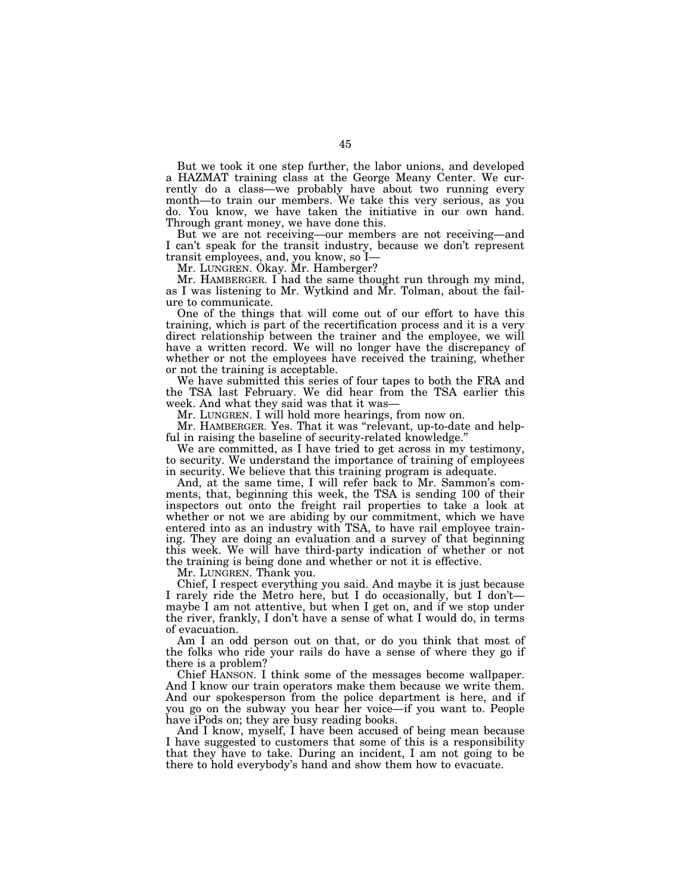But we took it one step further, the labor unions, and developed a HAZMAT training class at the George Meany Center. We currently do a class—we probably have about two running every month—to train our members. We take this very serious, as you do. You know, we have taken the initiative in our own hand. Through grant money, we have done this.

But we are not receiving—our members are not receiving—and I can't speak for the transit industry, because we don't represent transit employees, and, you know, so I—

Mr. LUNGREN. Okay. Mr. Hamberger?

Mr. HAMBERGER. I had the same thought run through my mind, as I was listening to Mr. Wytkind and Mr. Tolman, about the failure to communicate.

One of the things that will come out of our effort to have this training, which is part of the recertification process and it is a very direct relationship between the trainer and the employee, we will have a written record. We will no longer have the discrepancy of whether or not the employees have received the training, whether or not the training is acceptable.

We have submitted this series of four tapes to both the FRA and the TSA last February. We did hear from the TSA earlier this week. And what they said was that it was—

Mr. LUNGREN. I will hold more hearings, from now on.

Mr. HAMBERGER. Yes. That it was ''relevant, up-to-date and helpful in raising the baseline of security-related knowledge.''

We are committed, as I have tried to get across in my testimony, to security. We understand the importance of training of employees in security. We believe that this training program is adequate.

And, at the same time, I will refer back to Mr. Sammon's comments, that, beginning this week, the TSA is sending 100 of their inspectors out onto the freight rail properties to take a look at whether or not we are abiding by our commitment, which we have entered into as an industry with TSA, to have rail employee training. They are doing an evaluation and a survey of that beginning this week. We will have third-party indication of whether or not the training is being done and whether or not it is effective.

Mr. LUNGREN. Thank you.

Chief, I respect everything you said. And maybe it is just because I rarely ride the Metro here, but I do occasionally, but I don't maybe I am not attentive, but when I get on, and if we stop under the river, frankly, I don't have a sense of what I would do, in terms of evacuation.

Am I an odd person out on that, or do you think that most of the folks who ride your rails do have a sense of where they go if there is a problem?

Chief HANSON. I think some of the messages become wallpaper. And I know our train operators make them because we write them. And our spokesperson from the police department is here, and if you go on the subway you hear her voice—if you want to. People have iPods on; they are busy reading books.

And I know, myself, I have been accused of being mean because I have suggested to customers that some of this is a responsibility that they have to take. During an incident, I am not going to be there to hold everybody's hand and show them how to evacuate.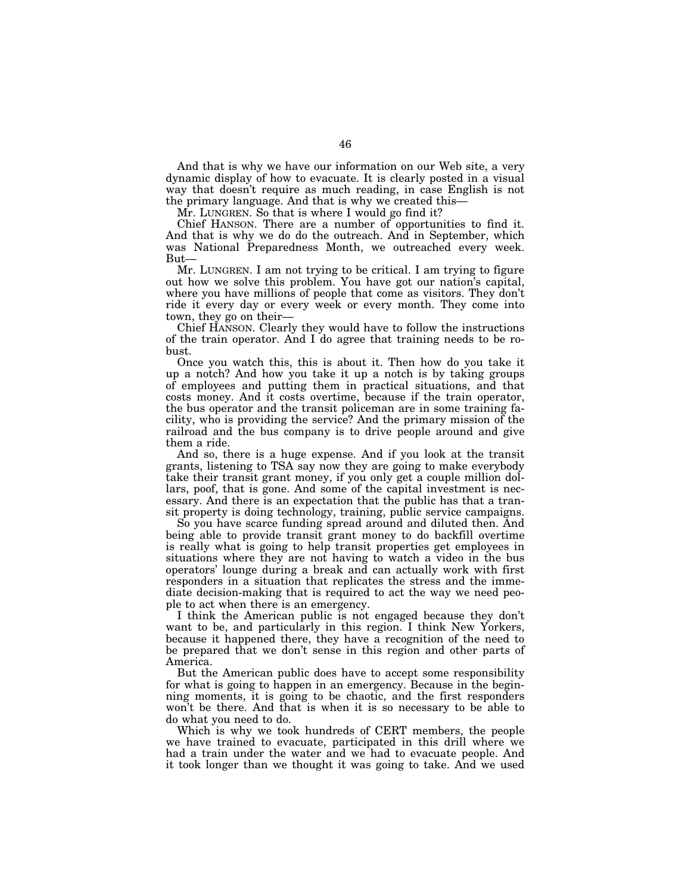And that is why we have our information on our Web site, a very dynamic display of how to evacuate. It is clearly posted in a visual way that doesn't require as much reading, in case English is not the primary language. And that is why we created this—

Mr. LUNGREN. So that is where I would go find it?

Chief HANSON. There are a number of opportunities to find it. And that is why we do do the outreach. And in September, which was National Preparedness Month, we outreached every week. But—

Mr. LUNGREN. I am not trying to be critical. I am trying to figure out how we solve this problem. You have got our nation's capital, where you have millions of people that come as visitors. They don't ride it every day or every week or every month. They come into town, they go on their—

Chief HANSON. Clearly they would have to follow the instructions of the train operator. And I do agree that training needs to be robust.

Once you watch this, this is about it. Then how do you take it up a notch? And how you take it up a notch is by taking groups of employees and putting them in practical situations, and that costs money. And it costs overtime, because if the train operator, the bus operator and the transit policeman are in some training facility, who is providing the service? And the primary mission of the railroad and the bus company is to drive people around and give them a ride.

And so, there is a huge expense. And if you look at the transit grants, listening to TSA say now they are going to make everybody take their transit grant money, if you only get a couple million dollars, poof, that is gone. And some of the capital investment is necessary. And there is an expectation that the public has that a transit property is doing technology, training, public service campaigns.

So you have scarce funding spread around and diluted then. And being able to provide transit grant money to do backfill overtime is really what is going to help transit properties get employees in situations where they are not having to watch a video in the bus operators' lounge during a break and can actually work with first responders in a situation that replicates the stress and the immediate decision-making that is required to act the way we need people to act when there is an emergency.

I think the American public is not engaged because they don't want to be, and particularly in this region. I think New Yorkers, because it happened there, they have a recognition of the need to be prepared that we don't sense in this region and other parts of America.

But the American public does have to accept some responsibility for what is going to happen in an emergency. Because in the beginning moments, it is going to be chaotic, and the first responders won't be there. And that is when it is so necessary to be able to do what you need to do.

Which is why we took hundreds of CERT members, the people we have trained to evacuate, participated in this drill where we had a train under the water and we had to evacuate people. And it took longer than we thought it was going to take. And we used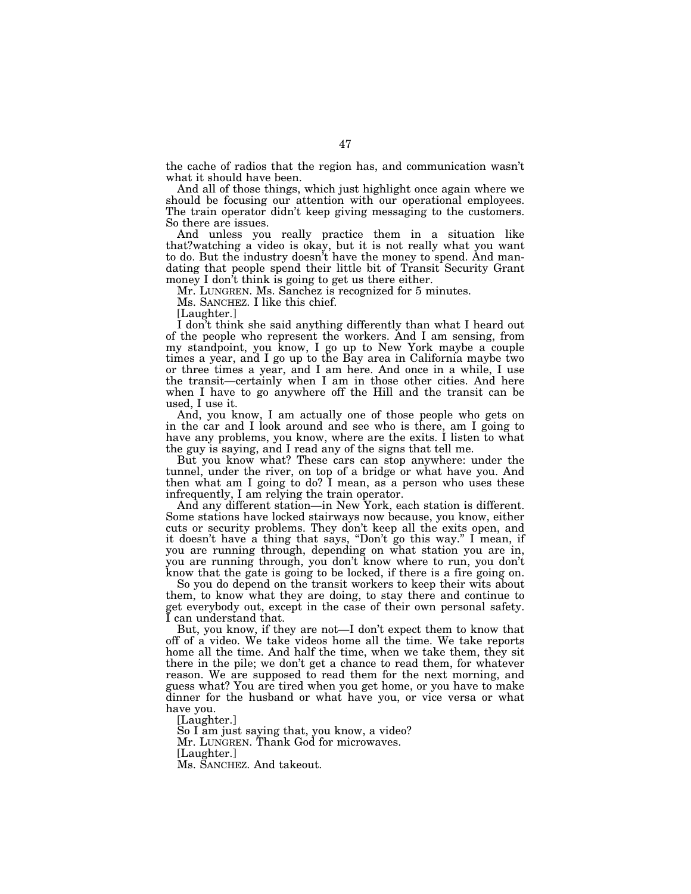the cache of radios that the region has, and communication wasn't what it should have been.

And all of those things, which just highlight once again where we should be focusing our attention with our operational employees. The train operator didn't keep giving messaging to the customers. So there are issues.

And unless you really practice them in a situation like that?watching a video is okay, but it is not really what you want to do. But the industry doesn't have the money to spend. And mandating that people spend their little bit of Transit Security Grant money I don't think is going to get us there either.

Mr. LUNGREN. Ms. Sanchez is recognized for 5 minutes.

Ms. SANCHEZ. I like this chief.

[Laughter.]

I don't think she said anything differently than what I heard out of the people who represent the workers. And I am sensing, from my standpoint, you know, I go up to New York maybe a couple times a year, and I go up to the Bay area in California maybe two or three times a year, and I am here. And once in a while, I use the transit—certainly when I am in those other cities. And here when I have to go anywhere off the Hill and the transit can be used, I use it.

And, you know, I am actually one of those people who gets on in the car and I look around and see who is there, am I going to have any problems, you know, where are the exits. I listen to what the guy is saying, and I read any of the signs that tell me.

But you know what? These cars can stop anywhere: under the tunnel, under the river, on top of a bridge or what have you. And then what am I going to do? I mean, as a person who uses these infrequently, I am relying the train operator.

And any different station—in New York, each station is different. Some stations have locked stairways now because, you know, either cuts or security problems. They don't keep all the exits open, and it doesn't have a thing that says, ''Don't go this way.'' I mean, if you are running through, depending on what station you are in, you are running through, you don't know where to run, you don't know that the gate is going to be locked, if there is a fire going on.

So you do depend on the transit workers to keep their wits about them, to know what they are doing, to stay there and continue to get everybody out, except in the case of their own personal safety. I can understand that.

But, you know, if they are not—I don't expect them to know that off of a video. We take videos home all the time. We take reports home all the time. And half the time, when we take them, they sit there in the pile; we don't get a chance to read them, for whatever reason. We are supposed to read them for the next morning, and guess what? You are tired when you get home, or you have to make dinner for the husband or what have you, or vice versa or what have you.

[Laughter.]

So I am just saying that, you know, a video? Mr. LUNGREN. Thank God for microwaves. [Laughter.] Ms. SANCHEZ. And takeout.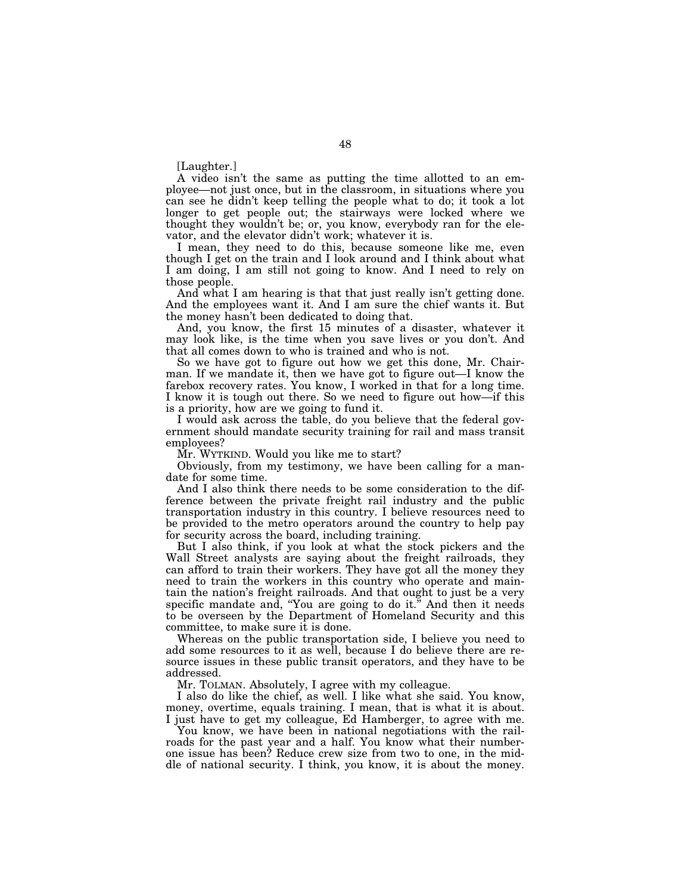[Laughter.]

A video isn't the same as putting the time allotted to an employee—not just once, but in the classroom, in situations where you can see he didn't keep telling the people what to do; it took a lot longer to get people out; the stairways were locked where we thought they wouldn't be; or, you know, everybody ran for the elevator, and the elevator didn't work; whatever it is.

I mean, they need to do this, because someone like me, even though I get on the train and I look around and I think about what I am doing, I am still not going to know. And I need to rely on those people.

And what I am hearing is that that just really isn't getting done. And the employees want it. And I am sure the chief wants it. But the money hasn't been dedicated to doing that.

And, you know, the first 15 minutes of a disaster, whatever it may look like, is the time when you save lives or you don't. And that all comes down to who is trained and who is not.

So we have got to figure out how we get this done, Mr. Chairman. If we mandate it, then we have got to figure out—I know the farebox recovery rates. You know, I worked in that for a long time. I know it is tough out there. So we need to figure out how—if this is a priority, how are we going to fund it.

I would ask across the table, do you believe that the federal government should mandate security training for rail and mass transit employees?

Mr. WYTKIND. Would you like me to start?

Obviously, from my testimony, we have been calling for a mandate for some time.

And I also think there needs to be some consideration to the difference between the private freight rail industry and the public transportation industry in this country. I believe resources need to be provided to the metro operators around the country to help pay for security across the board, including training.

But I also think, if you look at what the stock pickers and the Wall Street analysts are saying about the freight railroads, they can afford to train their workers. They have got all the money they need to train the workers in this country who operate and maintain the nation's freight railroads. And that ought to just be a very specific mandate and, "You are going to do it." And then it needs to be overseen by the Department of Homeland Security and this committee, to make sure it is done.

Whereas on the public transportation side, I believe you need to add some resources to it as well, because I do believe there are resource issues in these public transit operators, and they have to be addressed.

Mr. TOLMAN. Absolutely, I agree with my colleague.

I also do like the chief, as well. I like what she said. You know, money, overtime, equals training. I mean, that is what it is about. I just have to get my colleague, Ed Hamberger, to agree with me.

You know, we have been in national negotiations with the railroads for the past year and a half. You know what their numberone issue has been? Reduce crew size from two to one, in the middle of national security. I think, you know, it is about the money.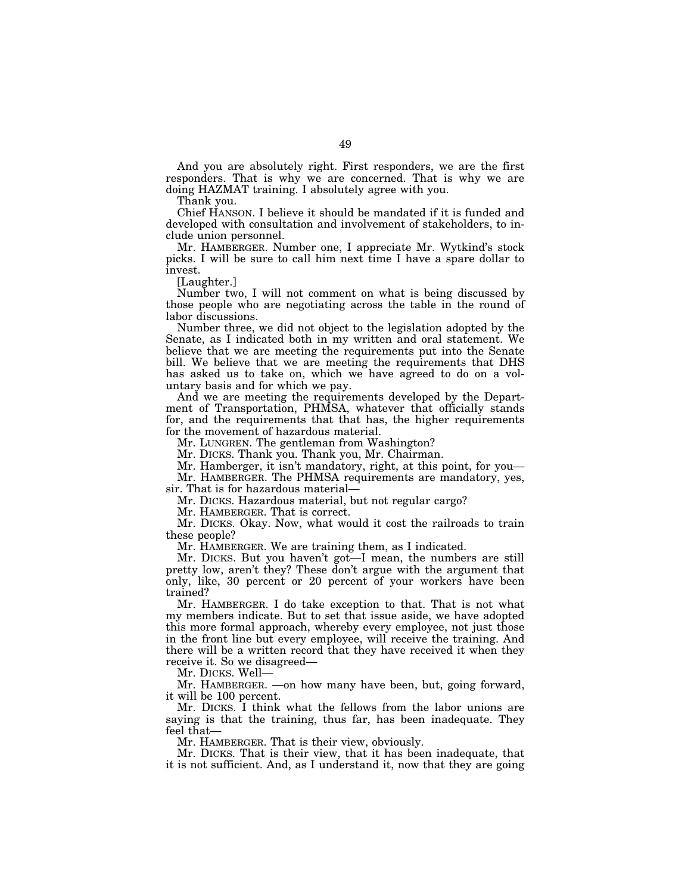And you are absolutely right. First responders, we are the first responders. That is why we are concerned. That is why we are doing HAZMAT training. I absolutely agree with you.

Thank you.

Chief HANSON. I believe it should be mandated if it is funded and developed with consultation and involvement of stakeholders, to include union personnel.

Mr. HAMBERGER. Number one, I appreciate Mr. Wytkind's stock picks. I will be sure to call him next time I have a spare dollar to invest.

[Laughter.]

Number two, I will not comment on what is being discussed by those people who are negotiating across the table in the round of labor discussions.

Number three, we did not object to the legislation adopted by the Senate, as I indicated both in my written and oral statement. We believe that we are meeting the requirements put into the Senate bill. We believe that we are meeting the requirements that DHS has asked us to take on, which we have agreed to do on a voluntary basis and for which we pay.

And we are meeting the requirements developed by the Department of Transportation, PHMSA, whatever that officially stands for, and the requirements that that has, the higher requirements for the movement of hazardous material.

Mr. LUNGREN. The gentleman from Washington?

Mr. DICKS. Thank you. Thank you, Mr. Chairman.

Mr. Hamberger, it isn't mandatory, right, at this point, for you—

Mr. HAMBERGER. The PHMSA requirements are mandatory, yes, sir. That is for hazardous material—

Mr. DICKS. Hazardous material, but not regular cargo?

Mr. HAMBERGER. That is correct.

Mr. DICKS. Okay. Now, what would it cost the railroads to train these people?

Mr. HAMBERGER. We are training them, as I indicated.

Mr. DICKS. But you haven't got—I mean, the numbers are still pretty low, aren't they? These don't argue with the argument that only, like, 30 percent or 20 percent of your workers have been trained?

Mr. HAMBERGER. I do take exception to that. That is not what my members indicate. But to set that issue aside, we have adopted this more formal approach, whereby every employee, not just those in the front line but every employee, will receive the training. And there will be a written record that they have received it when they receive it. So we disagreed—

Mr. DICKS. Well—

Mr. HAMBERGER. —on how many have been, but, going forward, it will be 100 percent.

Mr. DICKS. I think what the fellows from the labor unions are saying is that the training, thus far, has been inadequate. They feel that—

Mr. HAMBERGER. That is their view, obviously.

Mr. DICKS. That is their view, that it has been inadequate, that it is not sufficient. And, as I understand it, now that they are going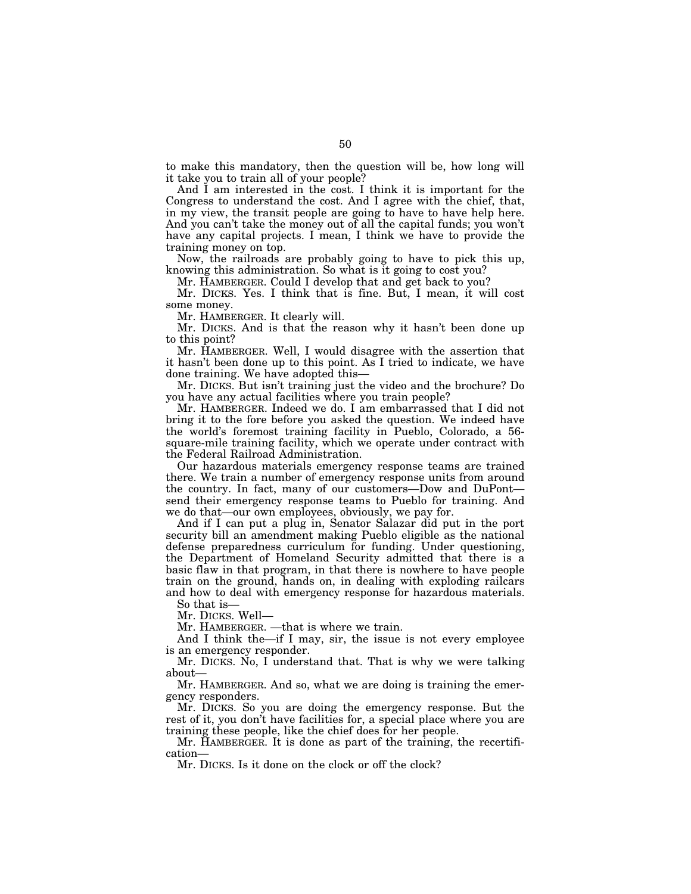to make this mandatory, then the question will be, how long will it take you to train all of your people?

And I am interested in the cost. I think it is important for the Congress to understand the cost. And I agree with the chief, that, in my view, the transit people are going to have to have help here. And you can't take the money out of all the capital funds; you won't have any capital projects. I mean, I think we have to provide the training money on top.

Now, the railroads are probably going to have to pick this up, knowing this administration. So what is it going to cost you?

Mr. HAMBERGER. Could I develop that and get back to you?

Mr. DICKS. Yes. I think that is fine. But, I mean, it will cost some money.

Mr. HAMBERGER. It clearly will.

Mr. DICKS. And is that the reason why it hasn't been done up to this point?

Mr. HAMBERGER. Well, I would disagree with the assertion that it hasn't been done up to this point. As I tried to indicate, we have done training. We have adopted this—

Mr. DICKS. But isn't training just the video and the brochure? Do you have any actual facilities where you train people?

Mr. HAMBERGER. Indeed we do. I am embarrassed that I did not bring it to the fore before you asked the question. We indeed have the world's foremost training facility in Pueblo, Colorado, a 56 square-mile training facility, which we operate under contract with the Federal Railroad Administration.

Our hazardous materials emergency response teams are trained there. We train a number of emergency response units from around the country. In fact, many of our customers—Dow and DuPont send their emergency response teams to Pueblo for training. And we do that—our own employees, obviously, we pay for.

And if I can put a plug in, Senator Salazar did put in the port security bill an amendment making Pueblo eligible as the national defense preparedness curriculum for funding. Under questioning, the Department of Homeland Security admitted that there is a basic flaw in that program, in that there is nowhere to have people train on the ground, hands on, in dealing with exploding railcars and how to deal with emergency response for hazardous materials.

So that is— Mr. DICKS. Well—

Mr. HAMBERGER. —that is where we train.

And I think the—if I may, sir, the issue is not every employee is an emergency responder.

Mr. DICKS. No, I understand that. That is why we were talking about—

Mr. HAMBERGER. And so, what we are doing is training the emergency responders.

Mr. DICKS. So you are doing the emergency response. But the rest of it, you don't have facilities for, a special place where you are training these people, like the chief does for her people.

Mr. HAMBERGER. It is done as part of the training, the recertification—

Mr. DICKS. Is it done on the clock or off the clock?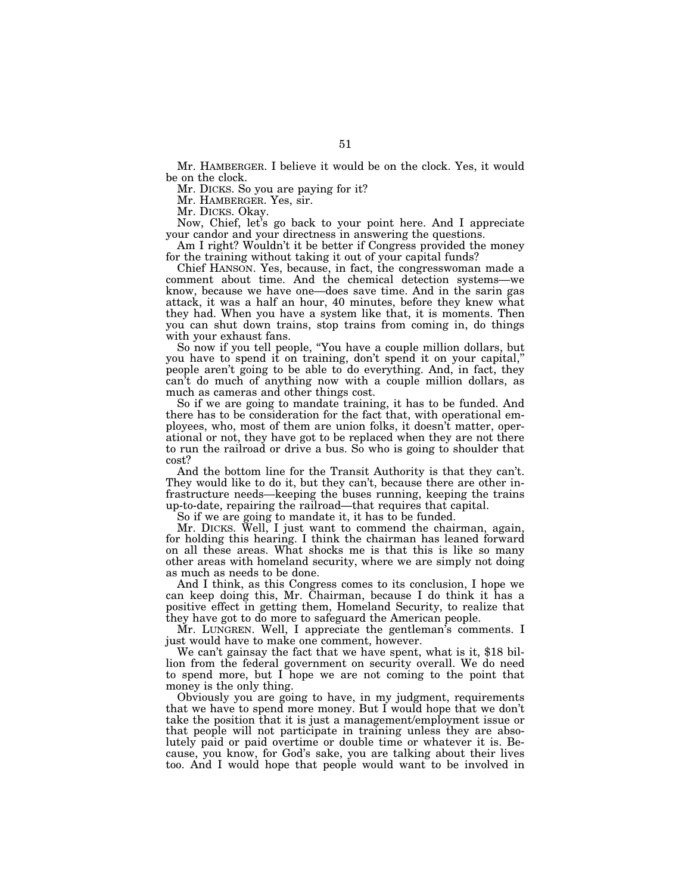Mr. HAMBERGER. I believe it would be on the clock. Yes, it would be on the clock.

Mr. DICKS. So you are paying for it?

Mr. HAMBERGER. Yes, sir.

Mr. DICKS. Okay.

Now, Chief, let's go back to your point here. And I appreciate your candor and your directness in answering the questions.

Am I right? Wouldn't it be better if Congress provided the money for the training without taking it out of your capital funds?

Chief HANSON. Yes, because, in fact, the congresswoman made a comment about time. And the chemical detection systems—we know, because we have one—does save time. And in the sarin gas attack, it was a half an hour, 40 minutes, before they knew what they had. When you have a system like that, it is moments. Then you can shut down trains, stop trains from coming in, do things with your exhaust fans.

So now if you tell people, ''You have a couple million dollars, but you have to spend it on training, don't spend it on your capital,'' people aren't going to be able to do everything. And, in fact, they can't do much of anything now with a couple million dollars, as much as cameras and other things cost.

So if we are going to mandate training, it has to be funded. And there has to be consideration for the fact that, with operational employees, who, most of them are union folks, it doesn't matter, operational or not, they have got to be replaced when they are not there to run the railroad or drive a bus. So who is going to shoulder that cost?

And the bottom line for the Transit Authority is that they can't. They would like to do it, but they can't, because there are other infrastructure needs—keeping the buses running, keeping the trains up-to-date, repairing the railroad—that requires that capital.

So if we are going to mandate it, it has to be funded.

Mr. DICKS. Well, I just want to commend the chairman, again, for holding this hearing. I think the chairman has leaned forward on all these areas. What shocks me is that this is like so many other areas with homeland security, where we are simply not doing as much as needs to be done.

And I think, as this Congress comes to its conclusion, I hope we can keep doing this, Mr. Chairman, because I do think it has a positive effect in getting them, Homeland Security, to realize that they have got to do more to safeguard the American people.

Mr. LUNGREN. Well, I appreciate the gentleman's comments. I just would have to make one comment, however.

We can't gainsay the fact that we have spent, what is it, \$18 billion from the federal government on security overall. We do need to spend more, but I hope we are not coming to the point that money is the only thing.

Obviously you are going to have, in my judgment, requirements that we have to spend more money. But I would hope that we don't take the position that it is just a management/employment issue or that people will not participate in training unless they are absolutely paid or paid overtime or double time or whatever it is. Because, you know, for God's sake, you are talking about their lives too. And I would hope that people would want to be involved in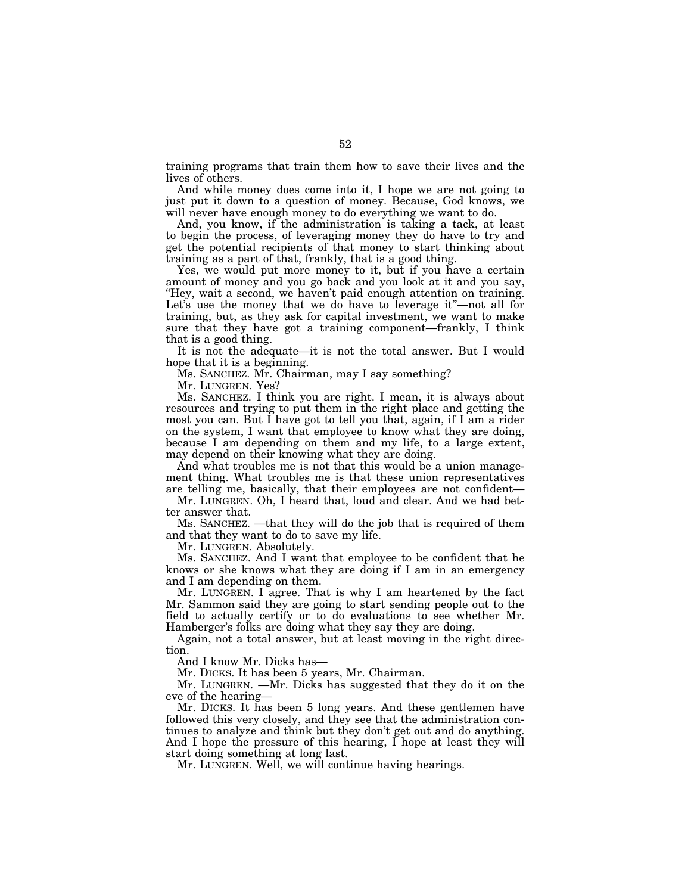training programs that train them how to save their lives and the lives of others.

And while money does come into it, I hope we are not going to just put it down to a question of money. Because, God knows, we will never have enough money to do everything we want to do.

And, you know, if the administration is taking a tack, at least to begin the process, of leveraging money they do have to try and get the potential recipients of that money to start thinking about training as a part of that, frankly, that is a good thing.

Yes, we would put more money to it, but if you have a certain amount of money and you go back and you look at it and you say, "Hey, wait a second, we haven't paid enough attention on training. Let's use the money that we do have to leverage it"—not all for training, but, as they ask for capital investment, we want to make sure that they have got a training component—frankly, I think that is a good thing.

It is not the adequate—it is not the total answer. But I would hope that it is a beginning.

Ms. SANCHEZ. Mr. Chairman, may I say something?

Mr. LUNGREN. Yes?

Ms. SANCHEZ. I think you are right. I mean, it is always about resources and trying to put them in the right place and getting the most you can. But I have got to tell you that, again, if I am a rider on the system, I want that employee to know what they are doing, because I am depending on them and my life, to a large extent, may depend on their knowing what they are doing.

And what troubles me is not that this would be a union management thing. What troubles me is that these union representatives are telling me, basically, that their employees are not confident—

Mr. LUNGREN. Oh, I heard that, loud and clear. And we had better answer that.

Ms. SANCHEZ. —that they will do the job that is required of them and that they want to do to save my life.

Mr. LUNGREN. Absolutely.

Ms. SANCHEZ. And I want that employee to be confident that he knows or she knows what they are doing if I am in an emergency and I am depending on them.

Mr. LUNGREN. I agree. That is why I am heartened by the fact Mr. Sammon said they are going to start sending people out to the field to actually certify or to do evaluations to see whether Mr. Hamberger's folks are doing what they say they are doing.

Again, not a total answer, but at least moving in the right direction.

And I know Mr. Dicks has—

Mr. DICKS. It has been 5 years, Mr. Chairman.

Mr. LUNGREN. —Mr. Dicks has suggested that they do it on the eve of the hearing—

Mr. DICKS. It has been 5 long years. And these gentlemen have followed this very closely, and they see that the administration continues to analyze and think but they don't get out and do anything. And I hope the pressure of this hearing, I hope at least they will start doing something at long last.

Mr. LUNGREN. Well, we will continue having hearings.